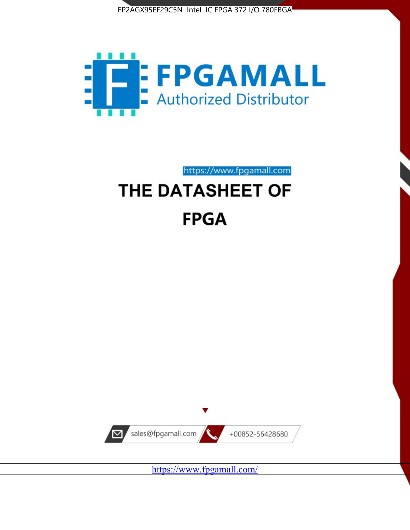



https://www.fpgamall.com THE DATASHEET OF

# **FPGA**



<https://www.fpgamall.com/>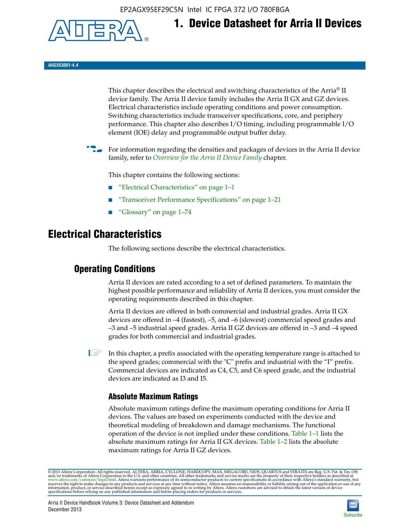EP2AGX95EF29C5N Intel IC FPGA 372 I/O 780FBGA



**1. Device Datasheet for Arria II Devices**

**AIIGX53001-4.4**

This chapter describes the electrical and switching characteristics of the Arria® II device family. The Arria II device family includes the Arria II GX and GZ devices. Electrical characteristics include operating conditions and power consumption. Switching characteristics include transceiver specifications, core, and periphery performance. This chapter also describes I/O timing, including programmable I/O element (IOE) delay and programmable output buffer delay.

For information regarding the densities and packages of devices in the Arria II device family, refer to *[Overview for the Arria II Device Family](http://www.altera.com/literature/hb/arria-ii-gx/aiigx_51001.pdf)* chapter.

This chapter contains the following sections:

- *"Electrical Characteristics"* on page 1–1
- "Transceiver Performance Specifications" on page 1–21
- "Glossary" on page 1–74

# **Electrical Characteristics**

The following sections describe the electrical characteristics.

# **Operating Conditions**

Arria II devices are rated according to a set of defined parameters. To maintain the highest possible performance and reliability of Arria II devices, you must consider the operating requirements described in this chapter.

Arria II devices are offered in both commercial and industrial grades. Arria II GX devices are offered in –4 (fastest), –5, and –6 (slowest) commercial speed grades and –3 and –5 industrial speed grades. Arria II GZ devices are offered in –3 and –4 speed grades for both commercial and industrial grades.

 $\Box$  In this chapter, a prefix associated with the operating temperature range is attached to the speed grades; commercial with the "C" prefix and industrial with the "I" prefix. Commercial devices are indicated as C4, C5, and C6 speed grade, and the industrial devices are indicated as I3 and I5.

# **Absolute Maximum Ratings**

Absolute maximum ratings define the maximum operating conditions for Arria II devices. The values are based on experiments conducted with the device and theoretical modeling of breakdown and damage mechanisms. The functional operation of the device is not implied under these conditions. Table 1–1 lists the absolute maximum ratings for Arria II GX devices. Table 1–2 lists the absolute maximum ratings for Arria II GZ devices.

© 2013 Altera Corporation. All rights reserved. ALTERA, ARRIA, CYCLONE, HARDCOPY, MAX, MEGACORE, NIOS, QUARTUS and STRATIX are Reg. U.S. Pat. & Tm. Off. [and/or trademarks of Altera Corporat](http://www.altera.com/common/legal.html)ion in the U.S. and other countri

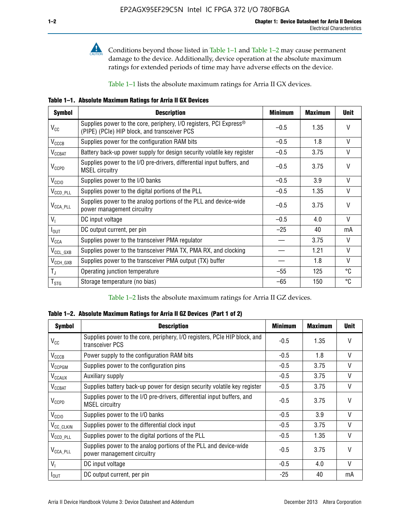

Conditions beyond those listed in Table 1–1 and Table 1–2 may cause permanent damage to the device. Additionally, device operation at the absolute maximum ratings for extended periods of time may have adverse effects on the device.

Table 1–1 lists the absolute maximum ratings for Arria II GX devices.

**Table 1–1. Absolute Maximum Ratings for Arria II GX Devices** 

| <b>Symbol</b>         | <b>Description</b>                                                                                                 | <b>Minimum</b> | <b>Maximum</b> | <b>Unit</b>  |
|-----------------------|--------------------------------------------------------------------------------------------------------------------|----------------|----------------|--------------|
| $V_{CC}$              | Supplies power to the core, periphery, I/O registers, PCI Express®<br>(PIPE) (PCIe) HIP block, and transceiver PCS | $-0.5$         | 1.35           | $\vee$       |
| $V_{CCCB}$            | Supplies power for the configuration RAM bits                                                                      | $-0.5$         | 1.8            | V            |
| $V_{\text{CCBAT}}$    | Battery back-up power supply for design security volatile key register                                             | $-0.5$         | 3.75           | V            |
| $V_{CCPD}$            | Supplies power to the I/O pre-drivers, differential input buffers, and<br><b>MSEL circuitry</b>                    | $-0.5$         | 3.75           | $\vee$       |
| V <sub>CCIO</sub>     | Supplies power to the I/O banks                                                                                    | $-0.5$         | 3.9            | $\mathsf{V}$ |
| $V_{\text{CCD\_PLL}}$ | Supplies power to the digital portions of the PLL                                                                  | $-0.5$         | 1.35           | V            |
| $V_{\text{CCA\_PLL}}$ | Supplies power to the analog portions of the PLL and device-wide<br>power management circuitry                     | $-0.5$         | 3.75           | $\mathsf{V}$ |
| $V_{1}$               | DC input voltage                                                                                                   | $-0.5$         | 4.0            | V            |
| $I_{\text{OUT}}$      | DC output current, per pin                                                                                         | $-25$          | 40             | mA           |
| $V_{\text{CCA}}$      | Supplies power to the transceiver PMA regulator                                                                    |                | 3.75           | V            |
| $V_{CCL_GXB}$         | Supplies power to the transceiver PMA TX, PMA RX, and clocking                                                     |                | 1.21           | $\vee$       |
| $V_{\text{CCH_GXB}}$  | Supplies power to the transceiver PMA output (TX) buffer                                                           |                | 1.8            | V            |
| $T_{\rm J}$           | Operating junction temperature                                                                                     | $-55$          | 125            | °C           |
| $T_{\tt STG}$         | Storage temperature (no bias)                                                                                      | -65            | 150            | ℃            |

Table 1–2 lists the absolute maximum ratings for Arria II GZ devices.

**Table 1–2. Absolute Maximum Ratings for Arria II GZ Devices (Part 1 of 2)**

| <b>Symbol</b>            | <b>Description</b>                                                                              | <b>Minimum</b> | <b>Maximum</b> | <b>Unit</b>  |
|--------------------------|-------------------------------------------------------------------------------------------------|----------------|----------------|--------------|
| $V_{CC}$                 | Supplies power to the core, periphery, I/O registers, PCIe HIP block, and<br>transceiver PCS    | -0.5           | 1.35           | $\mathsf{V}$ |
| $V_{CCCB}$               | Power supply to the configuration RAM bits                                                      | $-0.5$         | 1.8            | $\vee$       |
| V <sub>CCPGM</sub>       | Supplies power to the configuration pins                                                        | $-0.5$         | 3.75           | $\vee$       |
| <b>V<sub>CCAUX</sub></b> | Auxiliary supply                                                                                | $-0.5$         | 3.75           | $\vee$       |
| $V_{\text{CGBAT}}$       | Supplies battery back-up power for design security volatile key register                        | -0.5           | 3.75           | V            |
| $V_{CCPD}$               | Supplies power to the I/O pre-drivers, differential input buffers, and<br><b>MSEL circuitry</b> | -0.5           | 3.75           | $\mathsf{V}$ |
| V <sub>CCIO</sub>        | Supplies power to the I/O banks                                                                 | $-0.5$         | 3.9            | $\mathsf{V}$ |
| $V_{\rm CC\_CLKIN}$      | Supplies power to the differential clock input                                                  | $-0.5$         | 3.75           | $\vee$       |
| $V_{\text{CCD\_PLL}}$    | Supplies power to the digital portions of the PLL                                               | $-0.5$         | 1.35           | V            |
| $V_{\text{CCA\_PLL}}$    | Supplies power to the analog portions of the PLL and device-wide<br>power management circuitry  | $-0.5$         | 3.75           | $\mathsf{V}$ |
| V <sub>1</sub>           | DC input voltage                                                                                | $-0.5$         | 4.0            | $\vee$       |
| $I_{\text{OUT}}$         | DC output current, per pin                                                                      | $-25$          | 40             | mA           |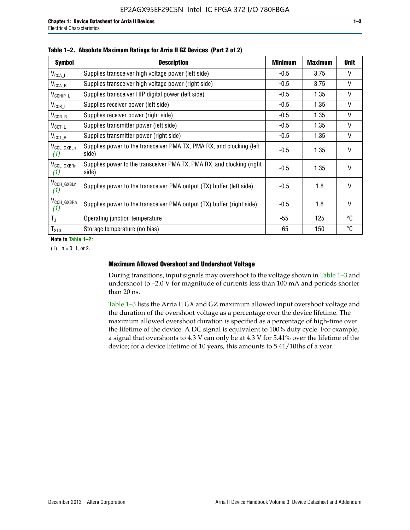| <b>Symbol</b>                  | <b>Description</b>                                                              | <b>Minimum</b> | <b>Maximum</b> | <b>Unit</b>  |
|--------------------------------|---------------------------------------------------------------------------------|----------------|----------------|--------------|
| $V_{\texttt{CCA}\_\textsf{L}}$ | Supplies transceiver high voltage power (left side)                             | $-0.5$         | 3.75           | V            |
| $V_{\mathsf{CCA}\_R}$          | Supplies transceiver high voltage power (right side)                            | $-0.5$         | 3.75           | $\vee$       |
| $V_{CCHIP\_L}$                 | Supplies transceiver HIP digital power (left side)                              | $-0.5$         | 1.35           | $\vee$       |
| $V_{CCR\_L}$                   | Supplies receiver power (left side)                                             | $-0.5$         | 1.35           | $\vee$       |
| $V_{CCR\_R}$                   | Supplies receiver power (right side)                                            | $-0.5$         | 1.35           | $\mathsf{V}$ |
| $V_{CCT\_L}$                   | Supplies transmitter power (left side)                                          | $-0.5$         | 1.35           | $\vee$       |
| $V_{CCT_R}$                    | Supplies transmitter power (right side)                                         | $-0.5$         | 1.35           | V            |
| V <sub>CCL_GXBLn</sub><br>(1)  | Supplies power to the transceiver PMA TX, PMA RX, and clocking (left<br>side)   | $-0.5$         | 1.35           | $\vee$       |
| V <sub>CCL_GXBRn</sub><br>(1)  | Supplies power to the transceiver PMA TX, PMA RX, and clocking (right)<br>side) | $-0.5$         | 1.35           | $\vee$       |
| V <sub>CCH_GXBLn</sub><br>(1)  | Supplies power to the transceiver PMA output (TX) buffer (left side)            | -0.5           | 1.8            | $\mathsf{V}$ |
| V <sub>CCH_GXBRn</sub><br>(1)  | Supplies power to the transceiver PMA output (TX) buffer (right side)           | -0.5           | 1.8            | $\vee$       |
| $T_{\rm J}$                    | Operating junction temperature                                                  | -55            | 125            | °C           |
| $T_{\text{STG}}$               | Storage temperature (no bias)                                                   | -65            | 150            | ℃            |

**Note to Table 1–2:**

 $(1)$   $n = 0, 1,$  or 2.

## **Maximum Allowed Overshoot and Undershoot Voltage**

During transitions, input signals may overshoot to the voltage shown in Table 1–3 and undershoot to –2.0 V for magnitude of currents less than 100 mA and periods shorter than 20 ns.

Table 1–3 lists the Arria II GX and GZ maximum allowed input overshoot voltage and the duration of the overshoot voltage as a percentage over the device lifetime. The maximum allowed overshoot duration is specified as a percentage of high-time over the lifetime of the device. A DC signal is equivalent to 100% duty cycle. For example, a signal that overshoots to 4.3 V can only be at 4.3 V for 5.41% over the lifetime of the device; for a device lifetime of 10 years, this amounts to 5.41/10ths of a year.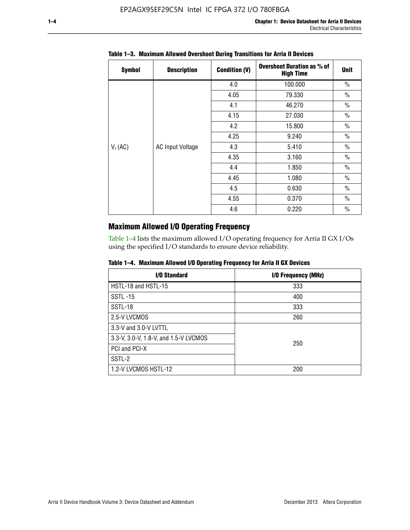| <b>Symbol</b> | <b>Description</b>      | <b>Condition (V)</b> | <b>Overshoot Duration as % of</b><br><b>High Time</b> | <b>Unit</b>   |
|---------------|-------------------------|----------------------|-------------------------------------------------------|---------------|
|               |                         | 4.0                  | 100.000                                               | $\frac{0}{0}$ |
|               |                         | 4.05                 | 79.330                                                | $\frac{0}{0}$ |
|               |                         | 4.1                  | 46.270                                                | $\frac{0}{0}$ |
|               |                         | 4.15                 | 27.030                                                | $\frac{0}{0}$ |
|               | <b>AC Input Voltage</b> | 4.2                  | 15.800                                                | $\frac{0}{0}$ |
|               |                         | 4.25                 | 9.240                                                 | $\frac{0}{0}$ |
| $V_1$ (AC)    |                         | 4.3                  | 5.410                                                 | $\frac{0}{0}$ |
|               |                         | 4.35                 | 3.160                                                 | $\frac{0}{0}$ |
|               |                         | 4.4                  | 1.850                                                 | $\frac{0}{0}$ |
|               |                         | 4.45                 | 1.080                                                 | $\frac{0}{0}$ |
|               |                         | 4.5                  | 0.630                                                 | $\frac{0}{0}$ |
|               |                         | 4.55                 | 0.370                                                 | $\frac{0}{0}$ |
|               |                         | 4.6                  | 0.220                                                 | $\%$          |

## **Table 1–3. Maximum Allowed Overshoot During Transitions for Arria II Devices**

# **Maximum Allowed I/O Operating Frequency**

Table 1–4 lists the maximum allowed I/O operating frequency for Arria II GX I/Os using the specified I/O standards to ensure device reliability.

|  | Table 1–4. Maximum Allowed I/O Operating Frequency for Arria II GX Devices |  |  |  |  |
|--|----------------------------------------------------------------------------|--|--|--|--|
|--|----------------------------------------------------------------------------|--|--|--|--|

| I/O Standard                          | I/O Frequency (MHz) |
|---------------------------------------|---------------------|
| HSTL-18 and HSTL-15                   | 333                 |
| <b>SSTL-15</b>                        | 400                 |
| SSTL-18                               | 333                 |
| 2.5-V LVCMOS                          | 260                 |
| 3.3-V and 3.0-V LVTTL                 |                     |
| 3.3-V, 3.0-V, 1.8-V, and 1.5-V LVCMOS | 250                 |
| PCI and PCI-X                         |                     |
| SSTL-2                                |                     |
| 1.2-V LVCMOS HSTL-12                  | 200                 |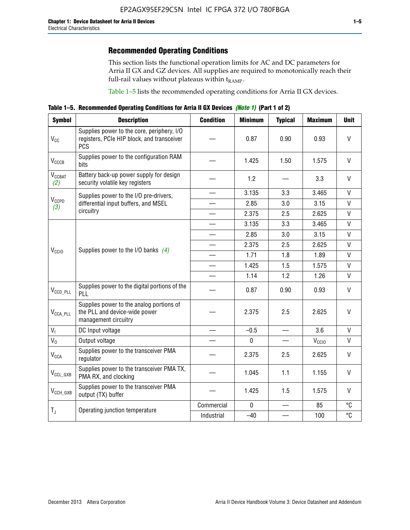# **Recommended Operating Conditions**

This section lists the functional operation limits for AC and DC parameters for Arria II GX and GZ devices. All supplies are required to monotonically reach their full-rail values without plateaus within  $t_{RAMP}$ .

Table 1–5 lists the recommended operating conditions for Arria II GX devices.

**Table 1–5. Recommended Operating Conditions for Arria II GX Devices** *(Note 1)* **(Part 1 of 2)**

| <b>Symbol</b>             | <b>Description</b>                                                                                     | <b>Condition</b>         | <b>Minimum</b> | <b>Typical</b> | <b>Maximum</b>    | <b>Unit</b>  |
|---------------------------|--------------------------------------------------------------------------------------------------------|--------------------------|----------------|----------------|-------------------|--------------|
| $V_{CC}$                  | Supplies power to the core, periphery, I/O<br>registers, PCIe HIP block, and transceiver<br><b>PCS</b> |                          | 0.87           | 0.90           | 0.93              | V            |
| V <sub>CCCB</sub>         | Supplies power to the configuration RAM<br>bits                                                        |                          | 1.425          | 1.50           | 1.575             | $\mathsf{V}$ |
| $V_{\text{CGBAT}}$<br>(2) | Battery back-up power supply for design<br>security volatile key registers                             |                          | 1.2            |                | 3.3               | V            |
|                           | Supplies power to the I/O pre-drivers,                                                                 |                          | 3.135          | 3.3            | 3.465             | $\mathsf{V}$ |
| $V_{CCPD}$<br>(3)         | differential input buffers, and MSEL                                                                   |                          | 2.85           | 3.0            | 3.15              | V            |
|                           | circuitry                                                                                              | $\overline{\phantom{a}}$ | 2.375          | 2.5            | 2.625             | $\mathsf{V}$ |
|                           | Supplies power to the I/O banks $(4)$                                                                  |                          | 3.135          | 3.3            | 3.465             | $\mathsf{V}$ |
|                           |                                                                                                        |                          | 2.85           | 3.0            | 3.15              | $\mathsf{V}$ |
|                           |                                                                                                        |                          | 2.375          | 2.5            | 2.625             | $\mathsf{V}$ |
| V <sub>CCIO</sub>         |                                                                                                        |                          | 1.71           | 1.8            | 1.89              | $\mathsf{V}$ |
|                           |                                                                                                        |                          | 1.425          | 1.5            | 1.575             | $\mathsf{V}$ |
|                           |                                                                                                        |                          | 1.14           | 1.2            | 1.26              | $\mathsf{V}$ |
| $V_{CCD\_PLL}$            | Supplies power to the digital portions of the<br>PLL                                                   |                          | 0.87           | 0.90           | 0.93              | V            |
| $V_{\text{CCA\_PLL}}$     | Supplies power to the analog portions of<br>the PLL and device-wide power<br>management circuitry      |                          | 2.375          | 2.5            | 2.625             | $\mathsf{V}$ |
| $V_{1}$                   | DC Input voltage                                                                                       |                          | $-0.5$         | $\equiv$       | 3.6               | V            |
| $V_0$                     | Output voltage                                                                                         |                          | 0              |                | V <sub>CCIO</sub> | V            |
| <b>V<sub>CCA</sub></b>    | Supplies power to the transceiver PMA<br>regulator                                                     |                          | 2.375          | 2.5            | 2.625             | $\mathsf{V}$ |
| $V_{CCL_GXB}$             | Supplies power to the transceiver PMA TX,<br>PMA RX, and clocking                                      |                          | 1.045          | 1.1            | 1.155             | V            |
| $V_{CCH_GXB}$             | Supplies power to the transceiver PMA<br>output (TX) buffer                                            |                          | 1.425          | 1.5            | 1.575             | V            |
|                           |                                                                                                        | Commercial               | $\mathbf 0$    |                | 85                | °C           |
| $T_{J}$                   | Operating junction temperature                                                                         | Industrial               | $-40$          |                | 100               | °C           |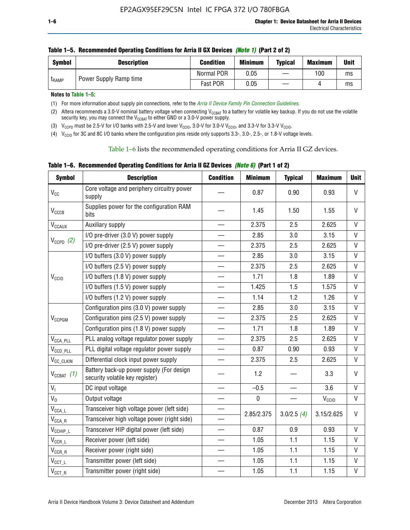| <b>Symbol</b> | <b>Description</b>     | <b>Condition</b> | <b>Minimum</b> | <b>Typical</b> | <b>Maximum</b> | <b>Unit</b> |
|---------------|------------------------|------------------|----------------|----------------|----------------|-------------|
| <b>LRAMP</b>  | Power Supply Ramp time | Normal POR       | 0.05           |                | 100            | ms          |
|               |                        | Fast POR         | 0.05           |                |                | ms          |

**Notes to Table 1–5:** 

(1) For more information about supply pin connections, refer to the *[Arria II Device Family Pin Connection Guidelines](http://www.altera.com/literature/dp/arria-ii-gx/PCG-01007.pdf)*.

(2) Altera recommends a 3.0-V nominal battery voltage when connecting V<sub>CCBAT</sub> to a battery for volatile key backup. If you do not use the volatile security key, you may connect the V<sub>CCBAT</sub> to either GND or a 3.0-V power supply.

(3)  $V_{CCPD}$  must be 2.5-V for I/O banks with 2.5-V and lower  $V_{CCIO}$ , 3.0-V for 3.0-V  $V_{CCIO}$ , and 3.3-V for 3.3-V  $V_{CCIO}$ .

(4)  $V_{\text{CCIO}}$  for 3C and 8C I/O banks where the configuration pins reside only supports 3.3-, 3.0-, 2.5-, or 1.8-V voltage levels.

Table 1–6 lists the recommended operating conditions for Arria II GZ devices.

**Table 1–6. Recommended Operating Conditions for Arria II GZ Devices** *(Note 6)* **(Part 1 of 2)**

| <b>Symbol</b>                           | <b>Description</b>                                                          | <b>Condition</b> | <b>Minimum</b> | <b>Typical</b> | <b>Maximum</b>    | <b>Unit</b>  |
|-----------------------------------------|-----------------------------------------------------------------------------|------------------|----------------|----------------|-------------------|--------------|
| V <sub>CC</sub>                         | Core voltage and periphery circuitry power<br>supply                        |                  | 0.87           | 0.90           | 0.93              | $\mathsf{V}$ |
| $V_{CCCB}$                              | Supplies power for the configuration RAM<br>bits                            |                  | 1.45           | 1.50           | 1.55              | $\vee$       |
| $V_{\text{CCAUX}}$                      | Auxiliary supply                                                            |                  | 2.375          | 2.5            | 2.625             | V            |
|                                         | I/O pre-driver (3.0 V) power supply                                         |                  | 2.85           | 3.0            | 3.15              | $\mathsf{V}$ |
| $V_{CCPD}$ (2)                          | I/O pre-driver (2.5 V) power supply                                         |                  | 2.375          | 2.5            | 2.625             | $\vee$       |
|                                         | I/O buffers (3.0 V) power supply                                            |                  | 2.85           | 3.0            | 3.15              | $\mathsf{V}$ |
|                                         | I/O buffers (2.5 V) power supply                                            |                  | 2.375          | 2.5            | 2.625             | V            |
| V <sub>CCIO</sub>                       | I/O buffers (1.8 V) power supply                                            |                  | 1.71           | 1.8            | 1.89              | $\mathsf{V}$ |
|                                         | I/O buffers (1.5 V) power supply                                            |                  | 1.425          | 1.5            | 1.575             | $\mathsf{V}$ |
|                                         | I/O buffers (1.2 V) power supply                                            |                  | 1.14           | 1.2            | 1.26              | V            |
|                                         | Configuration pins (3.0 V) power supply                                     |                  | 2.85           | 3.0            | 3.15              | V            |
| V <sub>CCPGM</sub>                      | Configuration pins (2.5 V) power supply                                     |                  | 2.375          | 2.5            | 2.625             | $\vee$       |
|                                         | Configuration pins (1.8 V) power supply                                     |                  | 1.71           | 1.8            | 1.89              | V            |
| $V_{\text{CCA\_PLL}}$                   | PLL analog voltage regulator power supply                                   |                  | 2.375          | 2.5            | 2.625             | $\mathsf{V}$ |
| $V_{CCD\_PLL}$                          | PLL digital voltage regulator power supply                                  |                  | 0.87           | 0.90           | 0.93              | $\mathsf{V}$ |
| V <sub>CC_CLKIN</sub>                   | Differential clock input power supply                                       |                  | 2.375          | 2.5            | 2.625             | V            |
| $V_{CCBAT}$ (1)                         | Battery back-up power supply (For design<br>security volatile key register) |                  | 1.2            |                | 3.3               | $\vee$       |
| V <sub>I</sub>                          | DC input voltage                                                            |                  | $-0.5$         |                | 3.6               | $\mathsf{V}$ |
| $V_0$                                   | Output voltage                                                              |                  | $\pmb{0}$      |                | V <sub>CCIO</sub> | V            |
| $\mathsf{V}_{\mathsf{CCA}\_\mathsf{L}}$ | Transceiver high voltage power (left side)                                  |                  | 2.85/2.375     | 3.0/2.5(4)     | 3.15/2.625        | V            |
| $V_{\text{CCA\_R}}$                     | Transceiver high voltage power (right side)                                 |                  |                |                |                   |              |
| $V_{CCHIP\_L}$                          | Transceiver HIP digital power (left side)                                   |                  | 0.87           | 0.9            | 0.93              | $\vee$       |
| $\mathsf{V}_{\mathsf{CCR\_L}}$          | Receiver power (left side)                                                  |                  | 1.05           | 1.1            | 1.15              | $\mathsf{V}$ |
| $\mathsf{V}_{\mathsf{CCR\_R}}$          | Receiver power (right side)                                                 |                  | 1.05           | 1.1            | 1.15              | V            |
| $V_{CCT_l}$                             | Transmitter power (left side)                                               |                  | 1.05           | 1.1            | 1.15              | $\vee$       |
| $\mathsf{V}_{\mathsf{CCT\_R}}$          | Transmitter power (right side)                                              |                  | 1.05           | 1.1            | 1.15              | $\mathsf{V}$ |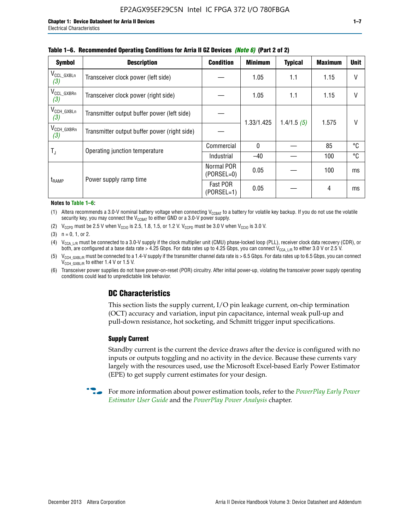| <b>Symbol</b>                 | <b>Description</b>                           | <b>Condition</b>           | <b>Minimum</b> | <b>Typical</b> | <b>Maximum</b> | <b>Unit</b>  |  |  |
|-------------------------------|----------------------------------------------|----------------------------|----------------|----------------|----------------|--------------|--|--|
| V <sub>CCL_GXBLn</sub><br>(3) | Transceiver clock power (left side)          |                            | 1.05           | $1.1$          | 1.15           | $\mathsf{V}$ |  |  |
| V <sub>CCL_GXBRn</sub><br>(3) | Transceiver clock power (right side)         |                            | 1.05           | 1.1            | 1.15           | V            |  |  |
| $V_{\text{CCH_GXBLn}}$<br>(3) | Transmitter output buffer power (left side)  |                            | 1.33/1.425     | 1.4/1.5(5)     | 1.575          | $\vee$       |  |  |
| $V_{CCH_GXBRn}$<br>(3)        | Transmitter output buffer power (right side) |                            |                |                |                |              |  |  |
|                               | Operating junction temperature               | Commercial                 | $\mathbf{0}$   |                | 85             | °C           |  |  |
| $T_{J}$                       |                                              | Industrial                 | $-40$          |                | 100            | °C           |  |  |
|                               |                                              | Normal POR<br>$(PORSEL=0)$ | 0.05           |                | 100            | ms           |  |  |
| t <sub>RAMP</sub>             | Power supply ramp time                       | Fast POR<br>$(PORSEL=1)$   | 0.05           |                | 4              | ms           |  |  |

#### **Table 1–6. Recommended Operating Conditions for Arria II GZ Devices** *(Note 6)* **(Part 2 of 2)**

#### **Notes to Table 1–6:**

(1) Altera recommends a 3.0-V nominal battery voltage when connecting  $V_{CCBAT}$  to a battery for volatile key backup. If you do not use the volatile security key, you may connect the  $V_{\text{CCBAT}}$  to either GND or a 3.0-V power supply.

(2)  $V_{CCPD}$  must be 2.5 V when  $V_{CCIO}$  is 2.5, 1.8, 1.5, or 1.2 V.  $V_{CCPD}$  must be 3.0 V when  $V_{CCIO}$  is 3.0 V.

(3)  $n = 0, 1, or 2$ .

(4)  $V_{CCA~LR}$  must be connected to a 3.0-V supply if the clock multiplier unit (CMU) phase-locked loop (PLL), receiver clock data recovery (CDR), or both, are configured at a base data rate > 4.25 Gbps. For data rates up to 4.25 Gbps, you can connect V<sub>CCA L/R</sub> to either 3.0 V or 2.5 V.

(5)  $V_{\text{CCH\_GXBL/R}}$  must be connected to a 1.4-V supply if the transmitter channel data rate is > 6.5 Gbps. For data rates up to 6.5 Gbps, you can connect V<sub>CCH\_GXBL/R</sub> to either 1.4 V or 1.5 V.

(6) Transceiver power supplies do not have power-on-reset (POR) circuitry. After initial power-up, violating the transceiver power supply operating conditions could lead to unpredictable link behavior.

# **DC Characteristics**

This section lists the supply current, I/O pin leakage current, on-chip termination (OCT) accuracy and variation, input pin capacitance, internal weak pull-up and pull-down resistance, hot socketing, and Schmitt trigger input specifications.

## **Supply Current**

Standby current is the current the device draws after the device is configured with no inputs or outputs toggling and no activity in the device. Because these currents vary largely with the resources used, use the Microsoft Excel-based Early Power Estimator (EPE) to get supply current estimates for your design.

**For more information about power estimation tools, refer to the** *PowerPlay Early Power* **<b>Formation** *[Estimator User Guide](http://www.altera.com/literature/ug/ug_epe.pdf
)* and the *[PowerPlay Power Analysis](http://www.altera.com/literature/hb/qts/qts_qii53013.pdf)* chapter.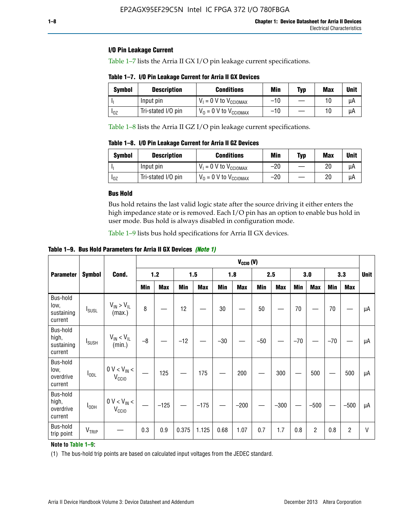## **I/O Pin Leakage Current**

Table 1–7 lists the Arria II GX I/O pin leakage current specifications.

**Table 1–7. I/O Pin Leakage Current for Arria II GX Devices**

| <b>Symbol</b>          | <b>Description</b> | <b>Conditions</b>                   | Min   | Typ | Max | <b>Unit</b> |
|------------------------|--------------------|-------------------------------------|-------|-----|-----|-------------|
|                        | Input pin          | $V_1 = 0$ V to $V_{\text{CCIOMAX}}$ | $-10$ |     |     | uА          |
| <b>I</b> <sub>OZ</sub> | Tri-stated I/O pin | $V_0 = 0$ V to $V_{\text{CCIOMAX}}$ | $-10$ |     |     | uА          |

Table 1–8 lists the Arria II GZ I/O pin leakage current specifications.

**Table 1–8. I/O Pin Leakage Current for Arria II GZ Devices**

| Symbol | <b>Description</b> | <b>Conditions</b>                   | Min   | Typ | Max | Unit |
|--------|--------------------|-------------------------------------|-------|-----|-----|------|
|        | Input pin          | $V_1 = 0$ V to $V_{\text{CCIOMAX}}$ | $-20$ |     | 20  | uА   |
| 10Z    | Tri-stated I/O pin | $V_0 = 0$ V to $V_{\text{CCIOMAX}}$ | $-20$ |     | 20  | μA   |

## **Bus Hold**

Bus hold retains the last valid logic state after the source driving it either enters the high impedance state or is removed. Each I/O pin has an option to enable bus hold in user mode. Bus hold is always disabled in configuration mode.

Table 1–9 lists bus hold specifications for Arria II GX devices.

**Table 1–9. Bus Hold Parameters for Arria II GX Devices** *(Note 1)*

|                                            |                          |                                                  | $V_{CClO}$ (V) |            |       |            |       |            |       |            |       |                |       |            |             |
|--------------------------------------------|--------------------------|--------------------------------------------------|----------------|------------|-------|------------|-------|------------|-------|------------|-------|----------------|-------|------------|-------------|
| <b>Parameter</b>                           | <b>Symbol</b>            | Cond.                                            |                | $1.2$      |       | 1.5        |       | 1.8        |       | 2.5        |       | 3.0            |       | 3.3        | <b>Unit</b> |
|                                            |                          |                                                  | Min            | <b>Max</b> | Min   | <b>Max</b> | Min   | <b>Max</b> | Min   | <b>Max</b> | Min   | <b>Max</b>     | Min   | <b>Max</b> |             |
| Bus-hold<br>low,<br>sustaining<br>current  | <b>I</b> <sub>SUSL</sub> | $V_{IN}$ > $V_{IL}$<br>(max.)                    | 8              |            | 12    |            | 30    |            | 50    |            | 70    |                | 70    |            | μA          |
| Bus-hold<br>high,<br>sustaining<br>current | I <sub>SUSH</sub>        | $V_{IN}$ < $V_{IL}$<br>(min.)                    | $-8$           |            | $-12$ |            | $-30$ |            | $-50$ |            | $-70$ |                | $-70$ |            | μA          |
| Bus-hold<br>low,<br>overdrive<br>current   | $I_{ODL}$                | $0 V < V_{IN} <$<br>V <sub>CCIO</sub>            |                | 125        |       | 175        |       | 200        |       | 300        |       | 500            |       | 500        | μA          |
| Bus-hold<br>high,<br>overdrive<br>current  | $I_{ODH}$                | $0$ V $<$ V $_{\rm IN}$ $<$<br>V <sub>CCIO</sub> |                | $-125$     |       | $-175$     |       | $-200$     |       | $-300$     |       | $-500$         |       | $-500$     | μA          |
| Bus-hold<br>trip point                     | VTRIP                    |                                                  | 0.3            | 0.9        | 0.375 | 1.125      | 0.68  | 1.07       | 0.7   | 1.7        | 0.8   | $\overline{c}$ | 0.8   | 2          | V           |

## **Note to Table 1–9:**

(1) The bus-hold trip points are based on calculated input voltages from the JEDEC standard.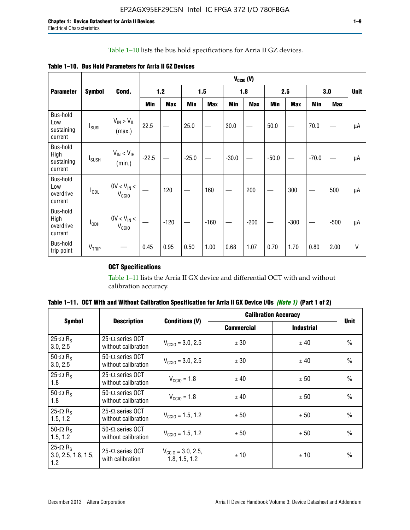## Table 1–10 lists the bus hold specifications for Arria II GZ devices.

| Table 1–10. Bus Hold Parameters for Arria II GZ Devices |  |
|---------------------------------------------------------|--|
|---------------------------------------------------------|--|

|                                           | $V_{CGIO} (V)$           |                                      |         |            |         |            |         |            |         |            |         |        |             |
|-------------------------------------------|--------------------------|--------------------------------------|---------|------------|---------|------------|---------|------------|---------|------------|---------|--------|-------------|
| <b>Parameter</b>                          | <b>Symbol</b>            | Cond.                                |         | $1.2$      |         | 1.5        |         | 1.8        |         | 2.5        |         | 3.0    | <b>Unit</b> |
|                                           |                          |                                      | Min     | <b>Max</b> | Min     | <b>Max</b> | Min     | <b>Max</b> | Min     | <b>Max</b> | Min     | Max    |             |
| Bus-hold<br>Low<br>sustaining<br>current  | $I_{SUSL}$               | $V_{IN}$ > $V_{IL}$<br>(max.)        | 22.5    |            | 25.0    |            | 30.0    |            | 50.0    |            | 70.0    |        | μA          |
| Bus-hold<br>High<br>sustaining<br>current | <b>I</b> <sub>SUSH</sub> | $V_{IN}$ < $V_{IH}$<br>(min.)        | $-22.5$ |            | $-25.0$ |            | $-30.0$ |            | $-50.0$ |            | $-70.0$ |        | μA          |
| Bus-hold<br>Low<br>overdrive<br>current   | $I_{ODL}$                | $0V < V_{IN}$<br>V <sub>CCIO</sub>   |         | 120        |         | 160        |         | 200        |         | 300        |         | 500    | μA          |
| Bus-hold<br>High<br>overdrive<br>current  | $I_{ODH}$                | $0V < V_{IN} <$<br>V <sub>CCIO</sub> |         | $-120$     |         | $-160$     |         | $-200$     |         | $-300$     |         | $-500$ | μA          |
| Bus-hold<br>trip point                    | $V_{TRIP}$               |                                      | 0.45    | 0.95       | 0.50    | 1.00       | 0.68    | 1.07       | 0.70    | 1.70       | 0.80    | 2.00   | V           |

# **OCT Specifications**

Table 1–11 lists the Arria II GX device and differential OCT with and without calibration accuracy.

|                                                           |                                                |                                                | <b>Calibration Accuracy</b> | <b>Unit</b>       |               |
|-----------------------------------------------------------|------------------------------------------------|------------------------------------------------|-----------------------------|-------------------|---------------|
| <b>Symbol</b>                                             | <b>Description</b>                             | <b>Conditions (V)</b>                          | <b>Commercial</b>           | <b>Industrial</b> |               |
| 25- $\Omega$ R <sub>s</sub><br>3.0, 2.5                   | $25-\Omega$ series OCT<br>without calibration  | $V_{\text{CC10}} = 3.0, 2.5$                   | ± 30                        | ± 40              | $\frac{0}{0}$ |
| 50- $\Omega$ R <sub>S</sub><br>3.0, 2.5                   | $50-\Omega$ series OCT<br>without calibration  | $V_{\text{CC10}} = 3.0, 2.5$                   | ± 30                        | ± 40              | $\frac{0}{0}$ |
| 25- $\Omega$ R <sub>S</sub><br>1.8                        | 25- $\Omega$ series OCT<br>without calibration | $V_{\text{CCI0}} = 1.8$                        | ± 40                        | ± 50              | $\frac{0}{0}$ |
| 50- $\Omega$ R <sub>s</sub><br>1.8                        | $50-\Omega$ series OCT<br>without calibration  | $V_{\text{CC10}} = 1.8$                        | ± 40                        | ± 50              | $\frac{0}{0}$ |
| 25- $\Omega$ R <sub>S</sub><br>1.5, 1.2                   | $25-\Omega$ series OCT<br>without calibration  | $V_{\text{CC10}} = 1.5, 1.2$                   | ± 50                        | ± 50              | $\frac{0}{0}$ |
| 50- $\Omega$ R <sub>s</sub><br>1.5, 1.2                   | $50-\Omega$ series OCT<br>without calibration  | $V_{\text{CC10}} = 1.5, 1.2$                   | ± 50                        | ± 50              | $\frac{0}{0}$ |
| 25- $\Omega$ R <sub>s</sub><br>3.0, 2.5, 1.8, 1.5,<br>1.2 | 25- $\Omega$ series OCT<br>with calibration    | $V_{\text{CC10}} = 3.0, 2.5,$<br>1.8, 1.5, 1.2 | ±10                         | ± 10              | $\frac{0}{0}$ |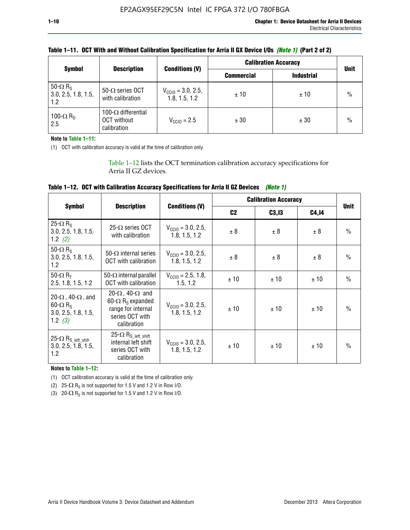|                                                           |                                                                 |                                                | <b>Calibration Accuracy</b> | <b>Unit</b>       |      |
|-----------------------------------------------------------|-----------------------------------------------------------------|------------------------------------------------|-----------------------------|-------------------|------|
| <b>Symbol</b>                                             | <b>Description</b>                                              | <b>Conditions (V)</b>                          | <b>Commercial</b>           | <b>Industrial</b> |      |
| 50- $\Omega$ R <sub>S</sub><br>3.0, 2.5, 1.8, 1.5,<br>1.2 | 50- $\Omega$ series OCT<br>with calibration                     | $V_{\text{CC10}} = 3.0, 2.5,$<br>1.8, 1.5, 1.2 | ±10                         | ±10               | $\%$ |
| 100- $\Omega$ R <sub>D</sub><br>2.5                       | 100- $\Omega$ differential<br><b>OCT</b> without<br>calibration | $V_{CCD} = 2.5$                                | ± 30                        | ± 30              | $\%$ |

| Table 1–11. OCT With and Without Calibration Specification for Arria II GX Device I/Os (Note 1) (Part 2 of 2) |  |
|---------------------------------------------------------------------------------------------------------------|--|
|---------------------------------------------------------------------------------------------------------------|--|

**Note to Table 1–11:**

(1) OCT with calibration accuracy is valid at the time of calibration only.

Table 1–12 lists the OCT termination calibration accuracy specifications for Arria II GZ devices.

| Table 1–12. OCT with Calibration Accuracy Specifications for Arria II GZ Devices (Note 1) |  |  |  |
|-------------------------------------------------------------------------------------------|--|--|--|
|-------------------------------------------------------------------------------------------|--|--|--|

|                                                                                                       |                                                                                                                                 |                                                | <b>Calibration Accuracy</b> | <b>Unit</b> |       |               |
|-------------------------------------------------------------------------------------------------------|---------------------------------------------------------------------------------------------------------------------------------|------------------------------------------------|-----------------------------|-------------|-------|---------------|
| <b>Symbol</b>                                                                                         | <b>Description</b>                                                                                                              | <b>Conditions (V)</b>                          | C <sub>2</sub>              | C3, I3      | C4,14 |               |
| 25- $\Omega$ R <sub>s</sub><br>3.0, 2.5, 1.8, 1.5,<br>1.2 $(2)$                                       | $25-\Omega$ series OCT<br>with calibration                                                                                      | $V_{CGI0} = 3.0, 2.5,$<br>1.8, 1.5, 1.2        | ± 8                         | ± 8         | ± 8   | $\frac{0}{0}$ |
| 50- $\Omega$ R <sub>s</sub><br>3.0, 2.5, 1.8, 1.5,<br>1.2                                             | 50- $\Omega$ internal series<br>OCT with calibration                                                                            | $V_{\text{CC10}} = 3.0, 2.5,$<br>1.8, 1.5, 1.2 | ± 8                         | ± 8         | ± 8   | $\frac{0}{0}$ |
| 50- $\Omega$ R <sub>T</sub><br>2.5, 1.8, 1.5, 1.2                                                     | 50- $\Omega$ internal parallel<br><b>OCT</b> with calibration                                                                   | $V_{\text{CC10}} = 2.5, 1.8,$<br>1.5.1.2       | ± 10                        | ± 10        | ± 10  | $\frac{0}{0}$ |
| 20- $\Omega$ , 40- $\Omega$ , and<br>$60 - \Omega$ R <sub>S</sub><br>3.0, 2.5, 1.8, 1.5,<br>1.2 $(3)$ | 20- $\Omega$ , 40- $\Omega$ and<br>60- $\Omega$ R <sub>s</sub> expanded<br>range for internal<br>series OCT with<br>calibration | $V_{\text{CC10}} = 3.0, 2.5,$<br>1.8, 1.5, 1.2 | ± 10                        | ± 10        | ± 10  | $\frac{0}{0}$ |
| 25- $\Omega$ R <sub>S</sub> left_shift<br>3.0, 2.5, 1.8, 1.5,<br>1.2                                  | $25-\Omega R_{S\_left\_shift}$<br>internal left shift<br>series OCT with<br>calibration                                         | $V_{\text{CC10}} = 3.0, 2.5,$<br>1.8, 1.5, 1.2 | ± 10                        | ±10         | ± 10  | $\frac{0}{0}$ |

**Notes to Table 1–12:**

(1) OCT calibration accuracy is valid at the time of calibration only.

(2) 25- $\Omega$  R<sub>S</sub> is not supported for 1.5 V and 1.2 V in Row I/O.

(3)  $20-\Omega$  R<sub>S</sub> is not supported for 1.5 V and 1.2 V in Row I/O.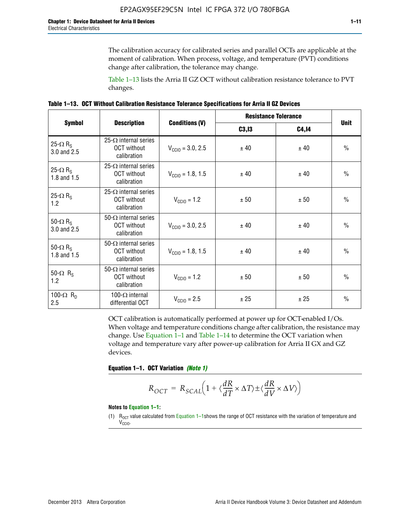The calibration accuracy for calibrated series and parallel OCTs are applicable at the moment of calibration. When process, voltage, and temperature (PVT) conditions change after calibration, the tolerance may change.

Table 1–13 lists the Arria II GZ OCT without calibration resistance tolerance to PVT changes.

|  | Table 1–13. OCT Without Calibration Resistance Tolerance Specifications for Arria II GZ Devices |  |  |  |
|--|-------------------------------------------------------------------------------------------------|--|--|--|
|--|-------------------------------------------------------------------------------------------------|--|--|--|

|                                            |                                                                   |                              | <b>Resistance Tolerance</b> |              |               |
|--------------------------------------------|-------------------------------------------------------------------|------------------------------|-----------------------------|--------------|---------------|
| <b>Symbol</b>                              | <b>Description</b>                                                | <b>Conditions (V)</b>        | C3, I3                      | <b>C4,14</b> | <b>Unit</b>   |
| 25- $\Omega$ R <sub>S</sub><br>3.0 and 2.5 | $25-\Omega$ internal series<br><b>OCT</b> without<br>calibration  | $V_{\text{CGI0}} = 3.0, 2.5$ | ± 40                        | ± 40         | $\frac{0}{0}$ |
| 25- $\Omega$ R <sub>S</sub><br>1.8 and 1.5 | 25- $\Omega$ internal series<br><b>OCT</b> without<br>calibration | $V_{\text{CC10}} = 1.8, 1.5$ | ± 40                        | ± 40         | $\frac{0}{0}$ |
| 25- $\Omega$ R <sub>S</sub><br>1.2         | 25- $\Omega$ internal series<br><b>OCT</b> without<br>calibration | $V_{\text{CC10}} = 1.2$      | ± 50                        | ± 50         | $\frac{0}{0}$ |
| 50- $\Omega$ R <sub>s</sub><br>3.0 and 2.5 | $50-\Omega$ internal series<br><b>OCT</b> without<br>calibration  | $V_{\text{CC10}} = 3.0, 2.5$ | ± 40                        | ± 40         | $\frac{0}{0}$ |
| 50- $\Omega$ R <sub>S</sub><br>1.8 and 1.5 | 50- $\Omega$ internal series<br><b>OCT</b> without<br>calibration | $V_{\text{CC10}} = 1.8, 1.5$ | ± 40                        | ± 40         | $\frac{0}{0}$ |
| 50- $\Omega$ R <sub>s</sub><br>1.2         | 50- $\Omega$ internal series<br><b>OCT</b> without<br>calibration | $V_{\text{CC10}} = 1.2$      | ± 50                        | ± 50         | $\frac{0}{0}$ |
| 100- $\Omega$ R <sub>n</sub><br>2.5        | 100- $\Omega$ internal<br>differential OCT                        | $V_{\text{CC10}} = 2.5$      | ± 25                        | ± 25         | $\frac{0}{0}$ |

OCT calibration is automatically performed at power up for OCT-enabled I/Os. When voltage and temperature conditions change after calibration, the resistance may change. Use Equation 1–1 and Table 1–14 to determine the OCT variation when voltage and temperature vary after power-up calibration for Arria II GX and GZ devices.

**Equation 1–1. OCT Variation** *(Note 1)*

$$
R_{OCT} = R_{SCAL} \Big( 1 + \langle \frac{dR}{dT} \times \Delta T \rangle \pm \langle \frac{dR}{dV} \times \Delta V \rangle \Big)
$$

#### **Notes to Equation 1–1:**

(1)  $R_{OCT}$  value calculated from Equation 1–1shows the range of OCT resistance with the variation of temperature and V<sub>CCIO</sub>.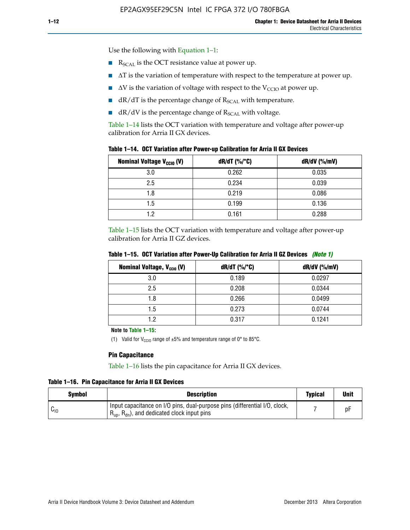Use the following with Equation 1–1:

- $\blacksquare$  R<sub>SCAL</sub> is the OCT resistance value at power up.
- $\blacksquare$   $\Delta T$  is the variation of temperature with respect to the temperature at power up.
- $\blacksquare$   $\Delta V$  is the variation of voltage with respect to the V<sub>CCIO</sub> at power up.
- $\blacksquare$  dR/dT is the percentage change of  $R_{\text{SCAL}}$  with temperature.
- $\blacksquare$  dR/dV is the percentage change of R<sub>SCAL</sub> with voltage.

Table 1–14 lists the OCT variation with temperature and voltage after power-up calibration for Arria II GX devices.

| Table 1–14. OCT Variation after Power-up Calibration for Arria II GX Devices |  |  |  |  |  |  |  |  |  |
|------------------------------------------------------------------------------|--|--|--|--|--|--|--|--|--|
|------------------------------------------------------------------------------|--|--|--|--|--|--|--|--|--|

| <b>Nominal Voltage V<sub>CCIO</sub> (V)</b> | $dR/dT$ (%/°C) | $dR/dV$ (%/mV) |
|---------------------------------------------|----------------|----------------|
| 3.0                                         | 0.262          | 0.035          |
| 2.5                                         | 0.234          | 0.039          |
| 1.8                                         | 0.219          | 0.086          |
| 1.5                                         | 0.199          | 0.136          |
| 1.2                                         | 0.161          | 0.288          |

Table 1–15 lists the OCT variation with temperature and voltage after power-up calibration for Arria II GZ devices.

| Nominal Voltage, V <sub>ccio</sub> (V) | $dR/dT$ (%/°C) | dR/dV (%/mV) |
|----------------------------------------|----------------|--------------|
| 3.0                                    | 0.189          | 0.0297       |
| 2.5                                    | 0.208          | 0.0344       |
| 1.8                                    | 0.266          | 0.0499       |
| 1.5                                    | 0.273          | 0.0744       |
| 1.2                                    | 0.317          | 0.1241       |

**Table 1–15. OCT Variation after Power-Up Calibration for Arria II GZ Devices** *(Note 1)*

**Note to Table 1–15:**

(1) Valid for V<sub>CCIO</sub> range of  $\pm 5\%$  and temperature range of 0° to 85°C.

#### **Pin Capacitance**

Table 1–16 lists the pin capacitance for Arria II GX devices.

**Table 1–16. Pin Capacitance for Arria II GX Devices**

| <b>Symbol</b> | <b>Description</b>                                                                                                                               | <b>Typical</b> | Unit |
|---------------|--------------------------------------------------------------------------------------------------------------------------------------------------|----------------|------|
| $v_{10}$      | Input capacitance on I/O pins, dual-purpose pins (differential I/O, clock,<br>$R_{\text{up}}$ , $R_{\text{dn}}$ , and dedicated clock input pins |                | D۲   |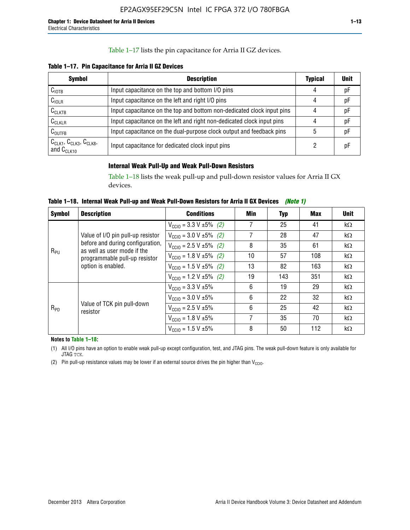## Table 1–17 lists the pin capacitance for Arria II GZ devices.

**Table 1–17. Pin Capacitance for Arria II GZ Devices** 

| <b>Symbol</b>                                    | <b>Description</b>                                                     | <b>Typical</b> | <b>Unit</b> |
|--------------------------------------------------|------------------------------------------------------------------------|----------------|-------------|
| $C_{\text{IOTB}}$                                | Input capacitance on the top and bottom I/O pins                       | 4              | pF          |
| C <sub>IOLR</sub>                                | Input capacitance on the left and right I/O pins                       | 4              | pF          |
| $C_{CLKTB}$                                      | Input capacitance on the top and bottom non-dedicated clock input pins |                | рF          |
| $C_{CLKLR}$                                      | Input capacitance on the left and right non-dedicated clock input pins |                | pF          |
| $C_{\text{OUTFB}}$                               | Input capacitance on the dual-purpose clock output and feedback pins   | 5              | pF          |
| $CCLK1$ , $CCLK3$ , $CCLK8$ ,<br>and $C_{CLK10}$ | Input capacitance for dedicated clock input pins                       |                | рF          |

## **Internal Weak Pull-Up and Weak Pull-Down Resistors**

Table 1–18 lists the weak pull-up and pull-down resistor values for Arria II GX devices.

**Table 1–18. Internal Weak Pull-up and Weak Pull-Down Resistors for Arria II GX Devices** *(Note 1)* 

| <b>Symbol</b> | <b>Description</b>                                                                                                     | <b>Conditions</b>                              | Min | Typ | Max | <b>Unit</b> |
|---------------|------------------------------------------------------------------------------------------------------------------------|------------------------------------------------|-----|-----|-----|-------------|
|               |                                                                                                                        | $V_{\text{CC10}} = 3.3 \text{ V} \pm 5\%$ (2)  | 7   | 25  | 41  | $k\Omega$   |
|               | Value of I/O pin pull-up resistor                                                                                      | $V_{\text{CC10}} = 3.0 V \pm 5\%$ (2)          | 7   | 28  | 47  | $k\Omega$   |
|               | before and during configuration,<br>as well as user mode if the<br>programmable pull-up resistor<br>option is enabled. | $V_{\text{CC10}} = 2.5 V \pm 5\%$ (2)          | 8   | 35  | 61  | $k\Omega$   |
| $R_{PU}$      |                                                                                                                        | $V_{\text{CC10}} = 1.8 \text{ V } \pm 5\%$ (2) | 10  | 57  | 108 | $k\Omega$   |
|               |                                                                                                                        | $V_{\text{CC10}} = 1.5 \text{ V} \pm 5\%$ (2)  | 13  | 82  | 163 | $k\Omega$   |
|               |                                                                                                                        | $V_{\text{CC10}} = 1.2 V \pm 5\%$ (2)          | 19  | 143 | 351 | $k\Omega$   |
|               |                                                                                                                        | $V_{CCl0} = 3.3 V \pm 5\%$                     | 6   | 19  | 29  | $k\Omega$   |
| $R_{PD}$      |                                                                                                                        | $V_{CCD} = 3.0 V \pm 5\%$                      | 6   | 22  | 32  | $k\Omega$   |
|               | Value of TCK pin pull-down<br>resistor                                                                                 | $V_{\text{CC10}} = 2.5 V \pm 5\%$              | 6   | 25  | 42  | kΩ          |
|               |                                                                                                                        | $V_{\text{CC10}} = 1.8 V \pm 5\%$              | 7   | 35  | 70  | $k\Omega$   |
|               |                                                                                                                        | $V_{\text{CC10}} = 1.5 V \pm 5\%$              | 8   | 50  | 112 | $k\Omega$   |

**Notes to Table 1–18:**

(1) All I/O pins have an option to enable weak pull-up except configuration, test, and JTAG pins. The weak pull-down feature is only available for JTAG TCK.

(2) Pin pull-up resistance values may be lower if an external source drives the pin higher than  $V_{\text{CCIO}}$ .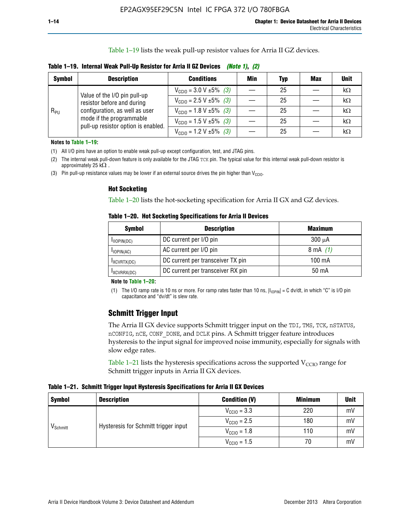Table 1–19 lists the weak pull-up resistor values for Arria II GZ devices.

| Table 1–19. Internal Weak Pull-Up Resistor for Arria II GZ Devices <i>(Note 1), (2)</i> |
|-----------------------------------------------------------------------------------------|
|-----------------------------------------------------------------------------------------|

| <b>Symbol</b> | <b>Description</b>                                                                                                              | <b>Conditions</b>                              | Min | Typ | <b>Max</b> | <b>Unit</b> |
|---------------|---------------------------------------------------------------------------------------------------------------------------------|------------------------------------------------|-----|-----|------------|-------------|
| $R_{PU}$      | Value of the I/O pin pull-up                                                                                                    | $V_{\text{CC10}} = 3.0 \text{ V} \pm 5\%$ (3)  |     | 25  |            | kΩ          |
|               | resistor before and during<br>configuration, as well as user<br>mode if the programmable<br>pull-up resistor option is enabled. | $V_{\text{CC10}} = 2.5 V \pm 5\%$ (3)          |     | 25  |            | kΩ          |
|               |                                                                                                                                 | $V_{\text{CC10}} = 1.8 \text{ V} \pm 5\%$ (3)  |     | 25  |            | kΩ          |
|               |                                                                                                                                 | $V_{\text{CC10}} = 1.5 \text{ V} \pm 5\%$ (3)  |     | 25  |            | kΩ          |
|               |                                                                                                                                 | $V_{\text{CC10}} = 1.2 \text{ V } \pm 5\%$ (3) |     | 25  |            | $k\Omega$   |

**Notes to Table 1–19:**

(1) All I/O pins have an option to enable weak pull-up except configuration, test, and JTAG pins.

(2) The internal weak pull-down feature is only available for the JTAG TCK pin. The typical value for this internal weak pull-down resistor is approximately 25 k $\Omega$ .

(3) Pin pull-up resistance values may be lower if an external source drives the pin higher than  $V_{\text{CCIO}}$ .

#### **Hot Socketing**

Table 1–20 lists the hot-socketing specification for Arria II GX and GZ devices.

**Table 1–20. Hot Socketing Specifications for Arria II Devices** 

| Symbol        | <b>Description</b>                | <b>Maximum</b> |  |  |
|---------------|-----------------------------------|----------------|--|--|
| IIOPIN(DC)    | DC current per I/O pin            | $300 \mu A$    |  |  |
| $I$ IOPIN(AC) | AC current per I/O pin            | 8 mA $(1)$     |  |  |
| IXCVRTX(DC)   | DC current per transceiver TX pin | 100 mA         |  |  |
| IXCVRRX(DC)   | DC current per transceiver RX pin | 50 mA          |  |  |

#### **Note to Table 1–20:**

(1) The I/O ramp rate is 10 ns or more. For ramp rates faster than 10 ns,  $|I_{10\text{PIN}}| = C$  dv/dt, in which "C" is I/O pin capacitance and "dv/dt" is slew rate.

# **Schmitt Trigger Input**

The Arria II GX device supports Schmitt trigger input on the TDI, TMS, TCK, nSTATUS, nCONFIG, nCE, CONF\_DONE, and DCLK pins. A Schmitt trigger feature introduces hysteresis to the input signal for improved noise immunity, especially for signals with slow edge rates.

Table 1–21 lists the hysteresis specifications across the supported  $V<sub>CCIO</sub>$  range for Schmitt trigger inputs in Arria II GX devices.

**Table 1–21. Schmitt Trigger Input Hysteresis Specifications for Arria II GX Devices**

| <b>Symbol</b>        | <b>Description</b>                   | <b>Condition (V)</b>    | <b>Minimum</b> | <b>Unit</b> |
|----------------------|--------------------------------------|-------------------------|----------------|-------------|
| V <sub>Schmitt</sub> |                                      | $V_{\text{CGI0}} = 3.3$ | 220            | mV          |
|                      | Hysteresis for Schmitt trigger input | $V_{\text{CCIO}} = 2.5$ | 180            | mV          |
|                      |                                      | $V_{\text{CCIO}} = 1.8$ | 110            | mV          |
|                      |                                      | $V_{\text{CCIO}} = 1.5$ | 70             | mV          |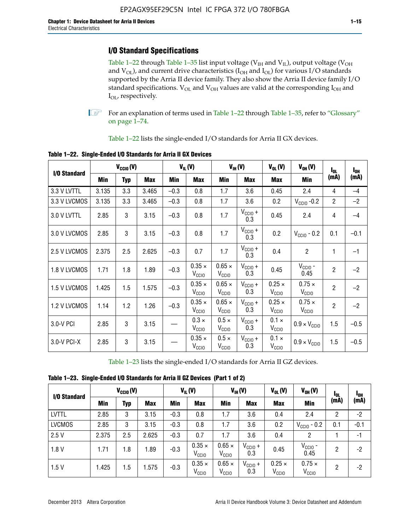# **I/O Standard Specifications**

Table 1–22 through Table 1–35 list input voltage ( $V_{IH}$  and  $V_{IL}$ ), output voltage ( $V_{OH}$ and  $V_{OL}$ ), and current drive characteristics ( $I_{OH}$  and  $I_{OL}$ ) for various I/O standards supported by the Arria II device family. They also show the Arria II device family I/O standard specifications.  $V_{OL}$  and  $V_{OH}$  values are valid at the corresponding  $I_{OH}$  and I<sub>OL</sub>, respectively.

**1.** For an explanation of terms used in Table 1–22 through Table 1–35, refer to "Glossary" on page 1–74.

Table 1–22 lists the single-ended I/O standards for Arria II GX devices.

| I/O Standard | $V_{CClO}(V)$ |            | $V_{IL}(V)$<br>$V_{IH}(V)$ |        | $V_{OL}(V)$                        |                                    | $V_{OH} (V)$        | $I_{0L}$                           | $I_{0H}$                           |                |        |
|--------------|---------------|------------|----------------------------|--------|------------------------------------|------------------------------------|---------------------|------------------------------------|------------------------------------|----------------|--------|
|              | Min           | <b>Typ</b> | <b>Max</b>                 | Min    | <b>Max</b>                         | Min                                | <b>Max</b>          | <b>Max</b>                         | Min                                | (mA)           | (mA)   |
| 3.3 V LVTTL  | 3.135         | 3.3        | 3.465                      | $-0.3$ | 0.8                                | 1.7                                | 3.6                 | 0.45                               | 2.4                                | 4              | $-4$   |
| 3.3 V LVCMOS | 3.135         | 3.3        | 3.465                      | $-0.3$ | 0.8                                | 1.7                                | 3.6                 | 0.2                                | $V_{\text{CCIO}}$ -0.2             | $\overline{2}$ | $-2$   |
| 3.0 V LVTTL  | 2.85          | 3          | 3.15                       | $-0.3$ | 0.8                                | 1.7                                | $V_{CC10} +$<br>0.3 | 0.45                               | 2.4                                | 4              | $-4$   |
| 3.0 V LVCMOS | 2.85          | 3          | 3.15                       | $-0.3$ | 0.8                                | 1.7                                | $V_{CCIO} +$<br>0.3 | 0.2                                | $V_{CGI0} - 0.2$                   | 0.1            | $-0.1$ |
| 2.5 V LVCMOS | 2.375         | 2.5        | 2.625                      | $-0.3$ | 0.7                                | 1.7                                | $V_{CC10} +$<br>0.3 | 0.4                                | $\overline{c}$                     | 1              | $-1$   |
| 1.8 V LVCMOS | 1.71          | 1.8        | 1.89                       | $-0.3$ | $0.35 \times$<br>V <sub>CCIO</sub> | $0.65 \times$<br>V <sub>CCIO</sub> | $V_{CC10} +$<br>0.3 | 0.45                               | $V_{CGIO}$ -<br>0.45               | $\overline{2}$ | $-2$   |
| 1.5 V LVCMOS | 1.425         | 1.5        | 1.575                      | $-0.3$ | $0.35 \times$<br>V <sub>CCIO</sub> | $0.65 \times$<br>$V_{\rm CClO}$    | $V_{CCIO} +$<br>0.3 | $0.25 \times$<br>V <sub>CCIO</sub> | $0.75 \times$<br>V <sub>CCIO</sub> | $\overline{2}$ | $-2$   |
| 1.2 V LVCMOS | 1.14          | 1.2        | 1.26                       | $-0.3$ | $0.35 \times$<br>V <sub>CCIO</sub> | $0.65 \times$<br>V <sub>CCIO</sub> | $V_{CC10} +$<br>0.3 | $0.25 \times$<br>V <sub>CCIO</sub> | $0.75 \times$<br>V <sub>CCIO</sub> | $\overline{2}$ | $-2$   |
| 3.0-V PCI    | 2.85          | 3          | 3.15                       |        | $0.3 \times$<br>V <sub>CCIO</sub>  | $0.5 \times$<br>V <sub>CCIO</sub>  | $V_{CC10} +$<br>0.3 | $0.1 \times$<br>V <sub>CCIO</sub>  | $0.9 \times V_{\text{CC10}}$       | 1.5            | $-0.5$ |
| 3.0-V PCI-X  | 2.85          | 3          | 3.15                       |        | $0.35 \times$<br>V <sub>CCIO</sub> | $0.5 \times$<br>$V_{\rm CClO}$     | $V_{CCIO} +$<br>0.3 | $0.1 \times$<br>V <sub>CCIO</sub>  | $0.9 \times V_{\text{CC10}}$       | 1.5            | $-0.5$ |

**Table 1–22. Single-Ended I/O Standards for Arria II GX Devices**

Table 1–23 lists the single-ended I/O standards for Arria II GZ devices.

|  |  | Table 1-23. Single-Ended I/O Standards for Arria II GZ Devices (Part 1 of 2) |  |
|--|--|------------------------------------------------------------------------------|--|
|--|--|------------------------------------------------------------------------------|--|

| I/O Standard  |       | $V_{\text{CCIO}}(V)$ |            | $V_{IL}(V)$ |                                    | $V_{IH} (V)$                       |                            | $V_{OL}(V)$                        | $V_{OH} (V)$                       | l <sub>ol</sub> | 1 <sub>0H</sub> |
|---------------|-------|----------------------|------------|-------------|------------------------------------|------------------------------------|----------------------------|------------------------------------|------------------------------------|-----------------|-----------------|
|               | Min   | Typ                  | <b>Max</b> | <b>Min</b>  | <b>Max</b>                         | Min                                | <b>Max</b>                 | <b>Max</b>                         | <b>Min</b>                         | (mA)            | (mA)            |
| <b>LVTTL</b>  | 2.85  | 3                    | 3.15       | $-0.3$      | 0.8                                | 1.7                                | 3.6                        | 0.4                                | 2.4                                | 2               | $-2$            |
| <b>LVCMOS</b> | 2.85  | 3                    | 3.15       | $-0.3$      | 0.8                                | 1.7                                | 3.6                        | 0.2                                | $V_{\text{CCIO}}$ - 0.2            | 0.1             | $-0.1$          |
| 2.5V          | 2.375 | 2.5                  | 2.625      | $-0.3$      | 0.7                                | 1.7                                | 3.6                        | 0.4                                | 2                                  |                 | $-1$            |
| 1.8V          | 1.71  | 1.8                  | 1.89       | $-0.3$      | $0.35 \times$<br>V <sub>CCIO</sub> | $0.65 \times$<br>V <sub>CCIO</sub> | $V_{\text{CC1O}} +$<br>0.3 | 0.45                               | $V_{CGIO}$ -<br>0.45               | 2               | -2              |
| 1.5V          | 1.425 | 1.5                  | .575       | $-0.3$      | $0.35 \times$<br>V <sub>CCIO</sub> | $0.65 \times$<br>V <sub>CCIO</sub> | $V_{\text{CC10}} +$<br>0.3 | $0.25 \times$<br>V <sub>CCIO</sub> | $0.75 \times$<br>V <sub>CCIO</sub> | 2               | -2              |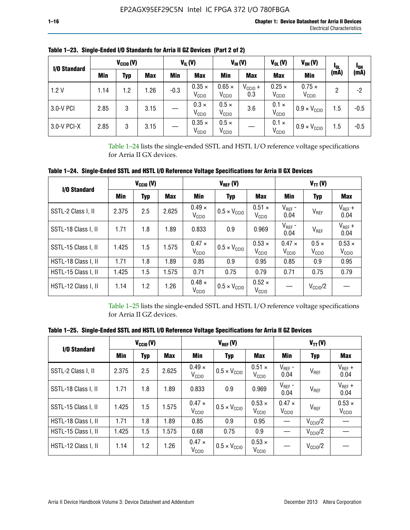| I/O Standard |      | $V_{CClO}(V)$ |            | $V_{IL}(V)$ |                                    |                                    | $V_{IH} (V)$               | $V_{OL}(V)$<br>$V_{OH} (V)$        |                                    | <b>I</b> OL | <sup>1</sup> OH |
|--------------|------|---------------|------------|-------------|------------------------------------|------------------------------------|----------------------------|------------------------------------|------------------------------------|-------------|-----------------|
|              | Min  | Typ           | <b>Max</b> | Min         | <b>Max</b>                         | Min                                | <b>Max</b>                 | <b>Max</b>                         | <b>Min</b>                         | (mA)        | (mA)            |
| 1.2V         | 1.14 | 1.2           | 1.26       | $-0.3$      | $0.35 \times$<br>V <sub>CCIO</sub> | $0.65 \times$<br>V <sub>CCIO</sub> | $V_{\text{CC1O}} +$<br>0.3 | $0.25 \times$<br>V <sub>CCIO</sub> | $0.75 \times$<br>V <sub>CCIO</sub> | 2           | -2              |
| 3.0-V PCI    | 2.85 | 3             | 3.15       |             | $0.3 \times$<br>V <sub>CCIO</sub>  | $0.5 \times$<br>V <sub>CCIO</sub>  | 3.6                        | $0.1 \times$<br>V <sub>CCIO</sub>  | $0.9 \times V_{\text{CC10}}$       | 1.5         | $-0.5$          |
| 3.0-V PCI-X  | 2.85 | 3             | 3.15       |             | $0.35 \times$<br>V <sub>CCIO</sub> | $0.5 \times$<br>V <sub>CCIO</sub>  |                            | $0.1 \times$<br>V <sub>CCIO</sub>  | $0.9 \times V_{\text{CC10}}$       | 1.5         | $-0.5$          |

**Table 1–23. Single-Ended I/O Standards for Arria II GZ Devices (Part 2 of 2)**

Table 1–24 lists the single-ended SSTL and HSTL I/O reference voltage specifications for Arria II GX devices.

**Table 1–24. Single-Ended SSTL and HSTL I/O Reference Voltage Specifications for Arria II GX Devices**

| I/O Standard        |       | $V_{\text{CCIO}}(V)$ |            |                                    | $V_{REF}(V)$                 |                                    | $V_{TT} (V)$                       |                                   |                                    |  |
|---------------------|-------|----------------------|------------|------------------------------------|------------------------------|------------------------------------|------------------------------------|-----------------------------------|------------------------------------|--|
|                     | Min   | <b>Typ</b>           | <b>Max</b> | Min<br><b>Max</b><br><b>Typ</b>    |                              |                                    | Min                                | <b>Typ</b>                        | Max                                |  |
| SSTL-2 Class I, II  | 2.375 | 2.5                  | 2.625      | $0.49 \times$<br>V <sub>CCD</sub>  | $0.5 \times V_{\text{CCIO}}$ | $0.51 \times$<br>V <sub>CClO</sub> | $V_{REF}$ -<br>0.04                | $V_{REF}$                         | $V_{REF}$ +<br>0.04                |  |
| SSTL-18 Class I, II | 1.71  | 1.8                  | 1.89       | 0.833                              | 0.9                          | 0.969                              | $V_{REF}$ -<br>0.04                | $V_{REF}$                         | $V_{REF}$ +<br>0.04                |  |
| SSTL-15 Class I, II | 1.425 | 1.5                  | 1.575      | $0.47 \times$<br>V <sub>CCIO</sub> | $0.5 \times V_{\text{CCIO}}$ | $0.53 \times$<br>V <sub>CClO</sub> | $0.47 \times$<br>V <sub>CCIO</sub> | $0.5 \times$<br>V <sub>CCIO</sub> | $0.53 \times$<br>V <sub>CCIO</sub> |  |
| HSTL-18 Class I, II | 1.71  | 1.8                  | 1.89       | 0.85                               | 0.9                          | 0.95                               | 0.85                               | 0.9                               | 0.95                               |  |
| HSTL-15 Class I, II | 1.425 | 1.5                  | 1.575      | 0.71                               | 0.75                         | 0.79                               | 0.71                               | 0.75                              | 0.79                               |  |
| HSTL-12 Class I, II | 1.14  | 1.2                  | 1.26       | $0.48 \times$<br>V <sub>CCIO</sub> | $0.5 \times V_{\text{CC10}}$ | $0.52 \times$<br>V <sub>CCIO</sub> |                                    | $V_{\text{CCIO}}/2$               |                                    |  |

Table 1–25 lists the single-ended SSTL and HSTL I/O reference voltage specifications for Arria II GZ devices.

**Table 1–25. Single-Ended SSTL and HSTL I/O Reference Voltage Specifications for Arria II GZ Devices** 

| I/O Standard        |       | $V_{\text{CCIO}}(V)$ |            |                                    | $V_{REF}(V)$                 |                                    | $V_{TT}(V)$                       |                     |                                    |  |
|---------------------|-------|----------------------|------------|------------------------------------|------------------------------|------------------------------------|-----------------------------------|---------------------|------------------------------------|--|
|                     | Min   | <b>Typ</b>           | <b>Max</b> | Min                                | Typ                          | <b>Max</b>                         | Min                               | Typ                 | Max                                |  |
| SSTL-2 Class I, II  | 2.375 | 2.5                  | 2.625      | $0.49 \times$<br>V <sub>CCIO</sub> | $0.5 \times V_{\text{CC10}}$ | $0.51 \times$<br>V <sub>CCIO</sub> | $V_{REF}$ -<br>0.04               | V <sub>REF</sub>    | $V_{REF}$ +<br>0.04                |  |
| SSTL-18 Class I, II | 1.71  | 1.8                  | 1.89       | 0.833                              | 0.9                          | 0.969                              | $V_{REF}$ -<br>0.04               | V <sub>REF</sub>    | $V_{REF}$ +<br>0.04                |  |
| SSTL-15 Class I, II | 1.425 | 1.5                  | 1.575      | $0.47 \times$<br>V <sub>CCIO</sub> | $0.5 \times V_{\text{CC10}}$ | $0.53 \times$<br>V <sub>CCIO</sub> | $0.47 \times$<br>V <sub>CCD</sub> | V <sub>REF</sub>    | $0.53 \times$<br>V <sub>CCIO</sub> |  |
| HSTL-18 Class I, II | 1.71  | 1.8                  | 1.89       | 0.85                               | 0.9                          | 0.95                               |                                   | $V_{\text{CC10}}/2$ |                                    |  |
| HSTL-15 Class I, II | 1.425 | 1.5                  | 1.575      | 0.68                               | 0.75                         | 0.9                                |                                   | $V_{\rm CC10}$ /2   |                                    |  |
| HSTL-12 Class I, II | 1.14  | 1.2                  | 1.26       | $0.47 \times$<br>V <sub>CCIO</sub> | $0.5 \times V_{\text{CC10}}$ | $0.53 \times$<br>V <sub>CCIO</sub> |                                   | $V_{\text{CC10}}/2$ |                                    |  |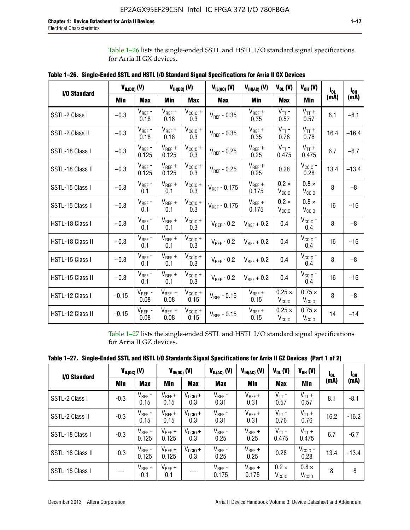Table 1–26 lists the single-ended SSTL and HSTL I/O standard signal specifications for Arria II GX devices.

| <b>I/O Standard</b> | $V_{IL(DC)}(V)$ |                                      | $V_{IH(DC)}(V)$      |                             | $V_{IL(AC)}(V)$   | $V_{IH(AC)}$ (V)     | $V_{OL}$ (V)                       | $V_{OH} (V)$                       | l <sub>ol.</sub> | $I_{0H}$ |
|---------------------|-----------------|--------------------------------------|----------------------|-----------------------------|-------------------|----------------------|------------------------------------|------------------------------------|------------------|----------|
|                     | Min             | <b>Max</b>                           | Min                  | <b>Max</b>                  | <b>Max</b>        | Min                  | <b>Max</b>                         | <b>Min</b>                         | (mA)             | (mA)     |
| SSTL-2 Class I      | $-0.3$          | $V_{REF}$ -<br>0.18                  | $V_{REF} +$<br>0.18  | $V_{\text{CCIO}} +$<br>0.3  | $V_{REF}$ - 0.35  | $V_{REF} +$<br>0.35  | $V_{TT}$ -<br>0.57                 | $V_{TT}$ +<br>0.57                 | 8.1              | $-8.1$   |
| SSTL-2 Class II     | $-0.3$          | $V_{REF}$ -<br>0.18                  | $V_{REF} +$<br>0.18  | $V_{CCIO} +$<br>0.3         | $V_{REF} - 0.35$  | $V_{REF} +$<br>0.35  | $V_{TT}$ -<br>0.76                 | $V_{TT}$ +<br>0.76                 | 16.4             | $-16.4$  |
| SSTL-18 Class I     | $-0.3$          | $V_{REF}$ -<br>0.125                 | $V_{REF}$ +<br>0.125 | $V_{\text{CC1O}} +$<br>0.3  | $V_{REF}$ - 0.25  | $V_{REF}$ +<br>0.25  | $V_{TT}$ -<br>0.475                | $V_{TT}$ +<br>0.475                | 6.7              | $-6.7$   |
| SSTL-18 Class II    | $-0.3$          | $V_{REF}$ -<br>0.125                 | $V_{REF}$ +<br>0.125 | $V_{\text{CCIO}} +$<br>0.3  | $V_{REF}$ - 0.25  | $V_{REF}$ +<br>0.25  | 0.28                               | $V_{CGIO}$ -<br>0.28               | 13.4             | $-13.4$  |
| SSTL-15 Class I     | $-0.3$          | $V_{REF}$ -<br>0.1                   | $V_{REF}$ +<br>0.1   | $V_{\text{CCIO}} +$<br>0.3  | $V_{REF}$ - 0.175 | $V_{REF}$ +<br>0.175 | $0.2 \times$<br>V <sub>CCIO</sub>  | $0.8 \times$<br>V <sub>CCIO</sub>  | 8                | $-8$     |
| SSTL-15 Class II    | $-0.3$          | $V_{REF}$ -<br>0.1                   | $V_{REF}$ +<br>0.1   | $V_{\text{CCIO}} +$<br>0.3  | $V_{REF} - 0.175$ | $V_{REF}$ +<br>0.175 | $0.2 \times$<br>V <sub>CCIO</sub>  | $0.8 \times$<br>V <sub>CCIO</sub>  | 16               | $-16$    |
| HSTL-18 Class I     | $-0.3$          | $V_{REF}$ -<br>0.1                   | $V_{REF}$ +<br>0.1   | $V_{\text{CCIO}} +$<br>0.3  | $V_{REF} - 0.2$   | $V_{REF}$ + 0.2      | 0.4                                | $V_{CGIO}$ -<br>0.4                | 8                | $-8$     |
| HSTL-18 Class II    | $-0.3$          | $V_{REF}$ -<br>0.1                   | $V_{REF}$ +<br>0.1   | $V_{\text{CC1O}} +$<br>0.3  | $V_{REF}$ - 0.2   | $V_{REF}$ + 0.2      | 0.4                                | $V_{\text{CCIO}}$ -<br>0.4         | 16               | $-16$    |
| HSTL-15 Class I     | $-0.3$          | $V_{REF}$ -<br>0.1                   | $V_{REF}$ +<br>0.1   | $V_{\text{CC1O}} +$<br>0.3  | $V_{REF} - 0.2$   | $V_{REF}$ + 0.2      | 0.4                                | $V_{\text{CCIO}}$ -<br>0.4         | 8                | $-8$     |
| HSTL-15 Class II    | $-0.3$          | $\mathsf{V}_{\mathsf{REF}}$ -<br>0.1 | $V_{REF}$ +<br>0.1   | $V_{\text{CCIO}} +$<br>0.3  | $V_{REF}$ - 0.2   | $V_{REF}$ + 0.2      | 0.4                                | $V_{CCIO}$ -<br>0.4                | 16               | $-16$    |
| HSTL-12 Class I     | $-0.15$         | $V_{REF}$ -<br>0.08                  | $V_{REF}$ +<br>0.08  | $V_{CClO} +$<br>0.15        | $V_{REF} - 0.15$  | $V_{REF} +$<br>0.15  | $0.25 \times$<br>V <sub>CCIO</sub> | $0.75 \times$<br>V <sub>CCIO</sub> | 8                | $-8$     |
| HSTL-12 Class II    | $-0.15$         | $V_{REF}$ -<br>0.08                  | $V_{REF}$ +<br>0.08  | $V_{\text{CCIO}} +$<br>0.15 | $V_{REF}$ - 0.15  | $V_{REF} +$<br>0.15  | $0.25 \times$<br>V <sub>CCIO</sub> | $0.75 \times$<br>V <sub>CCIO</sub> | 14               | $-14$    |

**Table 1–26. Single-Ended SSTL and HSTL I/O Standard Signal Specifications for Arria II GX Devices** 

Table 1–27 lists the single-ended SSTL and HSTL I/O standard signal specifications for Arria II GZ devices.

| I/O Standard     |        | $V_{IL(DC)}$ (V)     |                      | $V_{IH(DC)}$ (V)           | $V_{IL(AC)}$ (V)     | $V_{IH(AC)}(V)$      | $V_{OL}$ (V)                      | $V_{OH} (V)$                   | l <sub>OL</sub> | 1 <sub>0H</sub> |
|------------------|--------|----------------------|----------------------|----------------------------|----------------------|----------------------|-----------------------------------|--------------------------------|-----------------|-----------------|
|                  | Min    | <b>Max</b>           | <b>Min</b>           | <b>Max</b>                 | <b>Max</b>           | Min                  | <b>Max</b>                        | Min                            | (mA)            | (mA)            |
| SSTL-2 Class I   | $-0.3$ | $V_{REF}$ -<br>0.15  | $V_{REF} +$<br>0.15  | $V_{CCIO} +$<br>0.3        | $V_{REF}$ -<br>0.31  | $V_{REF} +$<br>0.31  | $V_{TT}$ -<br>0.57                | $V_{TT}$ +<br>0.57             | 8.1             | $-8.1$          |
| SSTL-2 Class II  | $-0.3$ | $V_{REF}$ -<br>0.15  | $V_{REF} +$<br>0.15  | $V_{\text{CC1O}} +$<br>0.3 | $V_{REF}$ -<br>0.31  | $V_{REF} +$<br>0.31  | $V_{TT}$ -<br>0.76                | $V_{TT}$ +<br>0.76             | 16.2            | $-16.2$         |
| SSTL-18 Class I  | $-0.3$ | $V_{REF}$ -<br>0.125 | $V_{REF}$ +<br>0.125 | $V_{\text{CC1O}} +$<br>0.3 | $V_{REF}$ -<br>0.25  | $V_{REF}$ +<br>0.25  | $V_{TT}$ -<br>0.475               | $V_{TT}$ +<br>0.475            | 6.7             | $-6.7$          |
| SSTL-18 Class II | $-0.3$ | $V_{REF}$ -<br>0.125 | $V_{REF}$ +<br>0.125 | $V_{\text{CC1O}} +$<br>0.3 | $V_{REF}$ -<br>0.25  | $V_{REF}$ +<br>0.25  | 0.28                              | $V_{\rm CCIO}$ -<br>0.28       | 13.4            | $-13.4$         |
| SSTL-15 Class I  |        | $V_{REF}$ -<br>0.1   | $V_{REF}$ +<br>0.1   |                            | $V_{REF}$ -<br>0.175 | $V_{REF}$ +<br>0.175 | $0.2 \times$<br>V <sub>CCIO</sub> | $0.8 \times$<br>$V_{\rm CClO}$ | 8               | -8              |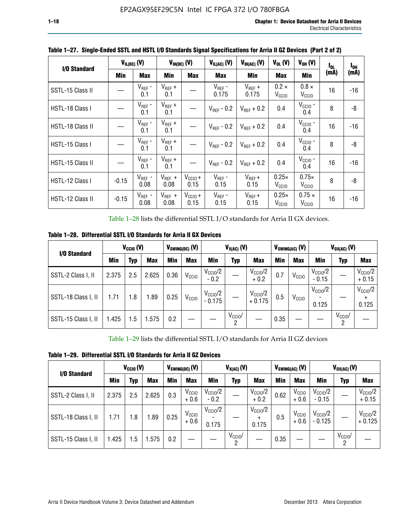| I/O Standard     |            | $V_{IL(DC)}$ (V)    |                     | $V_{IH(DC)}$ (V)            | $V_{IL(AC)}$ (V)<br>$V_{IH(AC)}(V)$ |                        | $V_{OH} (V)$<br>$V_{OL}$ (V)      |                                    | I <sub>OL</sub> | $I_{0H}$ |
|------------------|------------|---------------------|---------------------|-----------------------------|-------------------------------------|------------------------|-----------------------------------|------------------------------------|-----------------|----------|
|                  | <b>Min</b> | <b>Max</b>          | Min                 | <b>Max</b>                  | <b>Max</b>                          | <b>Min</b>             | <b>Max</b>                        | Min                                | (mA)            | (mA)     |
| SSTL-15 Class II |            | $V_{REF}$ -<br>0.1  | $V_{REF}$ +<br>0.1  |                             | $V_{REF}$ -<br>0.175                | $V_{REF}$ +<br>0.175   | $0.2 \times$<br>V <sub>CCIO</sub> | $0.8 \times$<br>V <sub>CCIO</sub>  | 16              | -16      |
| HSTL-18 Class I  |            | $V_{REF}$ -<br>0.1  | $V_{REF}$ +<br>0.1  |                             | $V_{\text{RFF}}$ - 0.2              | $V_{RFF}$ + 0.2        | 0.4                               | $V_{\text{CCIO}}$ -<br>0.4         | 8               | -8       |
| HSTL-18 Class II |            | $V_{REF}$ -<br>0.1  | $V_{REF}$ +<br>0.1  |                             | $V_{\text{RFF}}$ - 0.2              | $V_{RFF}$ + 0.2        | 0.4                               | $V_{\text{CCIO}}$ -<br>0.4         | 16              | $-16$    |
| HSTL-15 Class I  |            | $V_{REF}$ -<br>0.1  | $V_{REF}$ +<br>0.1  |                             | $V_{BFF}$ - 0.2                     | $V_{\text{RFF}} + 0.2$ | 0.4                               | $V_{CCIO}$ -<br>0.4                | 8               | -8       |
| HSTL-15 Class II |            | $V_{REF}$ -<br>0.1  | $V_{REF}$ +<br>0.1  |                             | $V_{REF}$ - 0.2                     | $V_{REF}$ + 0.2        | 0.4                               | $V_{\text{CCIO}}$ -<br>0.4         | 16              | $-16$    |
| HSTL-12 Class I  | $-0.15$    | $V_{REF}$ -<br>0.08 | $V_{REF}$ +<br>0.08 | $V_{CCIO} +$<br>0.15        | $V_{REF}$ -<br>0.15                 | $V_{REF} +$<br>0.15    | $0.25\times$<br>V <sub>CCIO</sub> | $0.75\times$<br>V <sub>CCIO</sub>  | 8               | -8       |
| HSTL-12 Class II | $-0.15$    | $V_{REF}$ -<br>0.08 | $V_{REF}$ +<br>0.08 | $V_{\text{CC1O}} +$<br>0.15 | $V_{REF}$ -<br>0.15                 | $V_{REF}$ +<br>0.15    | $0.25\times$<br>V <sub>CCIO</sub> | $0.75 \times$<br>V <sub>CCIO</sub> | 16              | -16      |

**Table 1–27. Single-Ended SSTL and HSTL I/O Standards Signal Specifications for Arria II GZ Devices (Part 2 of 2)**

Table 1–28 lists the differential SSTL I/O standards for Arria II GX devices.

**Table 1–28. Differential SSTL I/O Standards for Arria II GX Devices**

| I/O Standard        | $V_{\text{CCIO}}(V)$ |            |            | $V_{SWING(DC)}$ (V) |                   | $V_{X(AC)}(V)$                  |                 |                                 | $V_{SWING(AC)}$ (V) |                   | $V_{OX(AC)}$ (V)               |                 |                              |
|---------------------|----------------------|------------|------------|---------------------|-------------------|---------------------------------|-----------------|---------------------------------|---------------------|-------------------|--------------------------------|-----------------|------------------------------|
|                     | Min                  | <b>Typ</b> | <b>Max</b> | Min                 | <b>Max</b>        | Min                             | Typ             | <b>Max</b>                      | Min                 | <b>Max</b>        | Min                            | Typ             | <b>Max</b>                   |
| SSTL-2 Class I, II  | 2.375                | 2.5        | 2.625      | 0.36                | V <sub>CCIO</sub> | $V_{\text{CCIO}}/2$<br>$-0.2$   |                 | $V_{\rm CC10}$ /2<br>$+0.2$     | 0.7                 | V <sub>CCIO</sub> | $V_{\text{CC10}}/2$<br>$-0.15$ |                 | $V_{\rm CCIO}/2$<br>$+0.15$  |
| SSTL-18 Class I, II | 1.71                 | 1.8        | l.89       | 0.25                | V <sub>CCIO</sub> | $V_{\text{CCIO}}/2$<br>$-0.175$ |                 | $V_{\text{CC10}}/2$<br>$+0.175$ | 0.5                 | V <sub>CCIO</sub> | $V_{\text{CC10}}/2$<br>0.125   |                 | $V_{\text{CCIO}}/2$<br>0.125 |
| SSTL-15 Class I, II | 1.425                | 1.5        | .575       | 0.2                 |                   |                                 | $V_{CCIO}$<br>2 |                                 | 0.35                |                   |                                | $V_{CClO}$<br>റ |                              |

Table 1–29 lists the differential SSTL I/O standards for Arria II GZ devices

**Table 1–29. Differential SSTL I/O Standards for Arria II GZ Devices**

| I/O Standard        |       | $V_{\text{CCIO}}(V)$ |            |      | $V_{SWING(DC)}(V)$          |                               | $V_{X(AC)}(V)$      |                                   |      | $V_{SWING(AC)}$ (V)         | $V_{OX(AC)}(V)$                |                 |                                 |  |
|---------------------|-------|----------------------|------------|------|-----------------------------|-------------------------------|---------------------|-----------------------------------|------|-----------------------------|--------------------------------|-----------------|---------------------------------|--|
|                     | Min   | Typ                  | <b>Max</b> | Min  | <b>Max</b>                  | Min                           | Typ                 | <b>Max</b>                        | Min  | <b>Max</b>                  | Min                            | Typ             | <b>Max</b>                      |  |
| SSTL-2 Class I, II  | 2.375 | 2.5                  | 2.625      | 0.3  | V <sub>CCIO</sub><br>$+0.6$ | $V_{\text{CC1O}}/2$<br>$-0.2$ |                     | $V_{\text{CCIO}}/2$<br>$+0.2$     | 0.62 | V <sub>CCIO</sub><br>$+0.6$ | $V_{\text{CC10}}/2$<br>$-0.15$ |                 | $V_{\text{CC10}}/2$<br>$+0.15$  |  |
| SSTL-18 Class I, II | 1.71  | 1.8                  | 1.89       | 0.25 | V <sub>CCIO</sub><br>$+0.6$ | $V_{\text{CCIO}}/2$<br>0.175  |                     | $V_{\text{CCIO}}/2$<br>÷<br>0.175 | 0.5  | V <sub>CCIO</sub><br>$+0.6$ | $V_{\text{CC10}}/2$<br>- 0.125 |                 | $V_{\text{CC10}}/2$<br>$+0.125$ |  |
| SSTL-15 Class I, II | 1.425 | 1.5                  | .575       | 0.2  |                             |                               | $V_{\rm CCIO}$<br>2 |                                   | 0.35 |                             |                                | $V_{CClO}$<br>2 |                                 |  |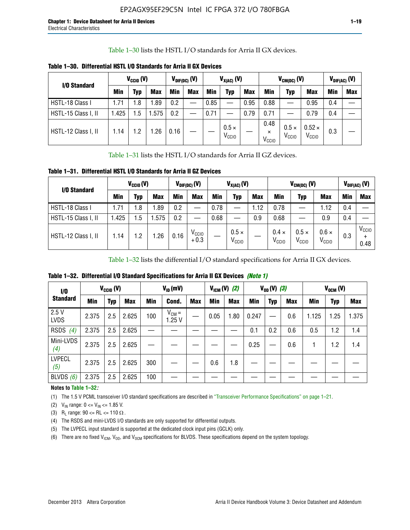Table 1–30 lists the HSTL I/O standards for Arria II GX devices.

| I/O Standard        | $V_{CGI0} (V)$ |            |            | $V_{\text{DIF(DC)}}$ (V) |            | $V_{X(AC)}(V)$ |                                   |            |                                       | $V_{CM(DC)}(V)$                   | $V_{DIF(AC)}(V)$                   |     |            |
|---------------------|----------------|------------|------------|--------------------------|------------|----------------|-----------------------------------|------------|---------------------------------------|-----------------------------------|------------------------------------|-----|------------|
|                     | <b>Min</b>     | Typ        | <b>Max</b> | Min                      | <b>Max</b> | Min            | Typ                               | <b>Max</b> | Min                                   | Typ                               | <b>Max</b>                         | Min | <b>Max</b> |
| HSTL-18 Class I     | 1.71           | .8         | .89        | 0.2                      | __         | 0.85           |                                   | 0.95       | 0.88                                  |                                   | 0.95                               | 0.4 |            |
| HSTL-15 Class I, II | 1.425          | .5         | .575       | 0.2                      | --         | 0.71           |                                   | 0.79       | 0.71                                  |                                   | 0.79                               | 0.4 |            |
| HSTL-12 Class I, II | 1.14           | $\cdot$ .2 | .26        | 0.16                     |            |                | $0.5 \times$<br>V <sub>CCIO</sub> |            | 0.48<br>$\times$<br>V <sub>CCIO</sub> | $0.5 \times$<br>V <sub>CCIO</sub> | $0.52 \times$<br>V <sub>CCIO</sub> | 0.3 |            |

**Table 1–30. Differential HSTL I/O Standards for Arria II GX Devices**

Table 1–31 lists the HSTL I/O standards for Arria II GZ devices.

**Table 1–31. Differential HSTL I/O Standards for Arria II GZ Devices**

| I/O Standard        |       | $V_{\text{CCIO}}(V)$ |            |            | $V_{\text{DIF(DC)}}(V)$     |      | $V_{X(AC)}(V)$                    |            |                                   | $V_{CM(DC)}$ (V)                  |                                   |     | $V_{DIF(AC)}$ (V)         |
|---------------------|-------|----------------------|------------|------------|-----------------------------|------|-----------------------------------|------------|-----------------------------------|-----------------------------------|-----------------------------------|-----|---------------------------|
|                     | Min   | Typ                  | <b>Max</b> | <b>Min</b> | <b>Max</b>                  | Min  | Typ                               | <b>Max</b> | <b>Min</b>                        | Typ                               | <b>Max</b>                        | Min | <b>Max</b>                |
| HSTL-18 Class I     | 71، ا | 1.8                  | .89        | 0.2        | —                           | 0.78 |                                   | 1.12       | 0.78                              |                                   | 1.12                              | 0.4 |                           |
| HSTL-15 Class I, II | .425  | $1.5\,$              | .575       | 0.2        | —                           | 0.68 |                                   | 0.9        | 0.68                              |                                   | 0.9                               | 0.4 |                           |
| HSTL-12 Class I, II | l.14  | 1.2                  | .26        | 0.16       | V <sub>CCIO</sub><br>$+0.3$ |      | $0.5 \times$<br>V <sub>CCIO</sub> |            | $0.4 \times$<br>V <sub>CCIO</sub> | $0.5 \times$<br>V <sub>CCIO</sub> | $0.6 \times$<br>V <sub>CCIO</sub> | 0.3 | V <sub>CCIO</sub><br>0.48 |

Table 1–32 lists the differential I/O standard specifications for Arria II GX devices.

**Table 1–32. Differential I/O Standard Specifications for Arria II GX Devices** *(Note 1)*

| 1/0                  |       | $V_{CGI0} (V)$ |            |     | $V_{ID}$ (mV)       |            |      | $V_{IGM} (V)$ (2) |       | $V_{OD} (V)$ (3) |            |       | $V_{OCM}$ (V) |            |
|----------------------|-------|----------------|------------|-----|---------------------|------------|------|-------------------|-------|------------------|------------|-------|---------------|------------|
| <b>Standard</b>      | Min   | Typ            | <b>Max</b> | Min | Cond.               | <b>Max</b> | Min  | <b>Max</b>        | Min   | <b>Typ</b>       | <b>Max</b> | Min   | Typ           | <b>Max</b> |
| 2.5V<br><b>LVDS</b>  | 2.375 | 2.5            | 2.625      | 100 | $V_{CM} =$<br>1.25V |            | 0.05 | 1.80              | 0.247 |                  | 0.6        | 1.125 | 1.25          | 1.375      |
| <b>RSDS</b><br>(4)   | 2.375 | 2.5            | 2.625      |     |                     |            |      |                   | 0.1   | 0.2              | 0.6        | 0.5   | 1.2           | 1.4        |
| Mini-LVDS<br>(4)     | 2.375 | 2.5            | 2.625      |     |                     |            |      |                   | 0.25  |                  | 0.6        |       | 1.2           | 1.4        |
| <b>LVPECL</b><br>(5) | 2.375 | 2.5            | 2.625      | 300 |                     |            | 0.6  | 1.8               |       |                  |            |       |               |            |
| BLVDS $(6)$          | 2.375 | 2.5            | 2.625      | 100 |                     |            |      |                   |       |                  |            |       |               |            |

## **Notes to Table 1–32***:*

(1) The 1.5 V PCML transceiver I/O standard specifications are described in "Transceiver Performance Specifications" on page 1–21.

(2)  $V_{IN}$  range:  $0 \le V_{IN} \le 1.85$  V.

(3) R<sub>L</sub> range:  $90 \leq R$ L  $\leq 110 \Omega$ .

- (4) The RSDS and mini-LVDS I/O standards are only supported for differential outputs.
- (5) The LVPECL input standard is supported at the dedicated clock input pins (GCLK) only.
- (6) There are no fixed  $V_{ICM}$ ,  $V_{OD}$ , and  $V_{OCM}$  specifications for BLVDS. These specifications depend on the system topology.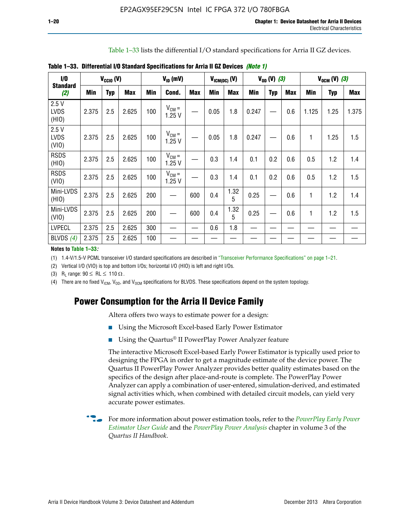Table 1–33 lists the differential I/O standard specifications for Arria II GZ devices.

| 1/0<br><b>Standard</b>       |       | $V_{CCl0} (V)$ |            |            | $V_{ID}$ (mV)       |            | $V_{IGM(DC)}$ (V) |            |       | $V_{OD} (V) (3)$ |            |       | $V_{OCM} (V) (3)$ |            |
|------------------------------|-------|----------------|------------|------------|---------------------|------------|-------------------|------------|-------|------------------|------------|-------|-------------------|------------|
| (2)                          | Min   | <b>Typ</b>     | <b>Max</b> | <b>Min</b> | Cond.               | <b>Max</b> | <b>Min</b>        | <b>Max</b> | Min   | <b>Typ</b>       | <b>Max</b> | Min   | <b>Typ</b>        | <b>Max</b> |
| 2.5V<br><b>LVDS</b><br>(HIO) | 2.375 | 2.5            | 2.625      | 100        | $V_{CM} =$<br>1.25V |            | 0.05              | 1.8        | 0.247 |                  | 0.6        | 1.125 | 1.25              | 1.375      |
| 2.5V<br><b>LVDS</b><br>(VIO) | 2.375 | 2.5            | 2.625      | 100        | $V_{CM} =$<br>1.25V |            | 0.05              | 1.8        | 0.247 |                  | 0.6        | 1     | 1.25              | 1.5        |
| <b>RSDS</b><br>(HIO)         | 2.375 | 2.5            | 2.625      | 100        | $V_{CM} =$<br>1.25V |            | 0.3               | 1.4        | 0.1   | 0.2              | 0.6        | 0.5   | 1.2               | 1.4        |
| <b>RSDS</b><br>(VIO)         | 2.375 | 2.5            | 2.625      | 100        | $V_{CM} =$<br>1.25V |            | 0.3               | 1.4        | 0.1   | 0.2              | 0.6        | 0.5   | 1.2               | 1.5        |
| Mini-LVDS<br>(HIO)           | 2.375 | 2.5            | 2.625      | 200        | —                   | 600        | 0.4               | 1.32<br>5  | 0.25  |                  | 0.6        | 1     | 1.2               | 1.4        |
| Mini-LVDS<br>(VIO)           | 2.375 | 2.5            | 2.625      | 200        |                     | 600        | 0.4               | 1.32<br>5  | 0.25  |                  | 0.6        | 1     | 1.2               | 1.5        |
| <b>LVPECL</b>                | 2.375 | 2.5            | 2.625      | 300        |                     |            | 0.6               | 1.8        |       |                  |            |       |                   |            |
| BLVDS $(4)$                  | 2.375 | 2.5            | 2.625      | 100        |                     |            |                   |            |       |                  |            |       |                   |            |

**Table 1–33. Differential I/O Standard Specifications for Arria II GZ Devices** *(Note 1)*

**Notes to Table 1–33***:*

(1) 1.4-V/1.5-V PCML transceiver I/O standard specifications are described in "Transceiver Performance Specifications" on page 1–21.

(2) Vertical I/O (VIO) is top and bottom I/Os; horizontal I/O (HIO) is left and right I/Os.

(3) R<sub>l</sub> range:  $90 \leq R L \leq 110 \Omega$ .

(4) There are no fixed  $V_{IGM}$ ,  $V_{OD}$ , and  $V_{OCM}$  specifications for BLVDS. These specifications depend on the system topology.

# **Power Consumption for the Arria II Device Family**

Altera offers two ways to estimate power for a design:

- Using the Microsoft Excel-based Early Power Estimator
- Using the Quartus<sup>®</sup> II PowerPlay Power Analyzer feature

The interactive Microsoft Excel-based Early Power Estimator is typically used prior to designing the FPGA in order to get a magnitude estimate of the device power. The Quartus II PowerPlay Power Analyzer provides better quality estimates based on the specifics of the design after place-and-route is complete. The PowerPlay Power Analyzer can apply a combination of user-entered, simulation-derived, and estimated signal activities which, when combined with detailed circuit models, can yield very accurate power estimates.

f For more information about power estimation tools, refer to the *[PowerPlay Early Power](http://www.altera.com/literature/ug/ug_epe.pdf?GSA_pos=5&WT.oss_r=1&WT.oss=powerplay early power estimator)  [Estimator User Guide](http://www.altera.com/literature/ug/ug_epe.pdf?GSA_pos=5&WT.oss_r=1&WT.oss=powerplay early power estimator)* and the *[PowerPlay Power Analysis](http://www.altera.com/literature/hb/qts/qts_qii53013.pdf)* chapter in volume 3 of the *Quartus II Handbook*.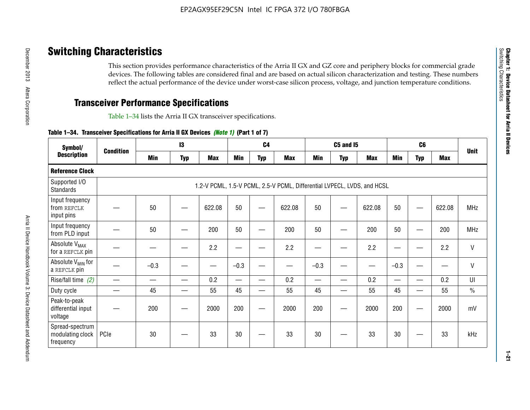# **Switching Characteristics**

This section provides performance characteristics of the Arria II GX and GZ core and periphery blocks for commercial grade devices. The following tables are considered final and are based on actual silicon characterization and testing. These numbers reflect the actual performance of the device under worst-case silicon process, voltage, and junction temperature conditions.

# **Transceiver Performance Specifications**

Table 1–34 lists the Arria II GX transceiver specifications.

## **Table 1–34. Transceiver Specifications for Arria II GX Devices** *(Note 1)* **(Part 1 of 7)**

| Symbol/                                          | <b>Condition</b> |        | 13         |            |            | C <sub>4</sub> |                                                                         |        | <b>C5 and 15</b> |            |                                           | C <sub>6</sub> |            |               |
|--------------------------------------------------|------------------|--------|------------|------------|------------|----------------|-------------------------------------------------------------------------|--------|------------------|------------|-------------------------------------------|----------------|------------|---------------|
| <b>Description</b>                               |                  | Min    | <b>Typ</b> | <b>Max</b> | <b>Min</b> | <b>Typ</b>     | <b>Max</b>                                                              | Min    | <b>Typ</b>       | <b>Max</b> | Min                                       | <b>Typ</b>     | <b>Max</b> | <b>Unit</b>   |
| <b>Reference Clock</b>                           |                  |        |            |            |            |                |                                                                         |        |                  |            |                                           |                |            |               |
| Supported I/O<br>Standards                       |                  |        |            |            |            |                | 1.2-V PCML, 1.5-V PCML, 2.5-V PCML, Differential LVPECL, LVDS, and HCSL |        |                  |            |                                           |                |            |               |
| Input frequency<br>from REFCLK<br>input pins     |                  | 50     |            | 622.08     | 50         |                | 622.08                                                                  | 50     | –                | 622.08     | 50                                        |                | 622.08     | <b>MHz</b>    |
| Input frequency<br>from PLD input                |                  | 50     |            | 200        | 50         |                | 200                                                                     | 50     |                  | 200        | 50                                        |                | 200        | <b>MHz</b>    |
| Absolute V <sub>MAX</sub><br>for a REFCLK pin    |                  |        |            | 2.2        | –          |                | 2.2                                                                     | -      |                  | 2.2        |                                           |                | 2.2        | $\mathsf{V}$  |
| Absolute V <sub>MIN</sub> for<br>a REFCLK pin    |                  | $-0.3$ |            |            | $-0.3$     |                |                                                                         | $-0.3$ |                  |            | $-0.3$                                    |                |            | $\mathsf{V}$  |
| Rise/fall time (2)                               |                  |        |            | 0.2        |            |                | 0.2                                                                     | $\sim$ |                  | 0.2        | $\qquad \qquad \overline{\qquad \qquad }$ |                | 0.2        | UI            |
| Duty cycle                                       |                  | 45     | —          | 55         | 45         | —              | 55                                                                      | 45     | —                | 55         | 45                                        | —              | 55         | $\frac{0}{0}$ |
| Peak-to-peak<br>differential input<br>voltage    |                  | 200    |            | 2000       | 200        |                | 2000                                                                    | 200    | —                | 2000       | 200                                       | -              | 2000       | mV            |
| Spread-spectrum<br>modulating clock<br>frequency | PCIe             | 30     |            | 33         | 30         |                | 33                                                                      | 30     |                  | 33         | 30                                        |                | 33         | kHz           |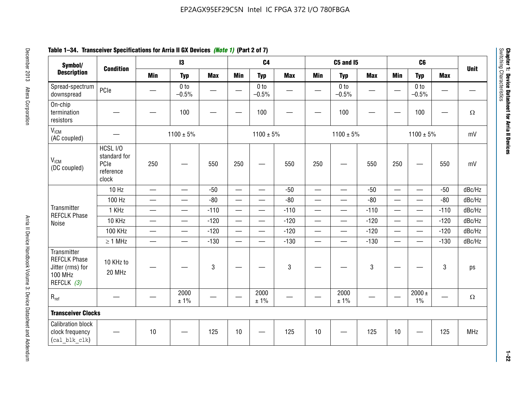# **Table 1–34. Transceiver Specifications for Arria II GX Devices** *(Note 1)* **(Part 2 of 7)**

| Symbol/                                                                                |                                                        |                          | $\mathbf{13}$              |            |                          | C <sub>4</sub>             |              |                          | <b>C5 and 15</b>           |            |                          | C <sub>6</sub>                            |            |             |
|----------------------------------------------------------------------------------------|--------------------------------------------------------|--------------------------|----------------------------|------------|--------------------------|----------------------------|--------------|--------------------------|----------------------------|------------|--------------------------|-------------------------------------------|------------|-------------|
| <b>Description</b>                                                                     | <b>Condition</b>                                       | <b>Min</b>               | <b>Typ</b>                 | <b>Max</b> | <b>Min</b>               | <b>Typ</b>                 | <b>Max</b>   | <b>Min</b>               | <b>Typ</b>                 | <b>Max</b> | <b>Min</b>               | <b>Typ</b>                                | <b>Max</b> | <b>Unit</b> |
| Spread-spectrum<br>downspread                                                          | PCIe                                                   |                          | 0 <sub>to</sub><br>$-0.5%$ |            |                          | 0 <sub>to</sub><br>$-0.5%$ |              |                          | 0 <sub>to</sub><br>$-0.5%$ |            |                          | 0 <sub>to</sub><br>$-0.5%$                |            |             |
| On-chip<br>termination<br>resistors                                                    |                                                        |                          | 100                        | —          |                          | 100                        |              |                          | 100                        |            |                          | 100                                       | —          | $\Omega$    |
| V <sub>ICM</sub><br>(AC coupled)                                                       |                                                        |                          | $1100 \pm 5\%$             |            |                          | $1100 \pm 5\%$             |              |                          | $1100 \pm 5\%$             |            |                          | $1100 \pm 5\%$                            |            | mV          |
| V <sub>ICM</sub><br>(DC coupled)                                                       | HCSL I/O<br>standard for<br>PCle<br>reference<br>clock | 250                      | —                          | 550        | 250                      | $\overline{\phantom{0}}$   | 550          | 250                      | —                          | 550        | 250                      | $\qquad \qquad \overline{\qquad \qquad }$ | 550        | mV          |
|                                                                                        | $10$ Hz                                                | $\qquad \qquad$          | $\equiv$                   | $-50$      | $\overline{\phantom{m}}$ |                            | $-50$        |                          | $\equiv$                   | $-50$      | $\overline{\phantom{0}}$ | $\overline{\phantom{0}}$                  | $-50$      | dBc/Hz      |
|                                                                                        | 100 Hz                                                 | $\overline{\phantom{0}}$ |                            | $-80$      |                          |                            | $-80$        |                          | —                          | $-80$      |                          |                                           | $-80$      | dBc/Hz      |
| Transmitter<br><b>REFCLK Phase</b>                                                     | 1 KHz                                                  | $\qquad \qquad$          | $\overline{\phantom{0}}$   | $-110$     |                          | —                          | $-110$       | $\qquad \qquad$          | $\overline{\phantom{0}}$   | $-110$     |                          | $\overbrace{\phantom{aaaaa}}$             | $-110$     | dBc/Hz      |
| Noise                                                                                  | 10 KHz                                                 | $\qquad \qquad$          | $\equiv$                   | $-120$     |                          |                            | $-120$       | $\qquad \qquad$          | $\overline{\phantom{0}}$   | $-120$     |                          | $\overline{\phantom{0}}$                  | $-120$     | dBc/Hz      |
|                                                                                        | <b>100 KHz</b>                                         | $\overline{\phantom{0}}$ |                            | $-120$     |                          |                            | $-120$       | $\overline{\phantom{0}}$ | $\overline{\phantom{0}}$   | $-120$     |                          |                                           | $-120$     | dBc/Hz      |
|                                                                                        | $\geq 1$ MHz                                           | $\overline{\phantom{m}}$ | $\qquad \qquad$            | $-130$     |                          | $\overline{\phantom{0}}$   | $-130$       |                          | $\overline{\phantom{0}}$   | $-130$     |                          | $\overline{\phantom{0}}$                  | $-130$     | dBc/Hz      |
| Transmitter<br><b>REFCLK Phase</b><br>Jitter (rms) for<br><b>100 MHz</b><br>REFCLK (3) | 10 KHz to<br>20 MHz                                    |                          |                            | 3          |                          |                            | $\mathbf{3}$ |                          |                            | 3          |                          |                                           | 3          | ps          |
| $R_{ref}$                                                                              |                                                        |                          | 2000<br>± 1%               |            |                          | 2000<br>± 1%               |              |                          | 2000<br>± 1%               |            |                          | $2000 \pm$<br>$1\%$                       |            | $\Omega$    |
| <b>Transceiver Clocks</b>                                                              |                                                        |                          |                            |            |                          |                            |              |                          |                            |            |                          |                                           |            |             |
| <b>Calibration block</b><br>clock frequency<br>(cal blk clk)                           |                                                        | 10                       |                            | 125        | 10                       |                            | 125          | $10$                     |                            | 125        | 10                       |                                           | 125        | <b>MHz</b>  |

December 2013 Altera Corporation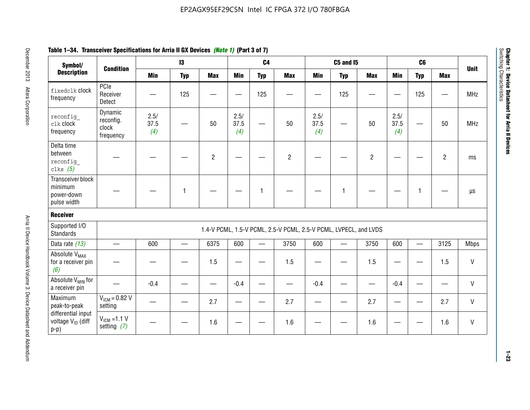| Symbol/                                                       |                                            |                     | $\mathbf{13}$ |                |                     | C <sub>4</sub> |                                                                  |                     | <b>C5 and 15</b> |                |                     | C6           |                |              |
|---------------------------------------------------------------|--------------------------------------------|---------------------|---------------|----------------|---------------------|----------------|------------------------------------------------------------------|---------------------|------------------|----------------|---------------------|--------------|----------------|--------------|
| <b>Description</b>                                            | <b>Condition</b>                           | <b>Min</b>          | <b>Typ</b>    | <b>Max</b>     | <b>Min</b>          | <b>Typ</b>     | <b>Max</b>                                                       | <b>Min</b>          | <b>Typ</b>       | <b>Max</b>     | <b>Min</b>          | <b>Typ</b>   | <b>Max</b>     | <b>Unit</b>  |
| fixedclk Clock<br>frequency                                   | PCIe<br>Receiver<br>Detect                 |                     | 125           |                |                     | 125            |                                                                  |                     | 125              |                |                     | 125          |                | <b>MHz</b>   |
| reconfig<br>clk clock<br>frequency                            | Dynamic<br>reconfig.<br>clock<br>frequency | 2.5/<br>37.5<br>(4) |               | 50             | 2.5/<br>37.5<br>(4) | <u>—</u>       | 50                                                               | 2.5/<br>37.5<br>(4) | —                | 50             | 2.5/<br>37.5<br>(4) |              | 50             | <b>MHz</b>   |
| Delta time<br>between<br>reconfig<br>clks $(5)$               |                                            |                     |               | $\overline{c}$ |                     |                | $\overline{2}$                                                   |                     |                  | $\overline{2}$ |                     |              | $\overline{2}$ | ms           |
| Transceiver block<br>minimum<br>power-down<br>pulse width     |                                            |                     | 1             |                |                     | 1              |                                                                  |                     | $\mathbf{1}$     |                |                     | $\mathbf{1}$ |                | $\mu s$      |
| <b>Receiver</b>                                               |                                            |                     |               |                |                     |                |                                                                  |                     |                  |                |                     |              |                |              |
| Supported I/O<br><b>Standards</b>                             |                                            |                     |               |                |                     |                | 1.4-V PCML, 1.5-V PCML, 2.5-V PCML, 2.5-V PCML, LVPECL, and LVDS |                     |                  |                |                     |              |                |              |
| Data rate (13)                                                | $\qquad \qquad$                            | 600                 |               | 6375           | 600                 |                | 3750                                                             | 600                 |                  | 3750           | 600                 | $\equiv$     | 3125           | <b>Mbps</b>  |
| Absolute V <sub>MAX</sub><br>for a receiver pin<br>(6)        |                                            |                     |               | 1.5            | e e                 |                | 1.5                                                              |                     |                  | 1.5            | —                   |              | 1.5            | V            |
| Absolute V <sub>MIN</sub> for<br>a receiver pin               |                                            | $-0.4$              |               |                | $-0.4$              |                |                                                                  | $-0.4$              |                  |                | $-0.4$              |              |                | $\mathsf{V}$ |
| Maximum<br>peak-to-peak                                       | $V_{IGM} = 0.82 V$<br>setting              |                     |               | 2.7            |                     |                | 2.7                                                              |                     |                  | 2.7            |                     |              | 2.7            | V            |
| differential input<br>voltage V <sub>ID</sub> (diff<br>$p-p)$ | $V_{IGM} = 1.1 V$<br>setting $(7)$         |                     |               | 1.6            |                     |                | 1.6                                                              |                     |                  | 1.6            |                     |              | 1.6            | V            |

**1–23**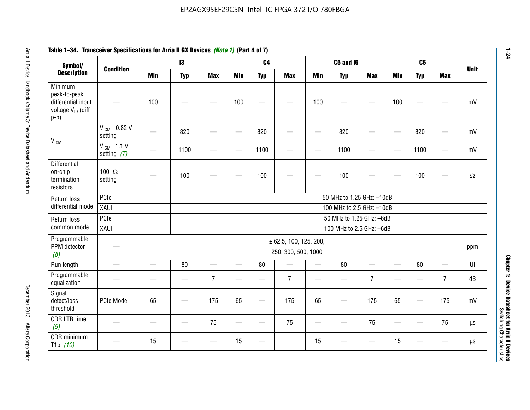#### **Arris 2: Device Handbook Volume 3: Device Datasheet Addents Device Datasheet Addents December 2013 Altera Corporation Minimum peaks-to-peak differential input voltage Video Minimum peaks-to-peak diff particular and the V<sub>ICM</sub>**  $V_{ICM} = 0.82 V$ setting | 一 | 820 | 一 | ― | 820 | 一 | ― | 820 | ― | ― | 820 | ― | mV  $V_{ICM}$  =1.1 V setting *(7)* | - | 1100 | - | - | 1100 | - | - | 1100 | - | - | 1100 | - | mV **Differential** on-chip termination resistors100– $\Omega$ setting | — | 100 | — | — | 100 | — | — | 100 | — | — | 100 | —  $\Omega$ Return loss differential mode PCIee | | | | 50 MHz to 1.25 GHz: –10dB XAUI 100 MHz to 2.5 GHz: –10dB Return loss common modePCIe 50 MHz to 1.25 GHz: –6dBXAUI 100 MHz to 2.5 GHz: –6dB Programmable PPM detector *(8)* ± 62.5, 100, 125, 200, 250, 300, 500, 1000 ppm Run length | ― | ― | 80 | ― | 80 | ― | 80 | ― | UI Programmable -rogrammasic | — | — | — | 7 |— | – | 7 |— | – | 7 |— | – | 7 | dB<br>equalization | — | — | — | 7 |— | 7 | — | 7 | — | 7 | — | 7 | dB Signal detect/loss thresholdPCIe Mode | 65 | — | 175 | 65 | — | 175 | 65 | — | 175 | 65 | — | 175 | mV CDR LTR time *(9)* – | – | – | <sup>75</sup> | – | <sup>75</sup> | – | <sup>75</sup> | – | <sup>75</sup> | – | <sup>75</sup> | – | <sup>75</sup> | <sup>18</sup> CDR minimum T1b *(10)* — <sup>15</sup> — — <sup>15</sup> — <sup>15</sup> — — <sup>15</sup> — — µs **Symbol/ Description Condition I3 C4 C5 and I5 C6UnitMin Typ Max Min Typ Max Min Typ Max Min Typ Max**

# **Table 1–34. Transceiver Specifications for Arria II GX Devices** *(Note 1)* **(Part 4 of 7)**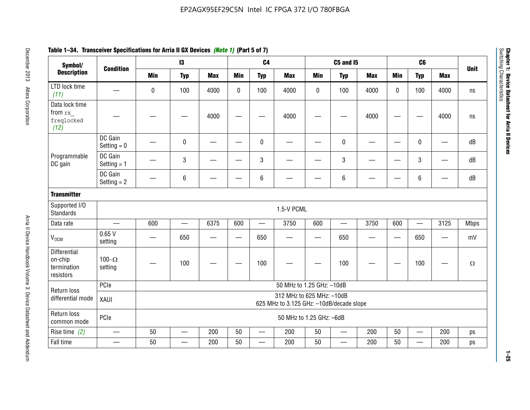| Symbol/                                                    |                          |                                                                        | $\mathbf{13}$            |                 |                          | C <sub>4</sub>                |                           |            | <b>C5 and 15</b>         |            |                          | C <sub>6</sub>           |                          |             |
|------------------------------------------------------------|--------------------------|------------------------------------------------------------------------|--------------------------|-----------------|--------------------------|-------------------------------|---------------------------|------------|--------------------------|------------|--------------------------|--------------------------|--------------------------|-------------|
| <b>Description</b>                                         | <b>Condition</b>         | <b>Min</b>                                                             | <b>Typ</b>               | <b>Max</b>      | <b>Min</b>               | <b>Typ</b>                    | <b>Max</b>                | <b>Min</b> | <b>Typ</b>               | <b>Max</b> | <b>Min</b>               | <b>Typ</b>               | <b>Max</b>               | <b>Unit</b> |
| LTD lock time<br>(11)                                      |                          | $\mathbf 0$                                                            | 100                      | 4000            | $\mathbf{0}$             | 100                           | 4000                      | 0          | 100                      | 4000       | $\Omega$                 | 100                      | 4000                     | ns          |
| Data lock time<br>from rx<br>freqlocked<br>(12)            |                          |                                                                        |                          | 4000            |                          |                               | 4000                      |            |                          | 4000       |                          |                          | 4000                     | ns          |
|                                                            | DC Gain<br>Setting $= 0$ |                                                                        | 0                        |                 |                          | $\mathbf 0$                   |                           |            | $\mathbf 0$              |            |                          | 0                        | $\overline{\phantom{0}}$ | dB          |
| Programmable<br>DC gain                                    | DC Gain<br>Setting $= 1$ |                                                                        | 3                        |                 |                          | $\sqrt{3}$                    |                           |            | $\sqrt{3}$               |            |                          | 3                        | $\overline{\phantom{0}}$ | dB          |
|                                                            | DC Gain<br>Setting $= 2$ |                                                                        | 6                        |                 |                          | $\,6\,$                       |                           |            | $\,6\,$                  |            |                          | $\,6$                    |                          | dB          |
| <b>Transmitter</b>                                         |                          |                                                                        |                          |                 |                          |                               |                           |            |                          |            |                          |                          |                          |             |
| Supported I/O<br><b>Standards</b>                          |                          |                                                                        |                          |                 |                          |                               | 1.5-V PCML                |            |                          |            |                          |                          |                          |             |
| Data rate                                                  | $\overline{\phantom{0}}$ | 600                                                                    | $\equiv$                 | 6375            | 600                      | $\overline{\phantom{0}}$      | 3750                      | 600        | $\overline{\phantom{0}}$ | 3750       | 600                      | $\overline{\phantom{0}}$ | 3125                     | <b>Mbps</b> |
| <b>V<sub>OCM</sub></b>                                     | 0.65V<br>setting         |                                                                        | 650                      | $\qquad \qquad$ | $\overline{\phantom{0}}$ | 650                           |                           | —          | 650                      |            | $\overline{\phantom{0}}$ | 650                      | —                        | mV          |
| <b>Differential</b><br>on-chip<br>termination<br>resistors | 100 $-\Omega$<br>setting |                                                                        | 100                      |                 |                          | 100                           |                           |            | 100                      |            |                          | 100                      |                          | $\Omega$    |
| Return loss                                                | PCIe                     |                                                                        |                          |                 |                          |                               | 50 MHz to 1.25 GHz: -10dB |            |                          |            |                          |                          |                          |             |
| differential mode                                          | XAUI                     | 312 MHz to 625 MHz: - 10dB<br>625 MHz to 3.125 GHz: -10dB/decade slope |                          |                 |                          |                               |                           |            |                          |            |                          |                          |                          |             |
| Return loss<br>common mode                                 | PCIe                     | 50 MHz to 1.25 GHz: -6dB                                               |                          |                 |                          |                               |                           |            |                          |            |                          |                          |                          |             |
| Rise time $(2)$                                            |                          | 50                                                                     | $\overline{\phantom{0}}$ | 200             | 50                       | $\overbrace{\phantom{aaaaa}}$ | 200                       | 50         | $\overline{\phantom{0}}$ | 200        | 50                       | $\overline{\phantom{0}}$ | 200                      | ps          |
| Fall time                                                  |                          | 50                                                                     |                          | 200             | 50                       |                               | 200                       | 50         |                          | 200        | 50                       | —                        | 200                      | ps          |

# **Table 1–34. Transceiver Specifications for Arria II GX Devices** *(Note 1)* **(Part 5 of 7)**

**1–25**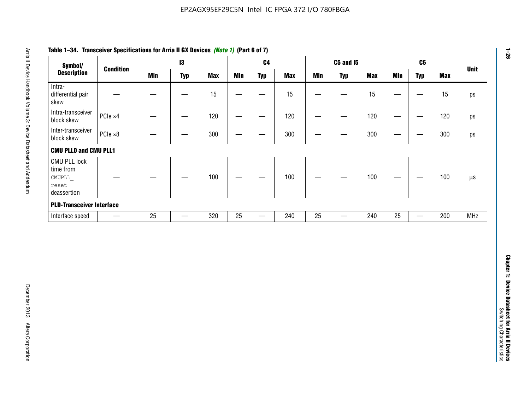| Symbol/                                                            |                          |            | $\mathbf{I}3$                    |            |                          | C <sub>4</sub>                    |            |                 | <b>C5 and 15</b>         |            |                   | C6                                |            | <b>Unit</b> |
|--------------------------------------------------------------------|--------------------------|------------|----------------------------------|------------|--------------------------|-----------------------------------|------------|-----------------|--------------------------|------------|-------------------|-----------------------------------|------------|-------------|
| <b>Description</b>                                                 | <b>Condition</b>         | <b>Min</b> | <b>Typ</b>                       | <b>Max</b> | <b>Min</b>               | <b>Typ</b>                        | <b>Max</b> | <b>Min</b>      | <b>Typ</b>               | <b>Max</b> | <b>Min</b>        | <b>Typ</b>                        | <b>Max</b> |             |
| Intra-<br>differential pair<br>skew                                |                          |            | $\overline{\phantom{m}}$         | 15         | $\overline{\phantom{0}}$ | $\overline{\phantom{0}}$          | 15         | —               | $\qquad \qquad$          | 15         | $\qquad \qquad -$ | $\qquad \qquad -$                 | 15         |             |
| Intra-transceiver<br>block skew                                    | PCIe ×4                  |            | $\overbrace{\phantom{12322111}}$ | 120        | $\hspace{0.05cm}$        | $\qquad \qquad$                   | 120        | $\qquad \qquad$ | $\overline{\phantom{m}}$ | 120        |                   | $\overbrace{\phantom{aaaaa}}$     | 120        |             |
| Inter-transceiver<br>block skew                                    | $PCle \times 8$          |            |                                  | 300        | —                        | $\hspace{0.05cm}$                 | 300        | —               | $\overline{\phantom{0}}$ | 300        |                   | $\hspace{0.05cm}$                 | 300        |             |
| <b>CMU PLLO and CMU PLL1</b>                                       |                          |            |                                  |            |                          |                                   |            |                 |                          |            |                   |                                   |            |             |
| <b>CMU PLL lock</b><br>time from<br>CMUPLL<br>reset<br>deassertion |                          |            |                                  | 100        | $\overline{\phantom{m}}$ | —                                 | 100        |                 |                          | 100        |                   | $\hspace{0.05cm}$                 | 100        |             |
| <b>PLD-Transceiver Interface</b>                                   |                          |            |                                  |            |                          |                                   |            |                 |                          |            |                   |                                   |            |             |
| Interface speed                                                    | $\overline{\phantom{m}}$ | 25         |                                  | 320        | 25                       | $\overbrace{\phantom{123221111}}$ | 240        | 25              | —                        | 240        | 25                | $\overbrace{\phantom{123221111}}$ | 200        | <b>MHz</b>  |
|                                                                    |                          |            |                                  |            |                          |                                   |            |                 |                          |            |                   |                                   |            |             |
|                                                                    |                          |            |                                  |            |                          |                                   |            |                 |                          |            |                   |                                   |            |             |
|                                                                    |                          |            |                                  |            |                          |                                   |            |                 |                          |            |                   |                                   |            |             |

# **Table 1–34. Transceiver Specifications for Arria II GX Devices** *(Note 1)* **(Part 6 of 7)**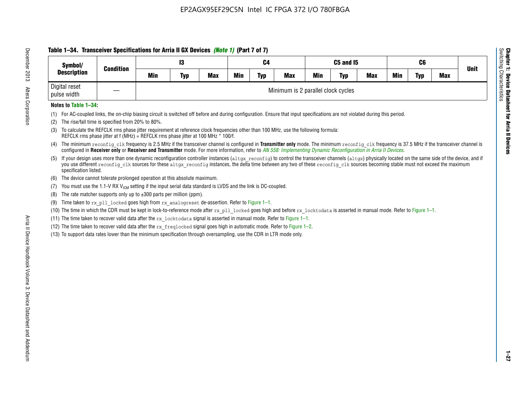# **Table 1–34. Transceiver Specifications for Arria II GX Devices** *(Note 1)* **(Part 7 of 7)**

| Symbol/<br><b>Description</b> | <b>Condition</b> |                                    | 13         |     |            | C4         |            |            | C5 and I5  |            |            | C6  |            | <b>Unit</b> |
|-------------------------------|------------------|------------------------------------|------------|-----|------------|------------|------------|------------|------------|------------|------------|-----|------------|-------------|
|                               |                  | Min                                | <b>Typ</b> | Max | <b>Min</b> | <b>Typ</b> | <b>Max</b> | <b>Min</b> | <b>Typ</b> | <b>Max</b> | <b>Min</b> | Typ | <b>Max</b> |             |
| Digital reset<br>pulse width  |                  | Minimum is 2 parallel clock cycles |            |     |            |            |            |            |            |            |            |     |            |             |

## **Notes to Table 1–34:**

- (1) For AC-coupled links, the on-chip biasing circuit is switched off before and during configuration. Ensure that input specifications are not violated during this period.
- (2) The rise/fall time is specified from 20% to 80%.
- (3) To calculate the REFCLK rms phase jitter requirement at reference clock frequencies other than 100 MHz, use the following formula: REFCLK rms phase jitter at f (MHz) = REFCLK rms phase jitter at 100 MHz \* 100/f.
- (4) The minimum reconfig clk frequency is 2.5 MHz if the transceiver channel is configured in **Transmitter only** mode. The minimum reconfig clk frequency is 37.5 MHz if the transceiver channel is configured in **Receiver only** or **Receiver and Transmitter** mode. For more information, refer to *AN [558: Implementing Dynamic Reconfiguration in Arria II Devices](www.altera.com/literature/hb/arria-ii-gx/an558.pdf)*.
- (5) If your design uses more than one dynamic reconfiguration controller instances (altgx reconfig) to control the transceiver channels (altgx) physically located on the same side of the device, and if you use different reconfig clk sources for these altgx reconfig instances, the delta time between any two of these reconfig clk sources becoming stable must not exceed the maximum specification listed.
- (6) The device cannot tolerate prolonged operation at this absolute maximum.
- (7) You must use the 1.1-V RX  $V_{ICM}$  setting if the input serial data standard is LVDS and the link is DC-coupled.
- (8) The rate matcher supports only up to  $\pm 300$  parts per million (ppm).
- (9) Time taken to rx\_pll\_locked goes high from rx\_analogreset de-assertion. Refer to Figure 1–1.
- (10) The time in which the CDR must be kept in lock-to-reference mode after rx pll locked goes high and before rx locktodata is asserted in manual mode. Refer to Figure 1-1.
- (11) The time taken to recover valid data after the  $rx$  locktodata signal is asserted in manual mode. Refer to Figure 1–1.
- (12) The time taken to recover valid data after the  $rx$  freqlocked signal goes high in automatic mode. Refer to Figure 1–2.
- (13) To support data rates lower than the minimum specification through oversampling, use the CDR in LTR mode only.

**Chapter 1: Device Datasheet for Arria II Devices**

**Device Datasheet for Arria II Devices** 

Switching Characteristics

Chapter 1: Device Datas<br>Switching Characteristics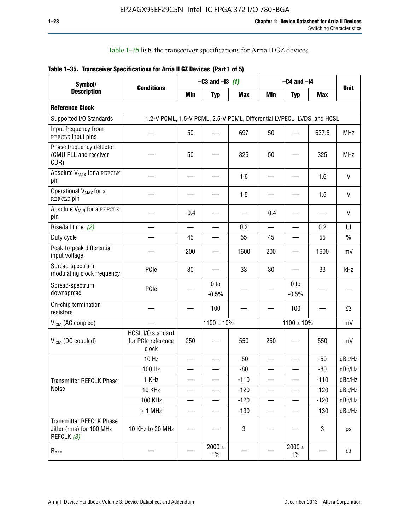Table 1–35 lists the transceiver specifications for Arria II GZ devices.

|  | Table 1-35. Transceiver Specifications for Arria II GZ Devices (Part 1 of 5) |  |  |
|--|------------------------------------------------------------------------------|--|--|
|  |                                                                              |  |  |

| Symbol/                                                                   |                                                                         |            | $-C3$ and $-13$ (1)        |            |            | $-C4$ and $-I4$            |            |             |
|---------------------------------------------------------------------------|-------------------------------------------------------------------------|------------|----------------------------|------------|------------|----------------------------|------------|-------------|
| <b>Description</b>                                                        | <b>Conditions</b>                                                       | <b>Min</b> | <b>Typ</b>                 | <b>Max</b> | <b>Min</b> | <b>Typ</b>                 | <b>Max</b> | <b>Unit</b> |
| <b>Reference Clock</b>                                                    |                                                                         |            |                            |            |            |                            |            |             |
| Supported I/O Standards                                                   | 1.2-V PCML, 1.5-V PCML, 2.5-V PCML, Differential LVPECL, LVDS, and HCSL |            |                            |            |            |                            |            |             |
| Input frequency from<br>REFCLK input pins                                 |                                                                         | 50         |                            | 697        | 50         |                            | 637.5      | <b>MHz</b>  |
| Phase frequency detector<br>(CMU PLL and receiver<br>CDR)                 |                                                                         | 50         |                            | 325        | 50         |                            | 325        | <b>MHz</b>  |
| Absolute V <sub>MAX</sub> for a REFCLK<br>pin                             |                                                                         |            |                            | 1.6        |            |                            | 1.6        | V           |
| Operational V <sub>MAX</sub> for a<br>REFCLK pin                          |                                                                         |            |                            | 1.5        |            |                            | 1.5        | V           |
| Absolute V <sub>MIN</sub> for a REFCLK<br>pin                             |                                                                         | $-0.4$     |                            |            | $-0.4$     |                            |            | V           |
| Rise/fall time (2)                                                        |                                                                         |            |                            | 0.2        |            |                            | 0.2        | UI          |
| Duty cycle                                                                |                                                                         | 45         |                            | 55         | 45         |                            | 55         | $\%$        |
| Peak-to-peak differential<br>input voltage                                |                                                                         | 200        |                            | 1600       | 200        |                            | 1600       | mV          |
| Spread-spectrum<br>modulating clock frequency                             | PCIe                                                                    | 30         |                            | 33         | 30         |                            | 33         | kHz         |
| Spread-spectrum<br>downspread                                             | PCIe                                                                    |            | 0 <sub>to</sub><br>$-0.5%$ |            |            | 0 <sub>to</sub><br>$-0.5%$ |            |             |
| On-chip termination<br>resistors                                          |                                                                         |            | 100                        |            |            | 100                        |            | Ω           |
| $V_{IGM}$ (AC coupled)                                                    |                                                                         |            | $1100 \pm 10\%$            |            |            | $1100 \pm 10\%$            |            | mV          |
| $V_{ICM}$ (DC coupled)                                                    | HCSL I/O standard<br>for PCIe reference<br>clock                        | 250        |                            | 550        | 250        |                            | 550        | mV          |
|                                                                           | 10 Hz                                                                   |            |                            | $-50$      |            |                            | $-50$      | dBc/Hz      |
|                                                                           | 100 Hz                                                                  |            |                            | $-80$      |            |                            | $-80$      | dBc/Hz      |
| Transmitter REFCLK Phase                                                  | 1 KHz                                                                   |            |                            | $-110$     |            |                            | $-110$     | dBc/Hz      |
| Noise                                                                     | 10 KHz                                                                  |            |                            | $-120$     |            |                            | $-120$     | dBc/Hz      |
|                                                                           | 100 KHz                                                                 |            |                            | $-120$     |            |                            | $-120$     | dBc/Hz      |
|                                                                           | $\geq 1$ MHz                                                            |            |                            | $-130$     |            |                            | $-130$     | dBc/Hz      |
| <b>Transmitter REFCLK Phase</b><br>Jitter (rms) for 100 MHz<br>REFCLK (3) | 10 KHz to 20 MHz                                                        |            |                            | 3          |            |                            | 3          | ps          |
| $R_{REF}$                                                                 |                                                                         |            | $2000 \pm$<br>$1\%$        |            |            | 2000 $\pm$<br>$1\%$        |            | $\Omega$    |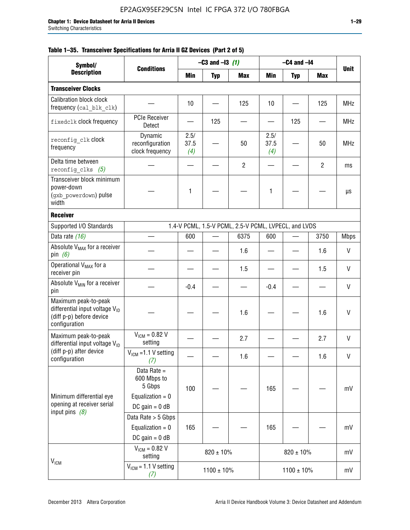|  |  | Table 1–35. Transceiver Specifications for Arria II GZ Devices (Part 2 of 5) |  |  |  |
|--|--|------------------------------------------------------------------------------|--|--|--|
|--|--|------------------------------------------------------------------------------|--|--|--|

| Symbol/                                                                                                         |                                                                                |                     | $-C3$ and $-I3$ (1)<br>$-C4$ and $-I4$ |                                                      |                     |                 |                |             |
|-----------------------------------------------------------------------------------------------------------------|--------------------------------------------------------------------------------|---------------------|----------------------------------------|------------------------------------------------------|---------------------|-----------------|----------------|-------------|
| <b>Description</b>                                                                                              | <b>Conditions</b>                                                              | Min                 | <b>Typ</b>                             | <b>Max</b>                                           | Min                 | <b>Typ</b>      | Max            | <b>Unit</b> |
| <b>Transceiver Clocks</b>                                                                                       |                                                                                |                     |                                        |                                                      |                     |                 |                |             |
| <b>Calibration block clock</b><br>frequency (cal_blk_clk)                                                       |                                                                                | 10                  |                                        | 125                                                  | 10                  |                 | 125            | <b>MHz</b>  |
| fixedclk clock frequency                                                                                        | <b>PCIe Receiver</b><br>Detect                                                 |                     | 125                                    |                                                      |                     | 125             |                | <b>MHz</b>  |
| reconfig clk clock<br>frequency                                                                                 | Dynamic<br>reconfiguration<br>clock frequency                                  | 2.5/<br>37.5<br>(4) |                                        | 50                                                   | 2.5/<br>37.5<br>(4) |                 | 50             | <b>MHz</b>  |
| Delta time between<br>reconfig clks $(5)$                                                                       |                                                                                |                     |                                        | $\overline{2}$                                       |                     |                 | $\overline{2}$ | ms          |
| Transceiver block minimum<br>power-down<br>(gxb powerdown) pulse<br>width                                       |                                                                                | 1                   |                                        |                                                      | 1                   |                 |                | μs          |
| <b>Receiver</b>                                                                                                 |                                                                                |                     |                                        |                                                      |                     |                 |                |             |
| Supported I/O Standards                                                                                         |                                                                                |                     |                                        | 1.4-V PCML, 1.5-V PCML, 2.5-V PCML, LVPECL, and LVDS |                     |                 |                |             |
| Data rate (16)                                                                                                  |                                                                                | 600                 |                                        | 6375                                                 | 600                 |                 | 3750           | <b>Mbps</b> |
| Absolute V <sub>MAX</sub> for a receiver<br>pin $(6)$                                                           |                                                                                |                     |                                        | 1.6                                                  |                     |                 | 1.6            | V           |
| Operational V <sub>MAX</sub> for a<br>receiver pin                                                              |                                                                                |                     |                                        | 1.5                                                  |                     |                 | 1.5            | V           |
| Absolute V <sub>MIN</sub> for a receiver<br>pin                                                                 |                                                                                | $-0.4$              |                                        |                                                      | $-0.4$              |                 |                | V           |
| Maximum peak-to-peak<br>differential input voltage $V_{\text{ID}}$<br>(diff p-p) before device<br>configuration |                                                                                |                     |                                        | 1.6                                                  |                     |                 | 1.6            | V           |
| Maximum peak-to-peak<br>differential input voltage $V_{ID}$                                                     | $V_{ICM} = 0.82 V$<br>setting                                                  |                     |                                        | 2.7                                                  |                     |                 | 2.7            | V           |
| (diff p-p) after device<br>configuration                                                                        | $V_{ICM}$ =1.1 V setting<br>(7)                                                |                     |                                        | 1.6                                                  |                     |                 | 1.6            | V           |
| Minimum differential eye<br>opening at receiver serial                                                          | Data Rate =<br>600 Mbps to<br>5 Gbps<br>Equalization = $0$<br>DC gain = $0$ dB | 100                 |                                        |                                                      | 165                 |                 |                | mV          |
| input pins $(8)$                                                                                                | Data Rate > 5 Gbps<br>Equalization = $0$<br>DC gain = $0$ dB                   | 165                 |                                        |                                                      | 165                 |                 |                | mV          |
| $V_{IGM}$                                                                                                       | $V_{ICM} = 0.82 V$<br>setting                                                  |                     | $820 \pm 10\%$                         |                                                      |                     | $820 \pm 10\%$  |                | mV          |
|                                                                                                                 | $V_{IGM}$ = 1.1 V setting<br>(7)                                               |                     | $1100 \pm 10\%$                        |                                                      |                     | $1100 \pm 10\%$ |                | mV          |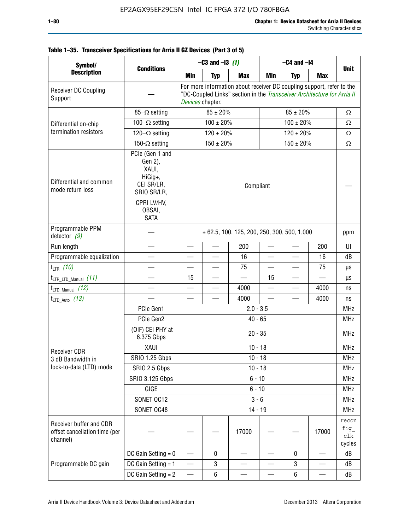| ۰.<br>-<br>× |  |
|--------------|--|
|              |  |

|  | Table 1-35. Transceiver Specifications for Arria II GZ Devices (Part 3 of 5) |  |  |
|--|------------------------------------------------------------------------------|--|--|
|  |                                                                              |  |  |

| Symbol/                                                              |                                                                                                              | $-C4$ and $-I4$<br>$-C3$ and $-13$ (1)                               |                |                                                                                                                                                  |                          |                |                          |                               |
|----------------------------------------------------------------------|--------------------------------------------------------------------------------------------------------------|----------------------------------------------------------------------|----------------|--------------------------------------------------------------------------------------------------------------------------------------------------|--------------------------|----------------|--------------------------|-------------------------------|
| <b>Description</b>                                                   | <b>Conditions</b>                                                                                            | Min                                                                  | <b>Typ</b>     | <b>Max</b>                                                                                                                                       | Min                      | <b>Typ</b>     | <b>Max</b>               | <b>Unit</b>                   |
| Receiver DC Coupling<br>Support                                      |                                                                                                              | Devices chapter.                                                     |                | For more information about receiver DC coupling support, refer to the<br>"DC-Coupled Links" section in the Transceiver Architecture for Arria II |                          |                |                          |                               |
|                                                                      | $85-\Omega$ setting                                                                                          |                                                                      | $85 \pm 20\%$  |                                                                                                                                                  |                          | $85 \pm 20\%$  |                          | $\Omega$                      |
| Differential on-chip                                                 | 100 $-\Omega$ setting                                                                                        |                                                                      | $100 \pm 20\%$ |                                                                                                                                                  |                          | $100 \pm 20\%$ |                          | Ω                             |
| termination resistors                                                | $120-\Omega$ setting                                                                                         | $120 \pm 20\%$<br>$120 \pm 20\%$<br>$150 \pm 20\%$<br>$150 \pm 20\%$ |                |                                                                                                                                                  |                          |                |                          | Ω                             |
|                                                                      | 150- $\Omega$ setting                                                                                        |                                                                      |                |                                                                                                                                                  |                          |                |                          | $\Omega$                      |
| Differential and common<br>mode return loss                          | PCIe (Gen 1 and<br>Gen 2),<br>XAUI,<br>HiGig+,<br>CEI SR/LR,<br>SRIO SR/LR,<br>CPRI LV/HV,<br>OBSAI,<br>SATA |                                                                      | Compliant      |                                                                                                                                                  |                          |                |                          |                               |
| Programmable PPM<br>detector $(9)$                                   |                                                                                                              |                                                                      |                | $\pm$ 62.5, 100, 125, 200, 250, 300, 500, 1,000                                                                                                  |                          |                |                          | ppm                           |
| Run length                                                           |                                                                                                              |                                                                      | $\equiv$       | 200                                                                                                                                              |                          |                | 200                      | UI                            |
| Programmable equalization                                            |                                                                                                              |                                                                      |                | 16                                                                                                                                               | $\overline{\phantom{0}}$ |                | 16                       | dB                            |
| $t_{LTR}$ (10)                                                       |                                                                                                              |                                                                      |                | 75                                                                                                                                               |                          |                | 75                       | μs                            |
| $t_{\text{LTR\_LTD\_Manual}}$ (11)                                   |                                                                                                              | 15                                                                   |                |                                                                                                                                                  | 15                       |                |                          | μs                            |
| $t_{\text{LTD\_Manual}}$ (12)                                        |                                                                                                              |                                                                      |                | 4000                                                                                                                                             | $\overline{\phantom{0}}$ |                | 4000                     | ns                            |
| $t_{LTD\_Auto}$ (13)                                                 |                                                                                                              |                                                                      |                | 4000                                                                                                                                             |                          |                | 4000                     | ns                            |
|                                                                      | PCIe Gen1                                                                                                    |                                                                      |                | $2.0 - 3.5$                                                                                                                                      |                          |                |                          | <b>MHz</b>                    |
|                                                                      | PCIe Gen2                                                                                                    |                                                                      |                | $40 - 65$                                                                                                                                        |                          |                |                          | <b>MHz</b>                    |
|                                                                      | (OIF) CEI PHY at<br>6.375 Gbps                                                                               |                                                                      |                | $20 - 35$                                                                                                                                        |                          |                |                          | <b>MHz</b>                    |
| <b>Receiver CDR</b>                                                  | XAUI                                                                                                         |                                                                      |                | $10 - 18$                                                                                                                                        |                          |                |                          | <b>MHz</b>                    |
| 3 dB Bandwidth in                                                    | <b>SRIO 1.25 Gbps</b>                                                                                        |                                                                      |                | $10 - 18$                                                                                                                                        |                          |                |                          | MHz                           |
| lock-to-data (LTD) mode                                              | SRIO 2.5 Gbps                                                                                                |                                                                      |                | $10 - 18$                                                                                                                                        |                          |                |                          | <b>MHz</b>                    |
|                                                                      | <b>SRIO 3.125 Gbps</b>                                                                                       |                                                                      |                | $6 - 10$                                                                                                                                         |                          |                |                          | <b>MHz</b>                    |
|                                                                      | GIGE                                                                                                         |                                                                      |                | $6 - 10$                                                                                                                                         |                          |                |                          | <b>MHz</b>                    |
|                                                                      | SONET OC12                                                                                                   |                                                                      |                | $3 - 6$                                                                                                                                          |                          |                |                          | <b>MHz</b>                    |
|                                                                      | SONET OC48                                                                                                   |                                                                      |                | $14 - 19$                                                                                                                                        |                          |                |                          | <b>MHz</b>                    |
| Receiver buffer and CDR<br>offset cancellation time (per<br>channel) |                                                                                                              |                                                                      |                | 17000                                                                                                                                            |                          |                | 17000                    | recon<br>fig<br>clk<br>cycles |
|                                                                      | DC Gain Setting $= 0$                                                                                        | $\overline{\phantom{0}}$                                             | 0              |                                                                                                                                                  |                          | 0              | $\overline{\phantom{0}}$ | dB                            |
| Programmable DC gain                                                 | DC Gain Setting = 1                                                                                          | $\hspace{0.05cm}$                                                    | 3              |                                                                                                                                                  |                          | 3              | —                        | dB                            |
|                                                                      | DC Gain Setting $= 2$                                                                                        | —                                                                    | 6              |                                                                                                                                                  |                          | 6              |                          | dB                            |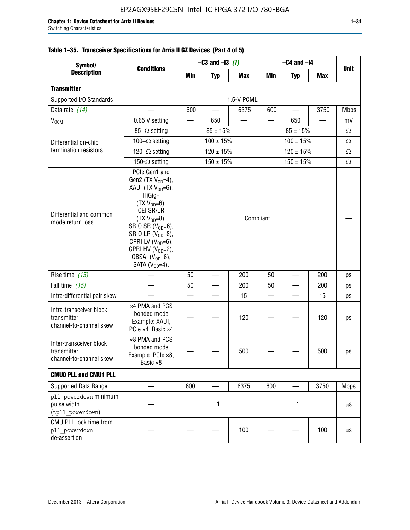| Symbol/                                                           |                                                                                                                                                                                                                                                                                              |           | $-C3$ and $-13$ (1) |            |     | $-C4$ and $-I4$ |            |             |
|-------------------------------------------------------------------|----------------------------------------------------------------------------------------------------------------------------------------------------------------------------------------------------------------------------------------------------------------------------------------------|-----------|---------------------|------------|-----|-----------------|------------|-------------|
| <b>Description</b>                                                | <b>Conditions</b>                                                                                                                                                                                                                                                                            | Min       | <b>Typ</b>          | <b>Max</b> | Min | <b>Typ</b>      | <b>Max</b> | <b>Unit</b> |
| <b>Transmitter</b>                                                |                                                                                                                                                                                                                                                                                              |           |                     |            |     |                 |            |             |
| Supported I/O Standards                                           |                                                                                                                                                                                                                                                                                              |           |                     | 1.5-V PCML |     |                 |            |             |
| Data rate (14)                                                    |                                                                                                                                                                                                                                                                                              | 600       |                     | 6375       | 600 |                 | 3750       | <b>Mbps</b> |
| $\rm V_{\rm OCM}$                                                 | 0.65 V setting                                                                                                                                                                                                                                                                               |           | 650                 |            |     | 650             |            | mV          |
|                                                                   | 85- $\Omega$ setting                                                                                                                                                                                                                                                                         |           | $85 \pm 15\%$       |            |     | $85 \pm 15\%$   |            | $\Omega$    |
| Differential on-chip                                              | 100 $-\Omega$ setting                                                                                                                                                                                                                                                                        |           | $100 \pm 15%$       |            |     | $100 \pm 15%$   |            | $\Omega$    |
| termination resistors                                             | 120 $-\Omega$ setting                                                                                                                                                                                                                                                                        |           | $120 \pm 15 \%$     |            |     | $120 \pm 15%$   |            | $\Omega$    |
|                                                                   | 150- $\Omega$ setting                                                                                                                                                                                                                                                                        |           | $150 \pm 15\%$      |            |     | $150 \pm 15\%$  |            | $\Omega$    |
| Differential and common<br>mode return loss                       | PCIe Gen1 and<br>Gen2 (TX $V_{OD} = 4$ ),<br>XAUI (TX $V_{OD} = 6$ ),<br>HiGig+<br>$(TX V_{OD} = 6)$ ,<br>CEI SR/LR<br>$(TX V_{OD} = 8),$<br>SRIO SR $(V_{OD}=6)$ ,<br>SRIO LR $(V_{OD} = 8)$ ,<br>CPRI LV $(V_{OD}=6)$ ,<br>CPRI HV $(V_{OD}=2)$ ,<br>OBSAI $(VOD=6)$ ,<br>SATA $(VOD=4)$ , | Compliant |                     |            |     |                 |            |             |
| Rise time (15)                                                    |                                                                                                                                                                                                                                                                                              | 50        |                     | 200        | 50  |                 | 200        | ps          |
| Fall time (15)                                                    |                                                                                                                                                                                                                                                                                              | 50        |                     | 200        | 50  |                 | 200        | ps          |
| Intra-differential pair skew                                      |                                                                                                                                                                                                                                                                                              |           |                     | 15         |     |                 | 15         | ps          |
| Intra-transceiver block<br>transmitter<br>channel-to-channel skew | x4 PMA and PCS<br>bonded mode<br>Example: XAUI,<br>PCIe ×4, Basic ×4                                                                                                                                                                                                                         |           |                     | 120        |     |                 | 120        | ps          |
| Inter-transceiver block<br>transmitter<br>channel-to-channel skew | ×8 PMA and PCS<br>bonded mode<br>Example: PCle ×8,<br>Basic ×8                                                                                                                                                                                                                               |           |                     | 500        |     |                 | 500        | ps          |
| <b>CMUO PLL and CMU1 PLL</b>                                      |                                                                                                                                                                                                                                                                                              |           |                     |            |     |                 |            |             |
| Supported Data Range                                              |                                                                                                                                                                                                                                                                                              | 600       |                     | 6375       | 600 |                 | 3750       | <b>Mbps</b> |
| pll powerdown minimum<br>pulse width<br>(tpll powerdown)          |                                                                                                                                                                                                                                                                                              |           | 1                   |            |     | 1               |            | $\mu$ S     |
| CMU PLL lock time from<br>pll powerdown<br>de-assertion           |                                                                                                                                                                                                                                                                                              |           |                     | 100        |     |                 | 100        | $\mu$ S     |

# **Table 1–35. Transceiver Specifications for Arria II GZ Devices (Part 4 of 5)**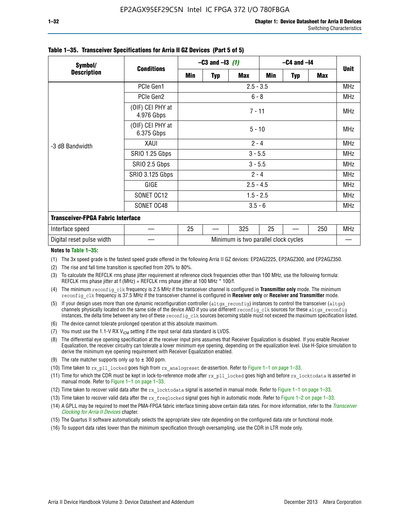| Symbol/                                  |                                | $-C3$ and $-13$ (1) |            |                                      | $-C4$ and $-I4$ |            |     | <b>Unit</b> |
|------------------------------------------|--------------------------------|---------------------|------------|--------------------------------------|-----------------|------------|-----|-------------|
| <b>Description</b>                       | <b>Conditions</b>              | Min                 | <b>Typ</b> | <b>Max</b>                           | Min             | <b>Typ</b> | Max |             |
|                                          | PCIe Gen1                      |                     |            | $2.5 - 3.5$                          |                 |            |     | <b>MHz</b>  |
|                                          | PCIe Gen2                      |                     |            | $6 - 8$                              |                 |            |     | <b>MHz</b>  |
| -3 dB Bandwidth                          | (OIF) CEI PHY at<br>4.976 Gbps |                     |            | $7 - 11$                             |                 |            |     | <b>MHz</b>  |
|                                          | (OIF) CEI PHY at<br>6.375 Gbps |                     |            | $5 - 10$                             |                 |            |     | <b>MHz</b>  |
|                                          | XAUI                           | $2 - 4$             |            |                                      |                 |            |     | <b>MHz</b>  |
|                                          | SRIO 1.25 Gbps                 | $3 - 5.5$           |            |                                      |                 |            |     | <b>MHz</b>  |
|                                          | SRIO 2.5 Gbps                  |                     |            | $3 - 5.5$                            |                 |            |     | <b>MHz</b>  |
|                                          | <b>SRIO 3.125 Gbps</b>         |                     |            | $2 - 4$                              |                 |            |     | <b>MHz</b>  |
|                                          | GIGE                           |                     |            | $2.5 - 4.5$                          |                 |            |     | <b>MHz</b>  |
|                                          | SONET OC12                     |                     |            | $1.5 - 2.5$                          |                 |            |     | <b>MHz</b>  |
|                                          | SONET OC48                     |                     |            | $3.5 - 6$                            |                 |            |     | <b>MHz</b>  |
| <b>Transceiver-FPGA Fabric Interface</b> |                                |                     |            |                                      |                 |            |     |             |
| Interface speed                          |                                | 25                  |            | 325                                  | 25              |            | 250 | <b>MHz</b>  |
| Digital reset pulse width                |                                |                     |            | Minimum is two parallel clock cycles |                 |            |     |             |

#### **Table 1–35. Transceiver Specifications for Arria II GZ Devices (Part 5 of 5)**

#### **Notes to Table 1–35:**

(1) The 3x speed grade is the fastest speed grade offered in the following Arria II GZ devices: EP2AGZ225, EP2AGZ300, and EP2AGZ350.

- (2) The rise and fall time transition is specified from 20% to 80%.
- (3) To calculate the REFCLK rms phase jitter requirement at reference clock frequencies other than 100 MHz, use the following formula: REFCLK rms phase jitter at f (MHz) = REFCLK rms phase jitter at 100 MHz  $*$  100/f.
- (4) The minimum reconfig clk frequency is 2.5 MHz if the transceiver channel is configured in **Transmitter only** mode. The minimum reconfig clk frequency is 37.5 MHz if the transceiver channel is configured in **Receiver only** or **Receiver and Transmitter** mode.
- (5) If your design uses more than one dynamic reconfiguration controller (altgx reconfig) instances to control the transceiver (altgx) channels physically located on the same side of the device AND if you use different reconfig clk sources for these altgx reconfig instances, the delta time between any two of these reconfig clk sources becoming stable must not exceed the maximum specification listed.
- (6) The device cannot tolerate prolonged operation at this absolute maximum.
- (7) You must use the 1.1-V RX  $V_{ICM}$  setting if the input serial data standard is LVDS.
- (8) The differential eye opening specification at the receiver input pins assumes that Receiver Equalization is disabled. If you enable Receiver Equalization, the receiver circuitry can tolerate a lower minimum eye opening, depending on the equalization level. Use H-Spice simulation to derive the minimum eye opening requirement with Receiver Equalization enabled.
- (9) The rate matcher supports only up to  $\pm$  300 ppm.
- (10) Time taken to rx\_pll\_locked goes high from rx\_analogreset de-assertion. Refer to Figure 1–1 on page 1–33.
- (11) Time for which the CDR must be kept in lock-to-reference mode after rx pll\_locked goes high and before rx\_locktodata is asserted in manual mode. Refer to Figure 1–1 on page 1–33.
- (12) Time taken to recover valid data after the rx locktodata signal is asserted in manual mode. Refer to Figure 1–1 on page 1–33.
- (13) Time taken to recover valid data after the rx\_freqlocked signal goes high in automatic mode. Refer to Figure 1–2 on page 1–33.
- (14) A GPLL may be required to meet the PMA-FPGA fabric interface timing above certain data rates. For more information, refer to the *[Transceiver](http://www.altera.com/literature/hb/arria-ii-gx/aiigx_52002.pdf)  [Clocking for Arria II Devices](http://www.altera.com/literature/hb/arria-ii-gx/aiigx_52002.pdf)* chapter.
- (15) The Quartus II software automatically selects the appropriate slew rate depending on the configured data rate or functional mode.
- (16) To support data rates lower than the minimum specification through oversampling, use the CDR in LTR mode only.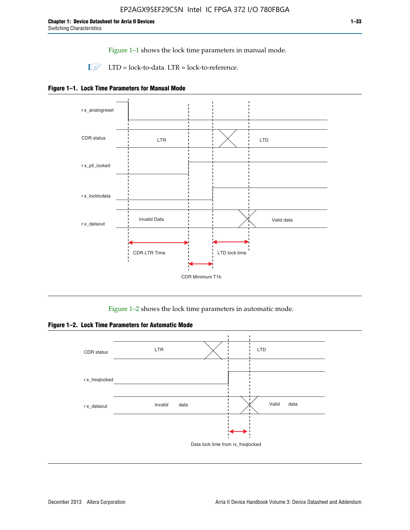Figure 1–1 shows the lock time parameters in manual mode.

 $\Box$  LTD = lock-to-data. LTR = lock-to-reference.





Figure 1–2 shows the lock time parameters in automatic mode.

**Figure 1–2. Lock Time Parameters for Automatic Mode**

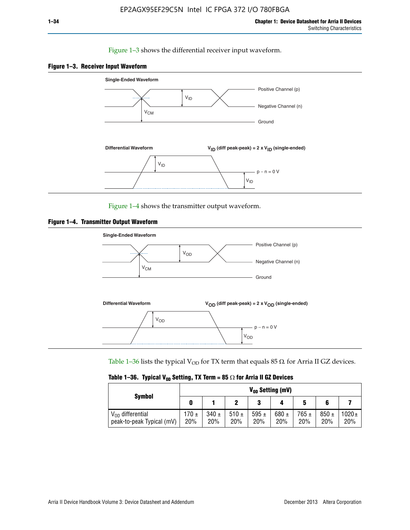## Figure 1–3 shows the differential receiver input waveform.





Figure 1–4 shows the transmitter output waveform.





Table 1–36 lists the typical V<sub>OD</sub> for TX term that equals 85  $\Omega$  for Arria II GZ devices.

| Table 1–36. Typical V <sub>0D</sub> Setting, TX Term = 85 $\Omega$ for Arria II GZ Devices |  |  |  |  |  |  |  |  |
|--------------------------------------------------------------------------------------------|--|--|--|--|--|--|--|--|
|--------------------------------------------------------------------------------------------|--|--|--|--|--|--|--|--|

|                                                    |              |                  |             | $V_{0D}$ Setting (mV) |                  |                  |                  |                 |
|----------------------------------------------------|--------------|------------------|-------------|-----------------------|------------------|------------------|------------------|-----------------|
| <b>Symbol</b>                                      |              |                  |             | າ<br>J                |                  | 5                |                  |                 |
| $V_{OD}$ differential<br>peak-to-peak Typical (mV) | 170 ±<br>20% | $340 \pm$<br>20% | 510±<br>20% | 595 $\pm$<br>20%      | 680 $\pm$<br>20% | $765 \pm$<br>20% | $850 \pm$<br>20% | $1020 +$<br>20% |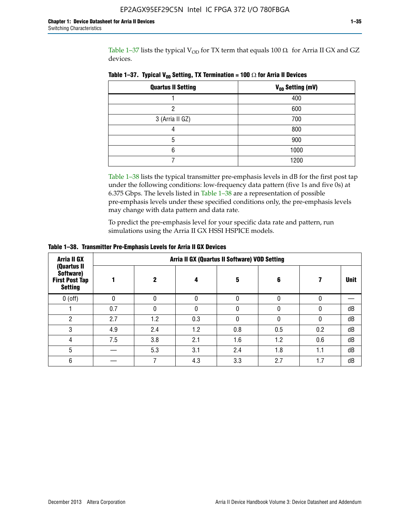Table 1-37 lists the typical  $V_{OD}$  for TX term that equals 100  $\Omega$  for Arria II GX and GZ devices.

| <b>Quartus II Setting</b> | V <sub>OD</sub> Setting (mV) |
|---------------------------|------------------------------|
|                           | 400                          |
| ŋ                         | 600                          |
| 3 (Arria II GZ)           | 700                          |
|                           | 800                          |
| 5                         | 900                          |
| հ                         | 1000                         |
|                           | 1200                         |

**Table 1–37. Typical V<sub>OD</sub> Setting, TX Termination = 100**  $\Omega$  for Arria II Devices

Table 1–38 lists the typical transmitter pre-emphasis levels in dB for the first post tap under the following conditions: low-frequency data pattern (five 1s and five 0s) at 6.375 Gbps. The levels listed in Table 1–38 are a representation of possible pre-emphasis levels under these specified conditions only, the pre-emphasis levels may change with data pattern and data rate.

To predict the pre-emphasis level for your specific data rate and pattern, run simulations using the Arria II GX HSSI HSPICE models.

| <b>Arria II GX</b>                                                  | Arria II GX (Quartus II Software) VOD Setting |     |     |     |     |     |             |  |  |  |
|---------------------------------------------------------------------|-----------------------------------------------|-----|-----|-----|-----|-----|-------------|--|--|--|
| (Quartus II<br>Software)<br><b>First Post Tap</b><br><b>Setting</b> |                                               | 2   | 4   | 5   | 6   |     | <b>Unit</b> |  |  |  |
| $0$ (off)                                                           | 0                                             | 0   | U   |     |     |     |             |  |  |  |
|                                                                     | 0.7                                           | N   | U   |     |     |     | dB          |  |  |  |
| റ                                                                   | 2.7                                           | 1.2 | 0.3 |     |     |     | dB          |  |  |  |
| 3                                                                   | 4.9                                           | 2.4 | 1.2 | 0.8 | 0.5 | 0.2 | dB          |  |  |  |
| 4                                                                   | 7.5                                           | 3.8 | 2.1 | 1.6 | 1.2 | 0.6 | dB          |  |  |  |
| 5                                                                   |                                               | 5.3 | 3.1 | 2.4 | 1.8 | 1.1 | dB          |  |  |  |
| 6                                                                   |                                               |     | 4.3 | 3.3 | 2.7 | 1.7 | dB          |  |  |  |

**Table 1–38. Transmitter Pre-Emphasis Levels for Arria II GX Devices**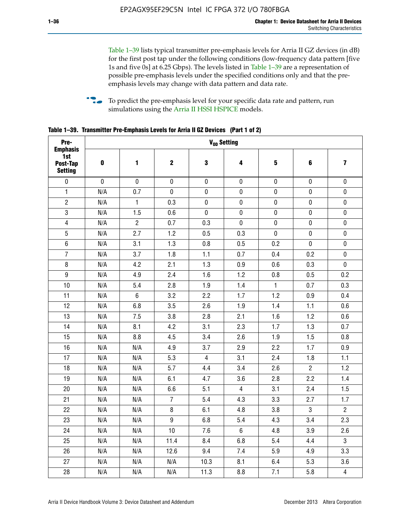Table 1–39 lists typical transmitter pre-emphasis levels for Arria II GZ devices (in dB) for the first post tap under the following conditions (low-frequency data pattern [five 1s and five 0s] at 6.25 Gbps). The levels listed in Table 1–39 are a representation of possible pre-emphasis levels under the specified conditions only and that the preemphasis levels may change with data pattern and data rate.

**follow** To predict the pre-emphasis level for your specific data rate and pattern, run simulations using the [Arria II HSSI HSPICE](http://www.altera.com/support/software/download/hspice/hsp-index.html) models.

| Pre-                                                 |           |                |                  |                | V <sub>OD</sub> Setting |              |                |                         |
|------------------------------------------------------|-----------|----------------|------------------|----------------|-------------------------|--------------|----------------|-------------------------|
| <b>Emphasis</b><br>1st<br>Post-Tap<br><b>Setting</b> | $\pmb{0}$ | 1              | $\mathbf 2$      | 3              | 4                       | 5            | 6              | $\overline{\mathbf{z}}$ |
| $\pmb{0}$                                            | $\pmb{0}$ | $\pmb{0}$      | $\pmb{0}$        | $\pmb{0}$      | $\pmb{0}$               | $\pmb{0}$    | $\pmb{0}$      | $\pmb{0}$               |
| $\mathbf{1}$                                         | N/A       | 0.7            | $\pmb{0}$        | $\pmb{0}$      | $\pmb{0}$               | $\pmb{0}$    | 0              | $\pmb{0}$               |
| $\overline{2}$                                       | N/A       | $\mathbf{1}$   | 0.3              | $\pmb{0}$      | $\pmb{0}$               | $\pmb{0}$    | $\pmb{0}$      | $\pmb{0}$               |
| $\sqrt{3}$                                           | N/A       | 1.5            | 0.6              | $\pmb{0}$      | $\pmb{0}$               | $\pmb{0}$    | $\pmb{0}$      | $\pmb{0}$               |
| $\overline{4}$                                       | N/A       | $\overline{2}$ | 0.7              | 0.3            | $\pmb{0}$               | $\pmb{0}$    | $\pmb{0}$      | $\pmb{0}$               |
| 5                                                    | N/A       | 2.7            | 1.2              | 0.5            | 0.3                     | $\mathbf 0$  | 0              | $\mathbf 0$             |
| $6\phantom{1}$                                       | N/A       | 3.1            | 1.3              | 0.8            | 0.5                     | 0.2          | $\mathbf 0$    | $\pmb{0}$               |
| $\overline{7}$                                       | N/A       | 3.7            | 1.8              | 1.1            | 0.7                     | 0.4          | 0.2            | $\pmb{0}$               |
| $\bf 8$                                              | N/A       | 4.2            | 2.1              | 1.3            | 0.9                     | 0.6          | 0.3            | $\pmb{0}$               |
| $\boldsymbol{9}$                                     | N/A       | 4.9            | 2.4              | 1.6            | 1.2                     | 0.8          | 0.5            | 0.2                     |
| 10                                                   | N/A       | 5.4            | 2.8              | 1.9            | 1.4                     | $\mathbf{1}$ | 0.7            | 0.3                     |
| 11                                                   | N/A       | $\,6\,$        | 3.2              | 2.2            | 1.7                     | 1.2          | 0.9            | 0.4                     |
| 12                                                   | N/A       | 6.8            | 3.5              | 2.6            | 1.9                     | 1.4          | 1.1            | 0.6                     |
| 13                                                   | N/A       | 7.5            | 3.8              | 2.8            | 2.1                     | 1.6          | 1.2            | 0.6                     |
| 14                                                   | N/A       | 8.1            | 4.2              | 3.1            | 2.3                     | 1.7          | 1.3            | 0.7                     |
| 15                                                   | N/A       | 8.8            | 4.5              | 3.4            | 2.6                     | 1.9          | 1.5            | 0.8                     |
| 16                                                   | N/A       | N/A            | 4.9              | 3.7            | 2.9                     | 2.2          | 1.7            | 0.9                     |
| 17                                                   | N/A       | N/A            | 5.3              | $\overline{4}$ | 3.1                     | 2.4          | 1.8            | 1.1                     |
| 18                                                   | N/A       | N/A            | 5.7              | 4.4            | 3.4                     | 2.6          | $\overline{2}$ | 1.2                     |
| 19                                                   | N/A       | N/A            | 6.1              | 4.7            | 3.6                     | 2.8          | 2.2            | 1.4                     |
| 20                                                   | N/A       | N/A            | 6.6              | 5.1            | $\overline{4}$          | 3.1          | 2.4            | 1.5                     |
| 21                                                   | N/A       | N/A            | $\overline{7}$   | 5.4            | 4.3                     | 3.3          | 2.7            | 1.7                     |
| 22                                                   | N/A       | N/A            | 8                | 6.1            | 4.8                     | 3.8          | 3              | $\overline{2}$          |
| 23                                                   | N/A       | N/A            | $\boldsymbol{9}$ | 6.8            | 5.4                     | 4.3          | 3.4            | 2.3                     |
| 24                                                   | N/A       | N/A            | 10               | 7.6            | $6\phantom{1}$          | 4.8          | 3.9            | 2.6                     |
| 25                                                   | N/A       | N/A            | 11.4             | 8.4            | 6.8                     | 5.4          | 4.4            | $\overline{3}$          |
| 26                                                   | N/A       | N/A            | 12.6             | 9.4            | 7.4                     | 5.9          | 4.9            | 3.3                     |
| 27                                                   | N/A       | N/A            | N/A              | 10.3           | 8.1                     | 6.4          | 5.3            | 3.6                     |
| 28                                                   | N/A       | N/A            | N/A              | 11.3           | 8.8                     | 7.1          | 5.8            | $\overline{\mathbf{4}}$ |

**Table 1–39. Transmitter Pre-Emphasis Levels for Arria II GZ Devices (Part 1 of 2)**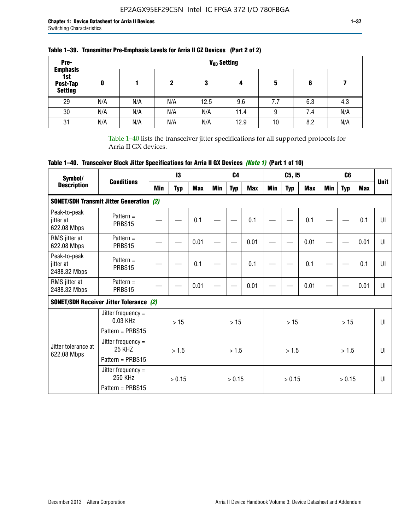| Pre-                                                 |     |     |     |      | V <sub>op</sub> Setting |     |     |     |
|------------------------------------------------------|-----|-----|-----|------|-------------------------|-----|-----|-----|
| <b>Emphasis</b><br>1st<br>Post-Tap<br><b>Setting</b> | 0   |     | 2   | 3    | 4                       | 5   | 6   |     |
| 29                                                   | N/A | N/A | N/A | 12.5 | 9.6                     | 7.7 | 6.3 | 4.3 |
| 30                                                   | N/A | N/A | N/A | N/A  | 11.4                    | 9   | 7.4 | N/A |
| 31                                                   | N/A | N/A | N/A | N/A  | 12.9                    | 10  | 8.2 | N/A |

## **Table 1–39. Transmitter Pre-Emphasis Levels for Arria II GZ Devices (Part 2 of 2)**

Table 1–40 lists the transceiver jitter specifications for all supported protocols for Arria II GX devices.

# **Table 1–40. Transceiver Block Jitter Specifications for Arria II GX Devices** *(Note 1)* **(Part 1 of 10)**

| Symbol/                                   |                                                           |     | $\mathbf{13}$ |            |     | C <sub>4</sub> |            |     | C5, I5     |            |     | C <sub>6</sub> |            |              |
|-------------------------------------------|-----------------------------------------------------------|-----|---------------|------------|-----|----------------|------------|-----|------------|------------|-----|----------------|------------|--------------|
| <b>Description</b>                        | <b>Conditions</b>                                         | Min | <b>Typ</b>    | <b>Max</b> | Min | <b>Typ</b>     | <b>Max</b> | Min | <b>Typ</b> | <b>Max</b> | Min | <b>Typ</b>     | <b>Max</b> | <b>Unit</b>  |
|                                           | <b>SONET/SDH Transmit Jitter Generation (2)</b>           |     |               |            |     |                |            |     |            |            |     |                |            |              |
| Peak-to-peak<br>jitter at<br>622.08 Mbps  | Pattern $=$<br>PRBS15                                     |     |               | 0.1        |     |                | 0.1        |     |            | 0.1        |     |                | 0.1        | U            |
| RMS jitter at<br>622.08 Mbps              | Pattern $=$<br>PRBS15                                     |     |               | 0.01       |     |                | 0.01       |     |            | 0.01       |     |                | 0.01       | $\mathbf{U}$ |
| Peak-to-peak<br>iitter at<br>2488.32 Mbps | Pattern $=$<br>PRBS15                                     |     |               | 0.1        |     |                | 0.1        |     |            | 0.1        |     |                | 0.1        | UI           |
| RMS jitter at<br>2488.32 Mbps             | Pattern $=$<br>PRBS15                                     |     |               | 0.01       |     |                | 0.01       |     |            | 0.01       |     |                | 0.01       | UI           |
|                                           | <b>SONET/SDH Receiver Jitter Tolerance (2)</b>            |     |               |            |     |                |            |     |            |            |     |                |            |              |
|                                           | Jitter frequency =<br>$0.03$ KHz<br>Pattern = PRBS15      |     | >15           |            |     | >15            |            |     | >15        |            |     | >15            |            | UI           |
| Jitter tolerance at<br>622.08 Mbps        | Jitter frequency $=$<br><b>25 KHZ</b><br>Pattern = PRBS15 |     | >1.5          |            |     | > 1.5          |            |     | > 1.5      |            |     | > 1.5          |            | Ш            |
|                                           | Jitter frequency $=$<br>250 KHz<br>Pattern = PRBS15       |     | > 0.15        |            |     | > 0.15         |            |     | > 0.15     |            |     | > 0.15         |            | $\mathbf{U}$ |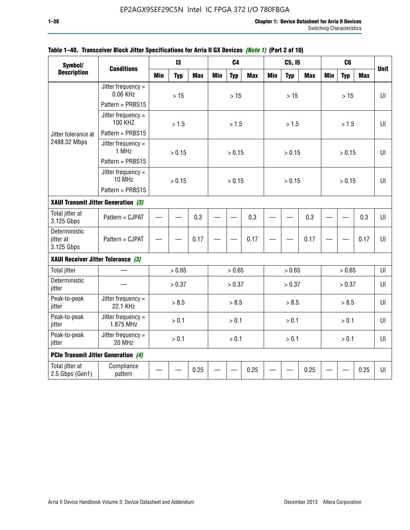| Symbol/                                    |                                        |            | 13         |            |            | C <sub>4</sub> |            |            | C5, I5     |            |            | C <sub>6</sub> |            |             |
|--------------------------------------------|----------------------------------------|------------|------------|------------|------------|----------------|------------|------------|------------|------------|------------|----------------|------------|-------------|
| <b>Description</b>                         | <b>Conditions</b>                      | <b>Min</b> | <b>Typ</b> | <b>Max</b> | <b>Min</b> | <b>Typ</b>     | <b>Max</b> | <b>Min</b> | <b>Typ</b> | <b>Max</b> | <b>Min</b> | <b>Typ</b>     | <b>Max</b> | <b>Unit</b> |
|                                            | Jitter frequency $=$<br>0.06 KHz       |            | $>15$      |            |            | $>15$          |            |            | $>15$      |            |            | >15            |            | UI          |
|                                            | Pattern = PRBS15                       |            |            |            |            |                |            |            |            |            |            |                |            |             |
|                                            | Jitter frequency $=$<br><b>100 KHZ</b> |            | > 1.5      |            |            | > 1.5          |            |            | > 1.5      |            |            | > 1.5          |            | UI          |
| Jitter tolerance at                        | Pattern = PRBS15                       |            |            |            |            |                |            |            |            |            |            |                |            |             |
| 2488.32 Mbps                               | Jitter frequency $=$<br>1 MHz          |            | > 0.15     |            |            | > 0.15         |            |            | > 0.15     |            |            | > 0.15         |            | Ш           |
|                                            | Pattern = PRBS15                       |            |            |            |            |                |            |            |            |            |            |                |            |             |
|                                            | Jitter frequency $=$<br>10 MHz         |            | > 0.15     |            |            | > 0.15         |            |            | > 0.15     |            |            | > 0.15         |            | UI          |
|                                            | Pattern = PRBS15                       |            |            |            |            |                |            |            |            |            |            |                |            |             |
| XAUI Transmit Jitter Generation (3)        |                                        | 0.3        |            |            |            |                |            |            |            |            |            |                |            |             |
| Total jitter at<br>3.125 Gbps              | Pattern = CJPAT                        |            |            |            |            |                | 0.3        |            |            | 0.3        |            |                | 0.3        | UI          |
| Deterministic<br>jitter at<br>3.125 Gbps   | Pattern = CJPAT                        | 0.17       |            |            |            | 0.17           |            |            | 0.17       |            |            | 0.17           | $U\Gamma$  |             |
| XAUI Receiver Jitter Tolerance (3)         |                                        |            |            |            |            |                |            |            |            |            |            |                |            |             |
| <b>Total jitter</b>                        |                                        |            | > 0.65     |            |            | > 0.65         |            |            | > 0.65     |            |            | > 0.65         |            | UI          |
| Deterministic<br>jitter                    |                                        |            | > 0.37     |            |            | > 0.37         |            |            | > 0.37     |            |            | > 0.37         |            | UI          |
| Peak-to-peak<br>jitter                     | Jitter frequency =<br>22.1 KHz         |            | > 8.5      |            |            | > 8.5          |            |            | > 8.5      |            |            | > 8.5          |            | UI          |
| Peak-to-peak<br>jitter                     | Jitter frequency $=$<br>1.875 MHz      |            | > 0.1      |            |            | > 0.1          |            |            | > 0.1      |            |            | > 0.1          |            | $U\Gamma$   |
| Peak-to-peak<br>jitter                     | Jitter frequency =<br>20 MHz           | > 0.1      |            |            |            | > 0.1          |            |            | > 0.1      |            |            | > 0.1          |            | UI          |
| <b>PCIe Transmit Jitter Generation (4)</b> |                                        |            |            |            |            |                |            |            |            |            |            |                |            |             |
| Total jitter at<br>2.5 Gbps (Gen1)         | Compliance<br>pattern                  |            |            | 0.25       |            |                | 0.25       |            |            | 0.25       |            |                | 0.25       | $U\Gamma$   |

## **Table 1–40. Transceiver Block Jitter Specifications for Arria II GX Devices** *(Note 1)* **(Part 2 of 10)**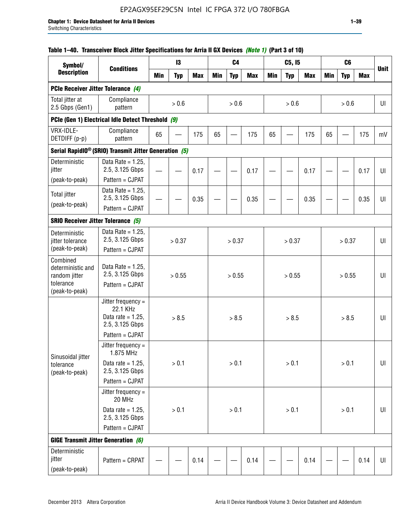## **Table 1–40. Transceiver Block Jitter Specifications for Arria II GX Devices** *(Note 1)* **(Part 3 of 10)**

| Symbol/<br><b>Description</b>                       |                                                                             |            | 13         |            |        | C <sub>4</sub> |            |            | C5, I5     |            |            | C <sub>6</sub> |            |             |
|-----------------------------------------------------|-----------------------------------------------------------------------------|------------|------------|------------|--------|----------------|------------|------------|------------|------------|------------|----------------|------------|-------------|
|                                                     | <b>Conditions</b>                                                           | <b>Min</b> | <b>Typ</b> | <b>Max</b> | Min    | <b>Typ</b>     | <b>Max</b> | <b>Min</b> | <b>Typ</b> | <b>Max</b> | <b>Min</b> | <b>Typ</b>     | <b>Max</b> | <b>Unit</b> |
| PCIe Receiver Jitter Tolerance (4)                  |                                                                             |            |            |            |        |                |            |            |            |            |            |                |            |             |
| Total jitter at<br>2.5 Gbps (Gen1)                  | Compliance<br>pattern                                                       |            | $> 0.6$    |            |        | > 0.6          |            |            | > 0.6      |            |            | > 0.6          |            | UI          |
|                                                     | PCIe (Gen 1) Electrical Idle Detect Threshold (9)                           |            |            |            |        |                |            |            |            |            |            |                |            |             |
| VRX-IDLE-<br>DETDIFF (p-p)                          | Compliance<br>pattern                                                       | 65         |            | 175        | 65     |                | 175        | 65         |            | 175        | 65         |                | 175        | mV          |
|                                                     | Serial RapidIO <sup>®</sup> (SRIO) Transmit Jitter Generation (5)           |            |            |            |        |                |            |            |            |            |            |                |            |             |
| Deterministic<br>jitter                             | Data Rate = $1.25$ ,<br>2.5, 3.125 Gbps                                     |            |            | 0.17       |        |                | 0.17       |            |            | 0.17       |            |                | 0.17       | UI          |
| (peak-to-peak)                                      | Pattern = CJPAT                                                             |            |            |            |        |                |            |            |            |            |            |                |            |             |
| <b>Total jitter</b><br>(peak-to-peak)               | Data Rate = $1.25$ .<br>2.5, 3.125 Gbps                                     |            |            | 0.35       |        |                | 0.35       |            |            | 0.35       |            |                | 0.35       | UI          |
|                                                     | Pattern = CJPAT                                                             |            |            |            |        |                |            |            |            |            |            |                |            |             |
| <b>SRIO Receiver Jitter Tolerance (5)</b>           |                                                                             |            |            |            |        |                |            |            |            |            |            |                |            |             |
| Deterministic<br>jitter tolerance<br>(peak-to-peak) | Data Rate = $1.25$ ,<br>2.5, 3.125 Gbps<br>Pattern = CJPAT                  | > 0.37     |            |            | > 0.37 |                |            | > 0.37     |            |            | > 0.37     |                | U          |             |
| Combined<br>deterministic and<br>random jitter      | Data Rate = $1.25$ ,<br>2.5, 3.125 Gbps                                     | > 0.55     |            |            |        | > 0.55         |            |            | > 0.55     |            |            | > 0.55         |            | U           |
| tolerance<br>(peak-to-peak)                         | Pattern = CJPAT                                                             |            |            |            |        |                |            |            |            |            |            |                |            |             |
|                                                     | Jitter frequency $=$<br>22.1 KHz<br>Data rate = $1.25$ ,<br>2.5, 3.125 Gbps |            | > 8.5      |            |        | > 8.5          |            |            | > 8.5      |            |            | > 8.5          |            | UI          |
|                                                     | Pattern = CJPAT                                                             |            |            |            |        |                |            |            |            |            |            |                |            |             |
| Sinusoidal jitter                                   | Jitter frequency =<br>1.875 MHz                                             |            |            |            |        |                |            |            |            |            |            |                |            |             |
| tolerance<br>(peak-to-peak)                         | Data rate = $1.25$ ,<br>2.5, 3.125 Gbps                                     |            | > 0.1      |            |        | $> 0.1$        |            |            | > 0.1      |            |            | $> 0.1$        |            | UI          |
|                                                     | Pattern = CJPAT                                                             |            |            |            |        |                |            |            |            |            |            |                |            |             |
|                                                     | Jitter frequency $=$<br>20 MHz                                              |            |            |            |        |                |            |            |            |            |            |                |            |             |
|                                                     | Data rate = $1.25$ ,<br>2.5, 3.125 Gbps                                     | > 0.1      |            |            |        | > 0.1          |            |            | > 0.1      |            |            | $> 0.1$        |            | UI          |
|                                                     | Pattern = CJPAT                                                             |            |            |            |        |                |            |            |            |            |            |                |            |             |
| <b>GIGE Transmit Jitter Generation (6)</b>          |                                                                             |            |            |            |        |                |            |            |            |            |            |                |            |             |
| Deterministic<br>jitter<br>(peak-to-peak)           | Pattern = CRPAT                                                             |            |            | 0.14       |        |                | 0.14       |            |            | 0.14       |            |                | 0.14       | UI          |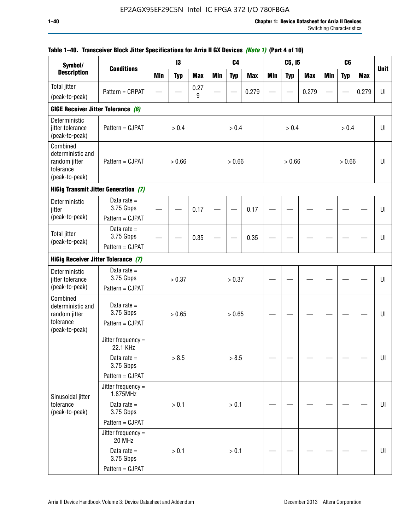| Symbol/                                                                       |                                             |            | 13         |            |            | C <sub>4</sub> |            |     | C5, I5     |            |            | C <sub>6</sub> |            |             |
|-------------------------------------------------------------------------------|---------------------------------------------|------------|------------|------------|------------|----------------|------------|-----|------------|------------|------------|----------------|------------|-------------|
| <b>Description</b>                                                            | <b>Conditions</b>                           | <b>Min</b> | <b>Typ</b> | <b>Max</b> | <b>Min</b> | <b>Typ</b>     | <b>Max</b> | Min | <b>Typ</b> | <b>Max</b> | <b>Min</b> | <b>Typ</b>     | <b>Max</b> | <b>Unit</b> |
| <b>Total jitter</b>                                                           | Pattern = CRPAT                             |            |            | 0.27       |            |                | 0.279      |     |            | 0.279      |            |                | 0.279      | UI          |
| (peak-to-peak)                                                                |                                             |            |            | 9          |            |                |            |     |            |            |            |                |            |             |
| GIGE Receiver Jitter Tolerance (6)                                            |                                             |            |            |            |            |                |            |     |            |            |            |                |            |             |
| Deterministic<br>jitter tolerance<br>(peak-to-peak)                           | Pattern = CJPAT                             |            | > 0.4      |            |            | > 0.4          |            |     | > 0.4      |            |            | > 0.4          |            | UI          |
| Combined<br>deterministic and<br>random jitter<br>tolerance<br>(peak-to-peak) | Pattern = CJPAT                             |            | > 0.66     |            |            | > 0.66         |            |     | > 0.66     |            |            | > 0.66         |            | UI          |
|                                                                               | <b>HiGig Transmit Jitter Generation (7)</b> |            |            |            |            |                |            |     |            |            |            |                |            |             |
| Deterministic<br>jitter                                                       | Data rate $=$<br>3.75 Gbps                  |            |            | 0.17       |            |                | 0.17       |     |            |            |            |                |            | UI          |
| (peak-to-peak)                                                                | Pattern = CJPAT                             |            |            |            |            |                |            |     |            |            |            |                |            |             |
| <b>Total jitter</b><br>(peak-to-peak)                                         | Data rate $=$<br>3.75 Gbps                  |            |            | 0.35       |            |                | 0.35       |     |            |            |            |                |            | UI          |
|                                                                               | Pattern = CJPAT                             |            |            |            |            |                |            |     |            |            |            |                |            |             |
| <b>HiGig Receiver Jitter Tolerance (7)</b>                                    |                                             |            |            |            |            |                |            |     |            |            |            |                |            |             |
| Deterministic<br>jitter tolerance                                             | Data rate $=$<br>3.75 Gbps                  |            | > 0.37     |            |            | > 0.37         |            |     |            |            |            |                |            | UI          |
| (peak-to-peak)                                                                | Pattern = CJPAT                             |            |            |            |            |                |            |     |            |            |            |                |            |             |
| Combined<br>deterministic and<br>random jitter                                | Data rate $=$<br>3.75 Gbps                  |            | > 0.65     |            |            | > 0.65         |            |     |            |            |            |                |            | UI          |
| tolerance<br>(peak-to-peak)                                                   | Pattern = CJPAT                             |            |            |            |            |                |            |     |            |            |            |                |            |             |
|                                                                               | Jitter frequency =<br>22.1 KHz              |            |            |            |            |                |            |     |            |            |            |                |            |             |
|                                                                               | Data rate $=$<br>3.75 Gbps                  |            | > 8.5      |            |            | > 8.5          |            |     |            |            |            |                |            | UI          |
|                                                                               | Pattern = CJPAT                             |            |            |            |            |                |            |     |            |            |            |                |            |             |
| Sinusoidal jitter                                                             | Jitter frequency =<br>1.875MHz              |            |            |            |            |                |            |     |            |            |            |                |            |             |
| tolerance<br>(peak-to-peak)                                                   | Data rate $=$<br>3.75 Gbps                  |            | > 0.1      |            |            | > 0.1          |            |     |            |            |            |                |            | UI          |
|                                                                               | Pattern = CJPAT                             |            |            |            |            |                |            |     |            |            |            |                |            |             |
|                                                                               | Jitter frequency =<br>20 MHz                |            |            |            |            |                |            |     |            |            |            |                |            |             |
|                                                                               | Data rate $=$<br>3.75 Gbps                  |            | > 0.1      |            |            | > 0.1          |            |     |            |            |            |                |            | UI          |
|                                                                               | Pattern = CJPAT                             |            |            |            |            |                |            |     |            |            |            |                |            |             |

## **Table 1–40. Transceiver Block Jitter Specifications for Arria II GX Devices** *(Note 1)* **(Part 4 of 10)**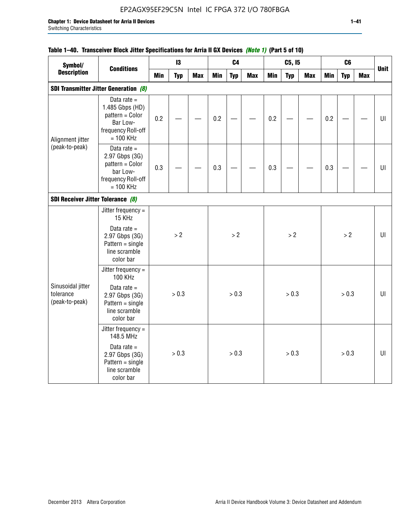## EP2AGX95EF29C5N Intel IC FPGA 372 I/O 780FBGA

## **Table 1–40. Transceiver Block Jitter Specifications for Arria II GX Devices** *(Note 1)* **(Part 5 of 10)**

| Symbol/                                          |                                                                                                      |            | 13         |            |            | C <sub>4</sub> |            |            | C5, I5     |            |            | C <sub>6</sub> |            |             |
|--------------------------------------------------|------------------------------------------------------------------------------------------------------|------------|------------|------------|------------|----------------|------------|------------|------------|------------|------------|----------------|------------|-------------|
| <b>Description</b>                               | <b>Conditions</b>                                                                                    | <b>Min</b> | <b>Typ</b> | <b>Max</b> | <b>Min</b> | <b>Typ</b>     | <b>Max</b> | <b>Min</b> | <b>Typ</b> | <b>Max</b> | <b>Min</b> | <b>Typ</b>     | <b>Max</b> | <b>Unit</b> |
|                                                  | <b>SDI Transmitter Jitter Generation (8)</b>                                                         |            |            |            |            |                |            |            |            |            |            |                |            |             |
| Alignment jitter                                 | Data rate $=$<br>1.485 Gbps (HD)<br>pattern = Color<br>Bar Low-<br>frequency Roll-off<br>$= 100$ KHz | 0.2        |            |            | 0.2        |                |            | 0.2        |            |            | 0.2        |                |            | U           |
| (peak-to-peak)                                   | Data rate $=$<br>2.97 Gbps (3G)<br>pattern = Color<br>bar Low-<br>frequency Roll-off<br>$= 100$ KHz  | 0.3        |            |            | 0.3        |                |            | 0.3        |            |            | 0.3        |                |            | UI          |
|                                                  |                                                                                                      |            |            |            |            |                |            |            |            |            |            |                |            |             |
| SDI Receiver Jitter Tolerance (8)                | Jitter frequency $=$<br>15 KHz                                                                       |            |            |            |            |                |            |            |            |            |            |                |            |             |
|                                                  | Data rate $=$<br>2.97 Gbps (3G)<br>$Pattern = single$<br>line scramble<br>color bar                  |            | > 2        |            |            | $>2$           |            |            | > 2        |            |            | $>2$           |            | U           |
|                                                  | Jitter frequency =<br><b>100 KHz</b>                                                                 |            |            |            |            |                |            |            |            |            |            |                |            |             |
| Sinusoidal jitter<br>tolerance<br>(peak-to-peak) | Data rate $=$<br>2.97 Gbps (3G)<br>$Pattern = single$<br>line scramble<br>color bar                  |            | > 0.3      |            |            | > 0.3          |            |            | > 0.3      |            |            | > 0.3          |            | UI          |
|                                                  | Jitter frequency =<br>148.5 MHz                                                                      |            |            |            |            |                |            |            |            |            |            |                |            |             |
|                                                  | Data rate $=$<br>2.97 Gbps (3G)<br>$Pattern = single$<br>line scramble<br>color bar                  |            | > 0.3      |            |            | > 0.3          |            |            | > 0.3      |            |            | > 0.3          |            | UI          |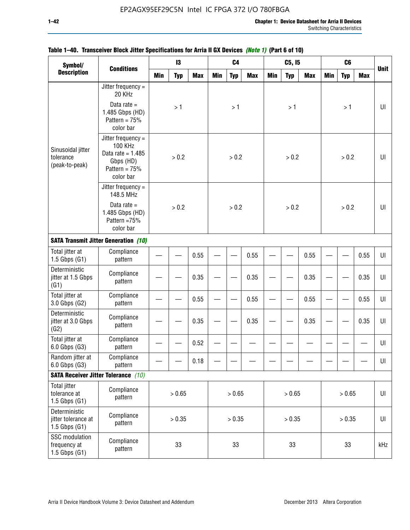| Symbol/                                                    |                                                                                                            | 13<br><b>Min</b><br><b>Typ</b><br><b>Max</b> |               |      |            | C <sub>4</sub> |            |            | C5, I5     |            |            | C <sub>6</sub> |            |             |
|------------------------------------------------------------|------------------------------------------------------------------------------------------------------------|----------------------------------------------|---------------|------|------------|----------------|------------|------------|------------|------------|------------|----------------|------------|-------------|
| <b>Description</b>                                         | <b>Conditions</b>                                                                                          |                                              |               |      | <b>Min</b> | <b>Typ</b>     | <b>Max</b> | <b>Min</b> | <b>Typ</b> | <b>Max</b> | <b>Min</b> | <b>Typ</b>     | <b>Max</b> | <b>Unit</b> |
|                                                            | Jitter frequency =<br>20 KHz                                                                               |                                              |               |      |            |                |            |            |            |            |            |                |            |             |
|                                                            | Data rate $=$<br>1.485 Gbps (HD)<br>Pattern = $75%$<br>color bar                                           |                                              | >1            |      |            | >1             |            |            | >1         |            |            | >1             |            | UI          |
| Sinusoidal jitter<br>tolerance<br>(peak-to-peak)           | Jitter frequency $=$<br><b>100 KHz</b><br>Data rate = $1.485$<br>Gbps (HD)<br>Pattern = $75%$<br>color bar |                                              | > 0.2         |      |            | > 0.2          |            |            | > 0.2      |            |            | > 0.2          |            | UI          |
|                                                            | Jitter frequency $=$<br>148.5 MHz                                                                          |                                              |               |      |            |                |            |            |            |            |            |                |            |             |
|                                                            | Data rate $=$<br>1.485 Gbps (HD)<br>Pattern =75%<br>color bar                                              |                                              | > 0.2<br>0.55 |      |            | > 0.2          |            |            | > 0.2      |            |            | > 0.2          |            | U           |
|                                                            | <b>SATA Transmit Jitter Generation (10)</b>                                                                |                                              |               |      |            |                |            |            |            |            |            |                |            |             |
| Total jitter at<br>$1.5$ Gbps $(G1)$                       | Compliance<br>pattern                                                                                      |                                              |               |      |            |                | 0.55       |            |            | 0.55       |            |                | 0.55       | UI          |
| Deterministic<br>jitter at 1.5 Gbps<br>(G1)                | Compliance<br>pattern                                                                                      | 0.35                                         |               |      |            |                | 0.35       |            |            | 0.35       |            |                | 0.35       | UI          |
| Total jitter at<br>3.0 Gbps (G2)                           | Compliance<br>pattern                                                                                      |                                              |               | 0.55 |            |                | 0.55       |            |            | 0.55       |            |                | 0.55       | UI          |
| Deterministic<br>jitter at 3.0 Gbps<br>(G2)                | Compliance<br>pattern                                                                                      |                                              |               | 0.35 |            |                | 0.35       |            |            | 0.35       |            |                | 0.35       | UI          |
| Total jitter at<br>6.0 Gbps (G3)                           | Compliance<br>pattern                                                                                      |                                              |               | 0.52 |            |                |            |            |            |            |            |                |            | UI          |
| Random jitter at<br>6.0 Gbps (G3)                          | Compliance<br>pattern                                                                                      |                                              |               | 0.18 |            |                |            |            |            |            |            |                |            | UI          |
|                                                            | <b>SATA Receiver Jitter Tolerance</b> (10)                                                                 |                                              |               |      |            |                |            |            |            |            |            |                |            |             |
| <b>Total jitter</b><br>tolerance at<br>$1.5$ Gbps $(G1)$   | Compliance<br>pattern                                                                                      | > 0.65                                       |               |      |            | > 0.65         |            |            | > 0.65     |            |            | > 0.65         |            | $U\vert$    |
| Deterministic<br>jitter tolerance at<br>$1.5$ Gbps $(G1)$  | Compliance<br>pattern                                                                                      |                                              | > 0.35        |      |            | > 0.35         |            |            | > 0.35     |            |            | > 0.35         |            | $U\vert$    |
| <b>SSC</b> modulation<br>frequency at<br>$1.5$ Gbps $(G1)$ | Compliance<br>pattern                                                                                      | 33                                           |               |      |            | 33             |            |            | 33         |            |            | 33             |            | kHz         |

## **Table 1–40. Transceiver Block Jitter Specifications for Arria II GX Devices** *(Note 1)* **(Part 6 of 10)**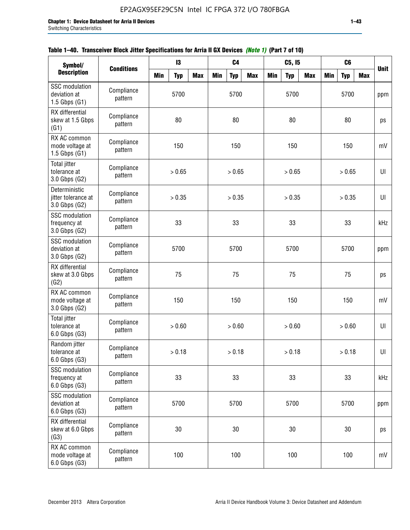| Symbol/                                                    |                       | C <sub>4</sub><br>$\mathbf{I}3$ |            |            |            |            |            | C5, I5     |            |            | C6         |            |            |             |
|------------------------------------------------------------|-----------------------|---------------------------------|------------|------------|------------|------------|------------|------------|------------|------------|------------|------------|------------|-------------|
| <b>Description</b>                                         | <b>Conditions</b>     | <b>Min</b>                      | <b>Typ</b> | <b>Max</b> | <b>Min</b> | <b>Typ</b> | <b>Max</b> | <b>Min</b> | <b>Typ</b> | <b>Max</b> | <b>Min</b> | <b>Typ</b> | <b>Max</b> | <b>Unit</b> |
| <b>SSC</b> modulation<br>deviation at<br>$1.5$ Gbps $(G1)$ | Compliance<br>pattern |                                 | 5700       |            |            | 5700       |            |            | 5700       |            |            | 5700       |            | ppm         |
| RX differential<br>skew at 1.5 Gbps<br>(G1)                | Compliance<br>pattern |                                 | 80         |            |            | 80         |            |            | 80         |            |            | 80         |            | ps          |
| RX AC common<br>mode voltage at<br>1.5 Gbps $(G1)$         | Compliance<br>pattern |                                 | 150        |            |            | 150        |            |            | 150        |            |            | 150        |            | mV          |
| Total jitter<br>tolerance at<br>3.0 Gbps (G2)              | Compliance<br>pattern |                                 | > 0.65     |            |            | > 0.65     |            |            | > 0.65     |            |            | > 0.65     |            | U           |
| Deterministic<br>jitter tolerance at<br>3.0 Gbps (G2)      | Compliance<br>pattern |                                 | > 0.35     |            |            | > 0.35     |            |            | > 0.35     |            |            | > 0.35     |            | UI          |
| SSC modulation<br>frequency at<br>3.0 Gbps (G2)            | Compliance<br>pattern |                                 | 33         |            |            | 33         |            |            | 33         |            |            | 33         |            | kHz         |
| <b>SSC</b> modulation<br>deviation at<br>3.0 Gbps (G2)     | Compliance<br>pattern |                                 | 5700       |            |            | 5700       |            |            | 5700       |            |            | 5700       |            | ppm         |
| RX differential<br>skew at 3.0 Gbps<br>(G2)                | Compliance<br>pattern |                                 | 75         |            |            | 75         |            |            | 75         |            |            | 75         |            | ps          |
| RX AC common<br>mode voltage at<br>3.0 Gbps (G2)           | Compliance<br>pattern |                                 | 150        |            |            | 150        |            |            | 150        |            |            | 150        |            | mV          |
| <b>Total jitter</b><br>tolerance at<br>6.0 Gbps (G3)       | Compliance<br>pattern |                                 | > 0.60     |            |            | > 0.60     |            |            | > 0.60     |            |            | > 0.60     |            | U           |
| Random jitter<br>tolerance at<br>6.0 Gbps (G3)             | Compliance<br>pattern |                                 | > 0.18     |            |            | > 0.18     |            |            | > 0.18     |            |            | > 0.18     |            | UI          |
| <b>SSC</b> modulation<br>frequency at<br>6.0 Gbps (G3)     | Compliance<br>pattern |                                 | 33         |            |            | 33         |            |            | 33         |            |            | 33         |            | kHz         |
| <b>SSC</b> modulation<br>deviation at<br>6.0 Gbps (G3)     | Compliance<br>pattern | 5700                            |            |            |            | 5700       |            |            | 5700       |            |            | 5700       |            | ppm         |
| RX differential<br>skew at 6.0 Gbps<br>(G3)                | Compliance<br>pattern |                                 | 30         |            |            | 30         |            |            | $30\,$     |            |            | 30         |            | ps          |
| RX AC common<br>mode voltage at<br>6.0 Gbps (G3)           | Compliance<br>pattern |                                 | 100        |            |            | 100        |            |            | 100        |            |            | 100        |            | mV          |

|  | Table 1–40. Transceiver Block Jitter Specifications for Arria II GX Devices <i>(Note 1)</i> (Part 7 of 10) |  |  |
|--|------------------------------------------------------------------------------------------------------------|--|--|
|  |                                                                                                            |  |  |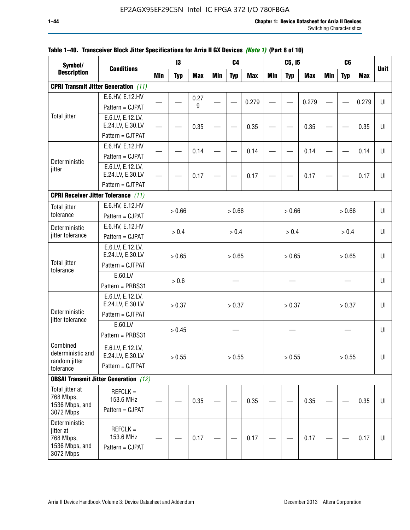| Symbol/                            |                                              |     | 13         |            |            | C <sub>4</sub> |            |            | C5, I5     |            |            | C <sub>6</sub> |            |             |
|------------------------------------|----------------------------------------------|-----|------------|------------|------------|----------------|------------|------------|------------|------------|------------|----------------|------------|-------------|
| <b>Description</b>                 | <b>Conditions</b>                            | Min | <b>Typ</b> | <b>Max</b> | <b>Min</b> | <b>Typ</b>     | <b>Max</b> | <b>Min</b> | <b>Typ</b> | <b>Max</b> | <b>Min</b> | <b>Typ</b>     | <b>Max</b> | <b>Unit</b> |
|                                    | <b>CPRI Transmit Jitter Generation</b> (11)  |     |            |            |            |                |            |            |            |            |            |                |            |             |
|                                    | E.6.HV, E.12.HV                              |     |            | 0.27       |            |                |            |            |            |            |            |                |            |             |
|                                    | Pattern = CJPAT                              |     |            | 9          |            |                | 0.279      |            |            | 0.279      |            |                | 0.279      | UI          |
| <b>Total jitter</b>                | E.6.LV, E.12.LV,                             |     |            |            |            |                |            |            |            |            |            |                |            |             |
|                                    | E.24.LV, E.30.LV                             |     |            | 0.35       |            |                | 0.35       |            |            | 0.35       |            |                | 0.35       | UI          |
|                                    | Pattern = CJTPAT                             |     |            |            |            |                |            |            |            |            |            |                |            |             |
|                                    | E.6.HV, E.12.HV                              |     |            | 0.14       |            |                | 0.14       |            |            | 0.14       |            |                | 0.14       | UI          |
| Deterministic                      | Pattern = CJPAT                              |     |            |            |            |                |            |            |            |            |            |                |            |             |
| jitter                             | E.6.LV, E.12.LV,<br>E.24.LV, E.30.LV         |     |            | 0.17       |            |                | 0.17       |            |            | 0.17       |            |                | 0.17       | UI          |
|                                    | Pattern = CJTPAT                             |     |            |            |            |                |            |            |            |            |            |                |            |             |
|                                    | <b>CPRI Receiver Jitter Tolerance (11)</b>   |     |            |            |            |                |            |            |            |            |            |                |            |             |
| <b>Total jitter</b>                | E.6.HV, E.12.HV                              |     |            |            |            |                |            |            |            |            |            |                |            |             |
| tolerance                          | Pattern = CJPAT                              |     | > 0.66     |            |            | > 0.66         |            |            | > 0.66     |            |            | > 0.66         |            | UI          |
| Deterministic                      | E.6.HV, E.12.HV                              |     | > 0.4      |            |            | > 0.4          |            |            | > 0.4      |            |            | > 0.4          |            | UI          |
| jitter tolerance                   | Pattern = CJPAT                              |     |            |            |            |                |            |            |            |            |            |                |            |             |
|                                    | E.6.LV, E.12.LV,                             |     |            |            |            |                |            |            |            |            |            |                |            |             |
| <b>Total jitter</b>                | E.24.LV, E.30.LV                             |     | > 0.65     |            |            | > 0.65         |            |            | > 0.65     |            |            | > 0.65         |            | U           |
| tolerance                          | Pattern = CJTPAT                             |     |            |            |            |                |            |            |            |            |            |                |            |             |
|                                    | E.60.LV                                      |     | > 0.6      |            |            |                |            |            |            |            |            |                |            | UI          |
|                                    | Pattern = PRBS31                             |     |            |            |            |                |            |            |            |            |            |                |            |             |
|                                    | E.6.LV, E.12.LV,<br>E.24.LV, E.30.LV         |     | > 0.37     |            |            | > 0.37         |            |            | > 0.37     |            |            | > 0.37         |            | UI          |
| Deterministic<br>jitter tolerance  | Pattern = CJTPAT                             |     |            |            |            |                |            |            |            |            |            |                |            |             |
|                                    | E.60.LV                                      |     | > 0.45     |            |            |                |            |            |            |            |            |                |            | UI          |
|                                    | Pattern = PRBS31                             |     |            |            |            |                |            |            |            |            |            |                |            |             |
| Combined                           | E.6.LV, E.12.LV,                             |     |            |            |            |                |            |            |            |            |            |                |            |             |
| deterministic and<br>random jitter | E.24.LV, E.30.LV                             |     | > 0.55     |            |            | > 0.55         |            |            | > 0.55     |            |            | > 0.55         |            | U           |
| tolerance                          | Pattern = CJTPAT                             |     |            |            |            |                |            |            |            |            |            |                |            |             |
|                                    | <b>OBSAI Transmit Jitter Generation</b> (12) |     |            |            |            |                |            |            |            |            |            |                |            |             |
| Total jitter at                    | $REFCLK =$                                   |     |            |            |            |                |            |            |            |            |            |                |            |             |
| 768 Mbps,<br>1536 Mbps, and        | 153.6 MHz                                    |     |            | 0.35       |            |                | 0.35       |            |            | 0.35       |            |                | 0.35       | UI          |
| 3072 Mbps                          | Pattern = CJPAT                              |     |            |            |            |                |            |            |            |            |            |                |            |             |
| Deterministic                      |                                              |     |            |            |            |                |            |            |            |            |            |                |            |             |
| jitter at                          | $REFCLK =$<br>153.6 MHz                      |     |            |            |            |                |            |            |            |            |            |                |            |             |
| 768 Mbps,<br>1536 Mbps, and        | Pattern = CJPAT                              |     |            | 0.17       |            |                | 0.17       |            |            | 0.17       |            |                | 0.17       | UI          |
| 3072 Mbps                          |                                              |     |            |            |            |                |            |            |            |            |            |                |            |             |

## **Table 1–40. Transceiver Block Jitter Specifications for Arria II GX Devices** *(Note 1)* **(Part 8 of 10)**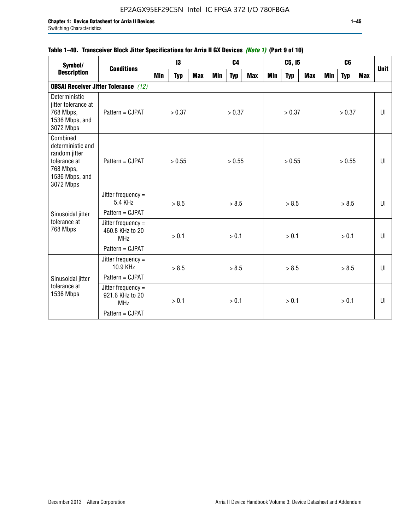## **Table 1–40. Transceiver Block Jitter Specifications for Arria II GX Devices** *(Note 1)* **(Part 9 of 10)**

| Symbol/                                                                                                    | <b>Conditions</b>                                   |     | 13         |            |     | C <sub>4</sub> |     |     | C5, I5     |     |     | C <sub>6</sub> |     | <b>Unit</b> |
|------------------------------------------------------------------------------------------------------------|-----------------------------------------------------|-----|------------|------------|-----|----------------|-----|-----|------------|-----|-----|----------------|-----|-------------|
| <b>Description</b>                                                                                         |                                                     | Min | <b>Typ</b> | <b>Max</b> | Min | <b>Typ</b>     | Max | Min | <b>Typ</b> | Max | Min | <b>Typ</b>     | Max |             |
|                                                                                                            | <b>OBSAI Receiver Jitter Tolerance</b> (12)         |     |            |            |     |                |     |     |            |     |     |                |     |             |
| Deterministic<br>jitter tolerance at<br>768 Mbps,<br>1536 Mbps, and<br>3072 Mbps                           | Pattern = CJPAT                                     |     | > 0.37     |            |     | > 0.37         |     |     | > 0.37     |     |     | > 0.37         |     | UI          |
| Combined<br>deterministic and<br>random jitter<br>tolerance at<br>768 Mbps,<br>1536 Mbps, and<br>3072 Mbps | Pattern = CJPAT                                     |     | > 0.55     |            |     | > 0.55         |     |     | > 0.55     |     |     | > 0.55         |     | UI          |
|                                                                                                            | Jitter frequency $=$<br>5.4 KHz                     |     | > 8.5      |            |     | > 8.5          |     |     | > 8.5      |     |     | > 8.5          |     | UI          |
| Sinusoidal jitter                                                                                          | Pattern = CJPAT                                     |     |            |            |     |                |     |     |            |     |     |                |     |             |
| tolerance at<br>768 Mbps                                                                                   | Jitter frequency =<br>460.8 KHz to 20<br><b>MHz</b> |     | > 0.1      |            |     | > 0.1          |     |     | > 0.1      |     |     | > 0.1          |     | UI          |
|                                                                                                            | Pattern = CJPAT                                     |     |            |            |     |                |     |     |            |     |     |                |     |             |
|                                                                                                            | Jitter frequency =<br>10.9 KHz                      |     | > 8.5      |            |     | > 8.5          |     |     | > 8.5      |     |     | > 8.5          |     | UI          |
| Sinusoidal jitter                                                                                          | Pattern = CJPAT                                     |     |            |            |     |                |     |     |            |     |     |                |     |             |
| tolerance at<br>1536 Mbps                                                                                  | Jitter frequency =<br>921.6 KHz to 20<br><b>MHz</b> |     | > 0.1      |            |     | > 0.1          |     |     | > 0.1      |     |     | > 0.1          |     | UI          |
|                                                                                                            | Pattern = CJPAT                                     |     |            |            |     |                |     |     |            |     |     |                |     |             |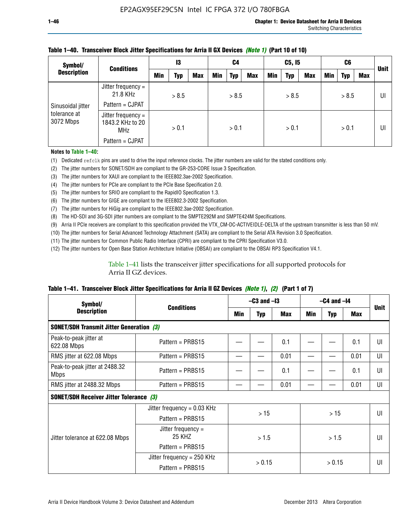| Symbol/                                        | <b>Conditions</b>                                    | 13    |       | C4         |     | C5, I5     |            |            | C6         |            |     | <b>Unit</b> |     |    |
|------------------------------------------------|------------------------------------------------------|-------|-------|------------|-----|------------|------------|------------|------------|------------|-----|-------------|-----|----|
| <b>Description</b>                             |                                                      | Min   | Typ   | <b>Max</b> | Min | <b>Typ</b> | <b>Max</b> | <b>Min</b> | <b>Typ</b> | <b>Max</b> | Min | Typ         | Max |    |
| Sinusoidal jitter<br>tolerance at<br>3072 Mbps | Jitter frequency =<br>21.8 KHz                       |       | > 8.5 |            |     | > 8.5      |            |            | > 8.5      |            |     | > 8.5       |     | UI |
|                                                | Pattern = CJPAT                                      |       |       |            |     |            |            |            |            |            |     |             |     |    |
|                                                | Jitter frequency =<br>1843.2 KHz to 20<br><b>MHz</b> | > 0.1 |       | > 0.1      |     | > 0.1      |            |            | > 0.1      |            |     | UI          |     |    |
|                                                | Pattern = CJPAT                                      |       |       |            |     |            |            |            |            |            |     |             |     |    |

### **Table 1–40. Transceiver Block Jitter Specifications for Arria II GX Devices** *(Note 1)* **(Part 10 of 10)**

**Notes to Table 1–40:**

(1) Dedicated refclk pins are used to drive the input reference clocks. The jitter numbers are valid for the stated conditions only.

(2) The jitter numbers for SONET/SDH are compliant to the GR-253-CORE Issue 3 Specification.

(3) The jitter numbers for XAUI are compliant to the IEEE802.3ae-2002 Specification.

(4) The jitter numbers for PCIe are compliant to the PCIe Base Specification 2.0.

(5) The jitter numbers for SRIO are compliant to the RapidIO Specification 1.3.

(6) The jitter numbers for GIGE are compliant to the IEEE802.3-2002 Specification.

(7) The jitter numbers for HiGig are compliant to the IEEE802.3ae-2002 Specification.

(8) The HD-SDI and 3G-SDI jitter numbers are compliant to the SMPTE292M and SMPTE424M Specifications.

(9) Arria II PCIe receivers are compliant to this specification provided the VTX\_CM-DC-ACTIVEIDLE-DELTA of the upstream transmitter is less than 50 mV.

(10) The jitter numbers for Serial Advanced Technology Attachment (SATA) are compliant to the Serial ATA Revision 3.0 Specification.

(11) The jitter numbers for Common Public Radio Interface (CPRI) are compliant to the CPRI Specification V3.0.

(12) The jitter numbers for Open Base Station Architecture Initiative (OBSAI) are compliant to the OBSAI RP3 Specification V4.1.

Table 1–41 lists the transceiver jitter specifications for all supported protocols for Arria II GZ devices.

### **Table 1–41. Transceiver Block Jitter Specifications for Arria II GZ Devices** *(Note 1)***,** *(2)* **(Part 1 of 7)**

| Symbol/                                         | <b>Conditions</b>             | $-C3$ and $-I3$ |            |      | $-C4$ and $-I4$ | <b>Unit</b> |            |    |
|-------------------------------------------------|-------------------------------|-----------------|------------|------|-----------------|-------------|------------|----|
| <b>Description</b>                              |                               | Min             | <b>Typ</b> | Max  | Min             | <b>Typ</b>  | <b>Max</b> |    |
| <b>SONET/SDH Transmit Jitter Generation (3)</b> |                               |                 |            |      |                 |             |            |    |
| Peak-to-peak jitter at<br>622.08 Mbps           | Pattern = $PRBS15$            |                 |            | 0.1  |                 |             | 0.1        | UI |
| RMS jitter at 622.08 Mbps                       | Pattern = $PRBS15$            |                 |            | 0.01 |                 |             | 0.01       | UI |
| Peak-to-peak jitter at 2488.32<br><b>Mbps</b>   | Pattern = $PRBS15$            |                 |            | 0.1  |                 |             | 0.1        | UI |
| RMS jitter at 2488.32 Mbps                      | Pattern = $PRBS15$            |                 |            | 0.01 |                 |             | 0.01       | UI |
| <b>SONET/SDH Receiver Jitter Tolerance (3)</b>  |                               |                 |            |      |                 |             |            |    |
|                                                 | Jitter frequency = $0.03$ KHz |                 | >15        |      | >15             |             |            | UI |
|                                                 | Pattern = $PRBS15$            |                 |            |      |                 |             |            |    |
| Jitter tolerance at 622.08 Mbps                 | Jitter frequency =<br>25 KHZ  |                 | > 1.5      |      | > 1.5           |             |            | UI |
|                                                 | Pattern = $PRBS15$            |                 |            |      |                 |             |            |    |
|                                                 | Jitter frequency = $250$ KHz  |                 | > 0.15     |      |                 |             |            | UI |
|                                                 | Pattern = $PRBS15$            |                 |            |      |                 | > 0.15      |            |    |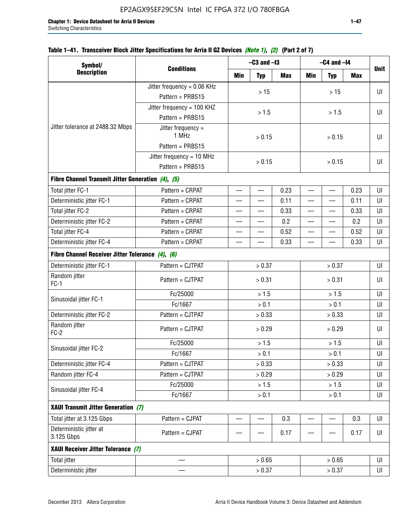## **Table 1–41. Transceiver Block Jitter Specifications for Arria II GZ Devices** *(Note 1)***,** *(2)* **(Part 2 of 7)**

| Symbol/                                           |                               |                          | $-C3$ and $-I3$          |      | $-C4$ and $-I4$          |                          |            |             |  |  |
|---------------------------------------------------|-------------------------------|--------------------------|--------------------------|------|--------------------------|--------------------------|------------|-------------|--|--|
| <b>Description</b>                                | <b>Conditions</b>             | Min                      | <b>Typ</b>               | Max  | <b>Min</b>               | <b>Typ</b>               | <b>Max</b> | <b>Unit</b> |  |  |
|                                                   | Jitter frequency = $0.06$ KHz |                          | >15                      |      |                          |                          |            | UI          |  |  |
|                                                   | Pattern = PRBS15              |                          |                          |      |                          | >15                      |            |             |  |  |
|                                                   | Jitter frequency = 100 KHZ    |                          | > 1.5                    |      |                          | > 1.5                    |            | UI          |  |  |
|                                                   | Pattern = PRBS15              |                          |                          |      |                          |                          |            |             |  |  |
| Jitter tolerance at 2488.32 Mbps                  | Jitter frequency =<br>1 MHz   |                          | > 0.15                   |      |                          | > 0.15                   |            | UI          |  |  |
|                                                   | Pattern = PRBS15              |                          |                          |      |                          |                          |            |             |  |  |
|                                                   | Jitter frequency = $10$ MHz   |                          | > 0.15                   |      |                          | > 0.15                   |            | UI          |  |  |
|                                                   | Pattern = PRBS15              |                          |                          |      |                          |                          |            |             |  |  |
| Fibre Channel Transmit Jitter Generation (4), (5) |                               |                          |                          |      |                          |                          |            |             |  |  |
| Total jitter FC-1                                 | Pattern = CRPAT               | $\qquad \qquad$          | $\overline{\phantom{0}}$ | 0.23 | $\overline{\phantom{0}}$ | $\overline{\phantom{0}}$ | 0.23       | UI          |  |  |
| Deterministic jitter FC-1                         | Pattern = CRPAT               |                          | $\overline{\phantom{0}}$ | 0.11 | $\overline{\phantom{0}}$ | —                        | 0.11       | UI          |  |  |
| Total jitter FC-2                                 | Pattern = CRPAT               |                          | —                        | 0.33 | $\overline{\phantom{0}}$ |                          | 0.33       | UI          |  |  |
| Deterministic jitter FC-2                         | Pattern = CRPAT               |                          | $\overline{\phantom{0}}$ | 0.2  | $\overline{\phantom{0}}$ |                          | 0.2        | UI          |  |  |
| Total jitter FC-4                                 | Pattern = CRPAT               |                          |                          | 0.52 |                          |                          | 0.52       | UI          |  |  |
| Deterministic jitter FC-4                         | Pattern = CRPAT               | $\overline{\phantom{0}}$ | —                        | 0.33 | $\overline{\phantom{0}}$ | $\overline{\phantom{0}}$ | 0.33       | UI          |  |  |
| Fibre Channel Receiver Jitter Tolerance (4), (6)  |                               |                          |                          |      |                          |                          |            |             |  |  |
| Deterministic jitter FC-1                         | Pattern = CJTPAT              |                          | > 0.37                   |      | > 0.37                   |                          |            | UI          |  |  |
| Random jitter<br>$FC-1$                           | Pattern = CJTPAT              |                          | > 0.31                   |      | > 0.31                   |                          |            | UI          |  |  |
| Sinusoidal jitter FC-1                            | Fc/25000                      |                          | > 1.5                    |      | > 1.5                    |                          |            | UI          |  |  |
|                                                   | Fc/1667                       |                          | > 0.1                    |      | > 0.1                    |                          |            | UI          |  |  |
| Deterministic jitter FC-2                         | Pattern = CJTPAT              |                          | > 0.33                   |      |                          | > 0.33                   |            |             |  |  |
| Random jitter<br>$FC-2$                           | Pattern = CJTPAT              |                          | > 0.29                   |      |                          | > 0.29                   |            | UI          |  |  |
|                                                   | Fc/25000                      |                          | > 1.5                    |      |                          | > 1.5                    |            | UI          |  |  |
| Sinusoidal jitter FC-2                            | Fc/1667                       |                          | > 0.1                    |      |                          | > 0.1                    |            | UI          |  |  |
| Deterministic jitter FC-4                         | Pattern = CJTPAT              |                          | > 0.33                   |      |                          | > 0.33                   |            | UI          |  |  |
| Random jitter FC-4                                | Pattern = CJTPAT              |                          | > 0.29                   |      |                          | > 0.29                   |            | UI          |  |  |
| Sinusoidal jitter FC-4                            | Fc/25000                      |                          | > 1.5                    |      |                          | > 1.5                    |            | UI          |  |  |
|                                                   | Fc/1667                       |                          | > 0.1                    |      |                          | $> 0.1$                  |            | UI          |  |  |
| XAUI Transmit Jitter Generation (7)               |                               |                          |                          |      |                          |                          |            |             |  |  |
| Total jitter at 3.125 Gbps                        | Pattern = CJPAT               | $\overline{\phantom{0}}$ |                          | 0.3  |                          |                          | 0.3        | UI          |  |  |
| Deterministic jitter at<br>3.125 Gbps             | Pattern = CJPAT               |                          |                          | 0.17 |                          |                          | 0.17       | UI          |  |  |
| XAUI Receiver Jitter Tolerance (7)                |                               |                          |                          |      |                          |                          |            |             |  |  |
| <b>Total jitter</b>                               |                               |                          | > 0.65                   |      |                          | > 0.65                   |            | UI          |  |  |
| Deterministic jitter                              |                               |                          | > 0.37                   |      |                          |                          | > 0.37     |             |  |  |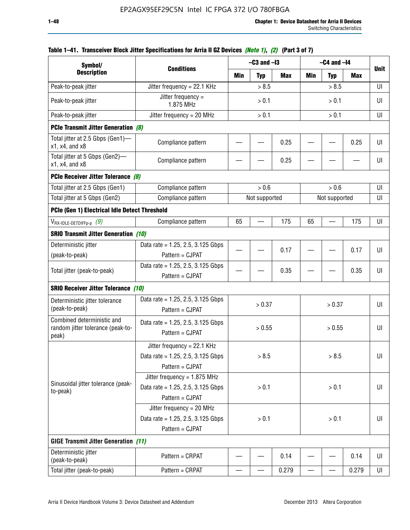| Symbol/                                                                       |                                                                                           |       | $-C3$ and $-I3$ |            | $-C4$ and $-I4$          | <b>Unit</b>   |       |    |
|-------------------------------------------------------------------------------|-------------------------------------------------------------------------------------------|-------|-----------------|------------|--------------------------|---------------|-------|----|
| <b>Description</b>                                                            | <b>Conditions</b>                                                                         | Min   | <b>Typ</b>      | <b>Max</b> | Min                      | <b>Typ</b>    | Max   |    |
| Peak-to-peak jitter                                                           | Jitter frequency = 22.1 KHz                                                               |       | > 8.5           |            |                          | > 8.5         |       | UI |
| Peak-to-peak jitter                                                           | Jitter frequency =<br>1.875 MHz                                                           |       | > 0.1           |            |                          | > 0.1         |       | UI |
| Peak-to-peak jitter                                                           | Jitter frequency = $20$ MHz                                                               |       | > 0.1           |            |                          | > 0.1         |       | UI |
| <b>PCIe Transmit Jitter Generation (8)</b>                                    |                                                                                           |       |                 |            |                          |               |       |    |
| Total jitter at 2.5 Gbps (Gen1)-<br>$x1$ , $x4$ , and $x8$                    | Compliance pattern                                                                        |       |                 | 0.25       |                          |               | 0.25  | UI |
| Total jitter at 5 Gbps (Gen2)-<br>$x1$ , $x4$ , and $x8$                      | Compliance pattern                                                                        |       |                 | 0.25       |                          |               |       | UI |
| PCIe Receiver Jitter Tolerance (8)                                            |                                                                                           |       |                 |            |                          |               |       |    |
| Total jitter at 2.5 Gbps (Gen1)                                               | Compliance pattern                                                                        |       | > 0.6           |            |                          | > 0.6         |       | UI |
| Total jitter at 5 Gbps (Gen2)                                                 | Compliance pattern                                                                        |       | Not supported   |            |                          | Not supported |       | UI |
| PCIe (Gen 1) Electrical Idle Detect Threshold                                 |                                                                                           |       |                 |            |                          |               |       |    |
| $V_{\mathsf{RX}\text{-}\mathsf{IDLE}\text{-}\mathsf{DETDIFFp\text{-}p}$ $(9)$ | Compliance pattern                                                                        | 65    |                 | 175        | 65                       |               | 175   | UI |
| <b>SRIO Transmit Jitter Generation (10)</b>                                   |                                                                                           |       |                 |            |                          |               |       |    |
| Deterministic jitter                                                          | Data rate = 1.25, 2.5, 3.125 Gbps                                                         |       |                 | 0.17       |                          |               |       | UI |
| (peak-to-peak)                                                                | Pattern = CJPAT                                                                           |       |                 |            |                          |               | 0.17  |    |
| Total jitter (peak-to-peak)                                                   | Data rate = 1.25, 2.5, 3.125 Gbps<br>Pattern = CJPAT                                      |       |                 | 0.35       |                          |               | 0.35  | UI |
| <b>SRIO Receiver Jitter Tolerance (10)</b>                                    |                                                                                           |       |                 |            |                          |               |       |    |
| Deterministic jitter tolerance<br>(peak-to-peak)                              | Data rate = $1.25$ , 2.5, 3.125 Gbps<br>Pattern = CJPAT                                   |       | > 0.37          |            |                          | > 0.37        |       | UI |
| Combined deterministic and<br>random jitter tolerance (peak-to-<br>peak)      | Data rate = $1.25$ , 2.5, 3.125 Gbps<br>Pattern = CJPAT                                   |       | > 0.55          |            |                          | > 0.55        |       | UI |
|                                                                               | Jitter frequency = 22.1 KHz<br>Data rate = 1.25, 2.5, 3.125 Gbps<br>Pattern = CJPAT       |       | > 8.5           |            |                          | > 8.5         |       | UI |
| Sinusoidal jitter tolerance (peak-<br>to-peak)                                | Jitter frequency = $1.875$ MHz<br>Data rate = $1.25$ , 2.5, 3.125 Gbps<br>Pattern = CJPAT |       | > 0.1           |            |                          | > 0.1         |       | UI |
|                                                                               | Jitter frequency = 20 MHz<br>Data rate = $1.25$ , 2.5, 3.125 Gbps<br>Pattern = CJPAT      | > 0.1 |                 |            |                          | > 0.1         |       |    |
| <b>GIGE Transmit Jitter Generation (11)</b>                                   |                                                                                           |       |                 |            |                          |               |       |    |
| Deterministic jitter<br>(peak-to-peak)                                        | Pattern = CRPAT                                                                           |       |                 | 0.14       |                          |               | 0.14  | UI |
| Total jitter (peak-to-peak)                                                   | Pattern = CRPAT                                                                           | —     |                 | 0.279      | $\overline{\phantom{0}}$ | —             | 0.279 | UI |

## **Table 1–41. Transceiver Block Jitter Specifications for Arria II GZ Devices** *(Note 1)***,** *(2)* **(Part 3 of 7)**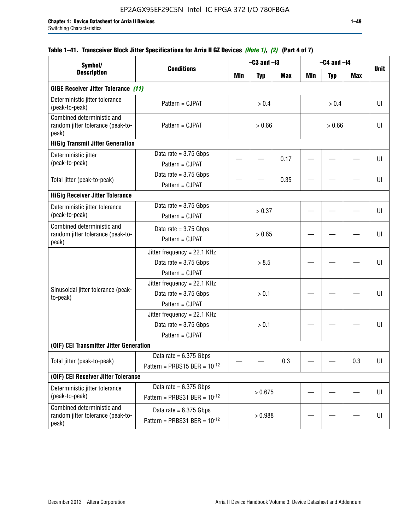## **Table 1–41. Transceiver Block Jitter Specifications for Arria II GZ Devices** *(Note 1)***,** *(2)* **(Part 4 of 7)**

| Symbol/                                                                  |                                                                           |         | $-C3$ and $-I3$ |            | $-C4$ and $-I4$ |            |            |             |
|--------------------------------------------------------------------------|---------------------------------------------------------------------------|---------|-----------------|------------|-----------------|------------|------------|-------------|
| <b>Description</b>                                                       | <b>Conditions</b>                                                         | Min     | <b>Typ</b>      | <b>Max</b> | <b>Min</b>      | <b>Typ</b> | <b>Max</b> | <b>Unit</b> |
| <b>GIGE Receiver Jitter Tolerance (11)</b>                               |                                                                           |         |                 |            |                 |            |            |             |
| Deterministic jitter tolerance<br>(peak-to-peak)                         | Pattern = CJPAT                                                           |         | > 0.4           |            |                 | > 0.4      |            | UI          |
| Combined deterministic and<br>random jitter tolerance (peak-to-<br>peak) | Pattern = CJPAT                                                           |         | > 0.66          |            |                 | > 0.66     |            |             |
| <b>HiGig Transmit Jitter Generation</b>                                  |                                                                           |         |                 |            |                 |            |            |             |
| Deterministic jitter<br>(peak-to-peak)                                   | Data rate = $3.75$ Gbps<br>Pattern = CJPAT                                |         |                 | 0.17       |                 |            |            | UI          |
| Total jitter (peak-to-peak)                                              | Data rate = $3.75$ Gbps<br>Pattern = CJPAT                                |         |                 | 0.35       |                 |            |            | UI          |
| <b>HiGig Receiver Jitter Tolerance</b>                                   |                                                                           |         |                 |            |                 |            |            |             |
| Deterministic jitter tolerance<br>(peak-to-peak)                         | Data rate = $3.75$ Gbps<br>Pattern = CJPAT                                | > 0.37  |                 |            |                 |            |            | UI          |
| Combined deterministic and<br>random jitter tolerance (peak-to-<br>peak) | Data rate = $3.75$ Gbps<br>Pattern = CJPAT                                | > 0.65  |                 |            |                 |            |            | UI          |
|                                                                          | Jitter frequency = 22.1 KHz<br>Data rate = $3.75$ Gbps<br>Pattern = CJPAT | > 8.5   |                 |            |                 |            | UI         |             |
| Sinusoidal jitter tolerance (peak-<br>to-peak)                           | Jitter frequency = 22.1 KHz<br>Data rate = $3.75$ Gbps<br>Pattern = CJPAT |         | > 0.1           |            |                 |            |            | UI          |
|                                                                          | Jitter frequency = 22.1 KHz<br>Data rate = $3.75$ Gbps<br>Pattern = CJPAT |         | > 0.1           |            |                 |            |            | UI          |
| (OIF) CEI Transmitter Jitter Generation                                  |                                                                           |         |                 |            |                 |            |            |             |
| Total jitter (peak-to-peak)                                              | Data rate = $6.375$ Gbps<br>Pattern = PRBS15 BER = $10^{-12}$             |         |                 | 0.3        |                 |            | 0.3        | U           |
| (OIF) CEI Receiver Jitter Tolerance                                      |                                                                           |         |                 |            |                 |            |            |             |
| Deterministic jitter tolerance<br>(peak-to-peak)                         | Data rate = $6.375$ Gbps<br>Pattern = PRBS31 BER = $10^{-12}$             | > 0.675 |                 |            |                 |            | UI         |             |
| Combined deterministic and<br>random jitter tolerance (peak-to-<br>peak) | Data rate = $6.375$ Gbps<br>Pattern = PRBS31 BER = $10^{-12}$             |         | > 0.988         |            |                 |            |            | U           |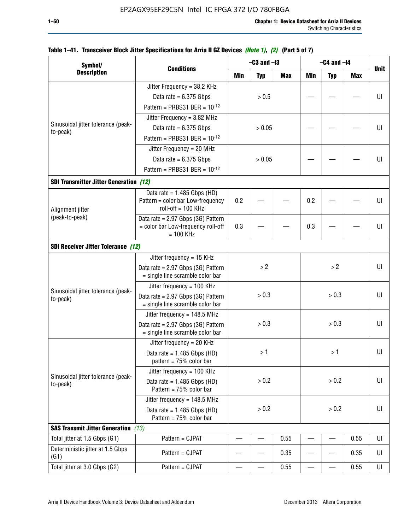|                                                |                                                                                          |         | $-C3$ and $-I3$         |            | $-C4$ and $-I4$ |             |            |    |
|------------------------------------------------|------------------------------------------------------------------------------------------|---------|-------------------------|------------|-----------------|-------------|------------|----|
| Symbol/<br><b>Description</b>                  | <b>Conditions</b>                                                                        | Min     | <b>Typ</b>              | <b>Max</b> | <b>Min</b>      | <b>Unit</b> |            |    |
|                                                | Jitter Frequency = 38.2 KHz                                                              |         |                         |            |                 | <b>Typ</b>  | <b>Max</b> |    |
|                                                | Data rate = $6.375$ Gbps                                                                 |         | > 0.5                   |            |                 |             |            | UI |
|                                                | Pattern = PRBS31 BER = $10^{-12}$                                                        |         |                         |            |                 |             |            |    |
|                                                | Jitter Frequency = $3.82$ MHz                                                            |         |                         |            |                 |             |            |    |
| Sinusoidal jitter tolerance (peak-             | Data rate = $6.375$ Gbps                                                                 |         | > 0.05                  |            |                 |             |            | UI |
| to-peak)                                       | Pattern = PRBS31 BER = $10^{-12}$                                                        |         |                         |            |                 |             |            |    |
|                                                | Jitter Frequency = 20 MHz                                                                |         |                         |            |                 |             |            |    |
|                                                | Data rate = $6.375$ Gbps                                                                 |         | > 0.05                  |            |                 |             |            | UI |
|                                                | Pattern = PRBS31 BER = $10^{-12}$                                                        |         |                         |            |                 |             |            |    |
|                                                |                                                                                          |         |                         |            |                 |             |            |    |
| <b>SDI Transmitter Jitter Generation (12)</b>  |                                                                                          |         |                         |            |                 |             |            |    |
| Alignment jitter<br>(peak-to-peak)             | Data rate = $1.485$ Gbps (HD)<br>Pattern = color bar Low-frequency<br>roll-off = 100 KHz | 0.2     |                         |            | 0.2             |             |            | UI |
|                                                | Data rate = 2.97 Gbps (3G) Pattern<br>= color bar Low-frequency roll-off<br>$= 100$ KHz  | 0.3     |                         |            | 0.3             |             |            | UI |
| <b>SDI Receiver Jitter Tolerance (12)</b>      |                                                                                          |         |                         |            |                 |             |            |    |
|                                                | Jitter frequency = 15 KHz                                                                |         |                         |            |                 |             |            |    |
|                                                | Data rate = 2.97 Gbps (3G) Pattern<br>= single line scramble color bar                   | >2      |                         |            | >2              |             | UI         |    |
|                                                | Jitter frequency = $100$ KHz                                                             |         |                         |            |                 |             |            |    |
| Sinusoidal jitter tolerance (peak-<br>to-peak) | Data rate = $2.97$ Gbps (3G) Pattern<br>= single line scramble color bar                 |         |                         |            | > 0.3           |             |            | UI |
|                                                | Jitter frequency = $148.5$ MHz                                                           |         |                         |            |                 |             |            |    |
|                                                | Data rate = 2.97 Gbps (3G) Pattern<br>= single line scramble color bar                   |         | > 0.3<br>> 0.3<br>> 0.3 |            | UI              |             |            |    |
|                                                | Jitter frequency = $20$ KHz                                                              |         |                         |            |                 |             |            |    |
|                                                | Data rate = $1.485$ Gbps (HD)<br>pattern = $75%$ color bar                               |         | >1                      |            |                 | > 1⊣        |            | UI |
|                                                | Jitter frequency = 100 KHz                                                               |         |                         |            |                 |             |            |    |
| Sinusoidal jitter tolerance (peak-<br>to-peak) | Data rate = $1.485$ Gbps (HD)<br>Pattern = 75% color bar                                 |         | > 0.2                   |            |                 | > 0.2       |            | UI |
|                                                | Jitter frequency = $148.5$ MHz                                                           |         |                         |            |                 |             |            |    |
|                                                | Data rate = $1.485$ Gbps (HD)<br>Pattern = 75% color bar                                 | $> 0.2$ |                         | > 0.2      |                 |             | UI         |    |
| <b>SAS Transmit Jitter Generation</b> (13)     |                                                                                          |         |                         |            |                 |             |            |    |
| Total jitter at 1.5 Gbps (G1)                  | Pattern = CJPAT                                                                          |         |                         | 0.55       |                 |             | 0.55       | UI |
| Deterministic jitter at 1.5 Gbps<br>(G1)       | Pattern = CJPAT                                                                          |         |                         | 0.35       |                 |             | 0.35       | UI |
| Total jitter at 3.0 Gbps (G2)                  | Pattern = CJPAT                                                                          |         |                         | 0.55       |                 |             | 0.55       | UI |

### **Table 1–41. Transceiver Block Jitter Specifications for Arria II GZ Devices** *(Note 1)***,** *(2)* **(Part 5 of 7)**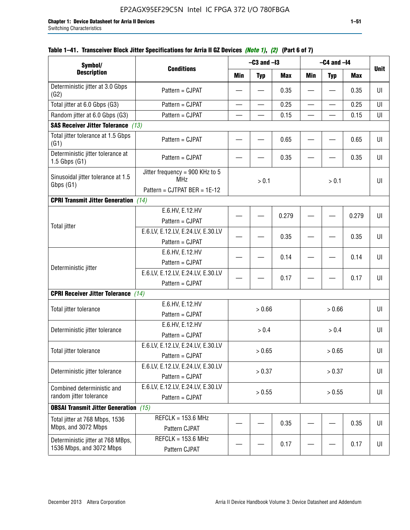| Symbol/                                                       |                                                                               |                  | $-C3$ and $-I3$ |            |            | $-C4$ and $-I4$ |            |             |
|---------------------------------------------------------------|-------------------------------------------------------------------------------|------------------|-----------------|------------|------------|-----------------|------------|-------------|
| <b>Description</b>                                            | <b>Conditions</b>                                                             | <b>Min</b>       | <b>Typ</b>      | <b>Max</b> | <b>Min</b> | <b>Typ</b>      | <b>Max</b> | <b>Unit</b> |
| Deterministic jitter at 3.0 Gbps<br>(G2)                      | Pattern = CJPAT                                                               |                  |                 | 0.35       |            |                 | 0.35       | U           |
| Total jitter at 6.0 Gbps (G3)                                 | Pattern = CJPAT                                                               |                  |                 | 0.25       |            |                 | 0.25       | UI          |
| Random jitter at 6.0 Gbps (G3)                                | Pattern = CJPAT                                                               |                  |                 | 0.15       |            |                 | 0.15       | UI          |
| <b>SAS Receiver Jitter Tolerance (13)</b>                     |                                                                               |                  |                 |            |            |                 |            |             |
| Total jitter tolerance at 1.5 Gbps<br>(G1)                    | Pattern = CJPAT                                                               |                  |                 | 0.65       |            |                 | 0.65       | UI          |
| Deterministic jitter tolerance at<br>$1.5$ Gbps $(G1)$        | Pattern = CJPAT                                                               |                  |                 | 0.35       |            |                 | 0.35       | U           |
| Sinusoidal jitter tolerance at 1.5<br>Gbps (G1)               | Jitter frequency = 900 KHz to 5<br><b>MHz</b><br>Pattern = CJTPAT BER = 1E-12 |                  | > 0.1           |            |            | > 0.1           |            | UI          |
| <b>CPRI Transmit Jitter Generation</b> (14)                   |                                                                               |                  |                 |            |            |                 |            |             |
|                                                               | E.6.HV, E.12.HV<br>Pattern = CJPAT                                            |                  |                 | 0.279      |            |                 | 0.279      | UI          |
| <b>Total jitter</b>                                           | E.6.LV, E.12.LV, E.24.LV, E.30.LV<br>Pattern = CJPAT                          |                  |                 | 0.35       |            |                 | 0.35       | UI          |
|                                                               | E.6.HV, E.12.HV<br>Pattern = CJPAT                                            |                  |                 | 0.14       |            |                 | 0.14       | UI          |
| Deterministic jitter                                          | E.6.LV, E.12.LV, E.24.LV, E.30.LV<br>Pattern = CJPAT                          |                  |                 | 0.17       |            |                 | 0.17       | U           |
| <b>CPRI Receiver Jitter Tolerance</b>                         | (14)                                                                          |                  |                 |            |            |                 |            |             |
| Total jitter tolerance                                        | E.6.HV, E.12.HV<br>Pattern = CJPAT                                            |                  | > 0.66          |            |            | > 0.66          |            | UI          |
| Deterministic jitter tolerance                                | E.6.HV, E.12.HV<br>Pattern = CJPAT                                            |                  | > 0.4           |            |            | > 0.4           |            | UI          |
| Total jitter tolerance                                        | E.6.LV, E.12.LV, E.24.LV, E.30.LV<br>Pattern = CJPAT                          |                  | > 0.65          |            |            | > 0.65          |            | UI          |
| Deterministic jitter tolerance                                | E.6.LV, E.12.LV, E.24.LV, E.30.LV<br>Pattern = CJPAT                          |                  | > 0.37          |            |            | > 0.37          |            | UI          |
| Combined deterministic and<br>random jitter tolerance         | E.6.LV, E.12.LV, E.24.LV, E.30.LV<br>Pattern = CJPAT                          | > 0.55<br>> 0.55 |                 |            |            | U               |            |             |
| <b>OBSAI Transmit Jitter Generation</b> (15)                  |                                                                               |                  |                 |            |            |                 |            |             |
| Total jitter at 768 Mbps, 1536<br>Mbps, and 3072 Mbps         | $REFCLK = 153.6 MHz$<br>Pattern CJPAT                                         |                  |                 | 0.35       |            |                 | 0.35       | UI          |
| Deterministic jitter at 768 MBps,<br>1536 Mbps, and 3072 Mbps | $REFCLK = 153.6 MHz$<br>Pattern CJPAT                                         |                  |                 | 0.17       |            |                 | 0.17       | UI          |

## **Table 1–41. Transceiver Block Jitter Specifications for Arria II GZ Devices** *(Note 1)***,** *(2)* **(Part 6 of 7)**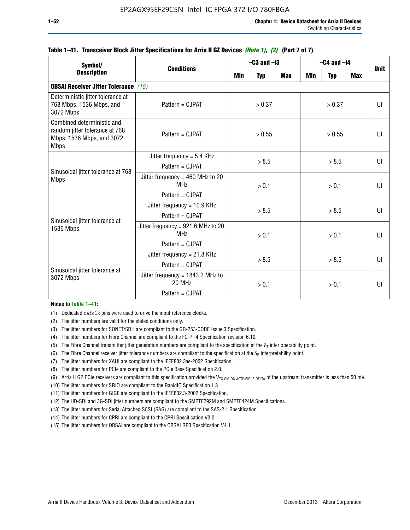| Symbol/                                                                                                  |                                                                          | $-C3$ and $-I3$ |            |            | $-C4$ and $-I4$ | <b>Unit</b> |            |              |
|----------------------------------------------------------------------------------------------------------|--------------------------------------------------------------------------|-----------------|------------|------------|-----------------|-------------|------------|--------------|
| <b>Description</b>                                                                                       | <b>Conditions</b>                                                        | Min             | <b>Typ</b> | <b>Max</b> | <b>Min</b>      | <b>Typ</b>  | <b>Max</b> |              |
| <b>OBSAI Receiver Jitter Tolerance</b> (15)                                                              |                                                                          |                 |            |            |                 |             |            |              |
| Deterministic jitter tolerance at<br>768 Mbps, 1536 Mbps, and<br>3072 Mbps                               | Pattern = CJPAT                                                          | > 0.37          |            | > 0.37     |                 |             | UI         |              |
| Combined deterministic and<br>random jitter tolerance at 768<br>Mbps, 1536 Mbps, and 3072<br><b>Mbps</b> | $Pattern = CJPATH$                                                       | > 0.55          |            | > 0.55     |                 |             | UI         |              |
| Sinusoidal jitter tolerance at 768<br><b>Mbps</b>                                                        | Jitter frequency = $5.4$ KHz<br>Pattern = CJPAT                          | > 8.5           |            | > 8.5      |                 |             | UI         |              |
|                                                                                                          | Jitter frequency = $460$ MHz to 20<br>MH <sub>7</sub><br>Pattern = CJPAT |                 | > 0.1      |            | > 0.1           |             |            | UI           |
| Sinusoidal jitter tolerance at                                                                           | Jitter frequency = $10.9$ KHz<br>Pattern = CJPAT                         | > 8.5           |            |            | > 8.5           |             |            | UI           |
| 1536 Mbps                                                                                                | Jitter frequency = 921.6 MHz to 20<br>MH <sub>7</sub><br>Pattern = CJPAT |                 | > 0.1      |            | > 0.1           |             |            | $\mathbf{U}$ |
| Sinusoidal jitter tolerance at                                                                           | Jitter frequency = $21.8$ KHz<br>$Pattern = C.IPATH$                     |                 | > 8.5      |            |                 | > 8.5       |            | $\mathbf{U}$ |
| 3072 Mbps                                                                                                | Jitter frequency = $1843.2$ MHz to<br>20 MHz<br>Pattern = CJPAT          |                 | > 0.1      |            | > 0.1           |             |            | UI           |

### **Table 1–41. Transceiver Block Jitter Specifications for Arria II GZ Devices** *(Note 1)***,** *(2)* **(Part 7 of 7)**

#### **Notes to Table 1–41:**

(1) Dedicated refclk pins were used to drive the input reference clocks.

- (2) The jitter numbers are valid for the stated conditions only.
- (3) The jitter numbers for SONET/SDH are compliant to the GR-253-CORE Issue 3 Specification.
- (4) The jitter numbers for Fibre Channel are compliant to the FC-PI-4 Specification revision 6.10.
- (5) The Fibre Channel transmitter jitter generation numbers are compliant to the specification at the  $\delta_T$  inter operability point.
- (6) The Fibre Channel receiver jitter tolerance numbers are compliant to the specification at the  $\delta_R$  interpretability point.
- (7) The jitter numbers for XAUI are compliant to the IEEE802.3ae-2002 Specification.
- (8) The jitter numbers for PCIe are compliant to the PCIe Base Specification 2.0.
- (9) Arria II GZ PCIe receivers are compliant to this specification provided the V<sub>TX-CM-DC-ACTIVEIDLE-DELTA</sub> of the upstream transmitter is less than 50 mV.
- (10) The jitter numbers for SRIO are compliant to the RapidIO Specification 1.3.
- (11) The jitter numbers for GIGE are compliant to the IEEE802.3-2002 Specification.
- (12) The HD-SDI and 3G-SDI jitter numbers are compliant to the SMPTE292M and SMPTE424M Specifications.
- (13) The jitter numbers for Serial Attached SCSI (SAS) are compliant to the SAS-2.1 Specification.
- (14) The jitter numbers for CPRI are compliant to the CPRI Specification V3.0.
- (15) The jitter numbers for OBSAI are compliant to the OBSAI RP3 Specification V4.1.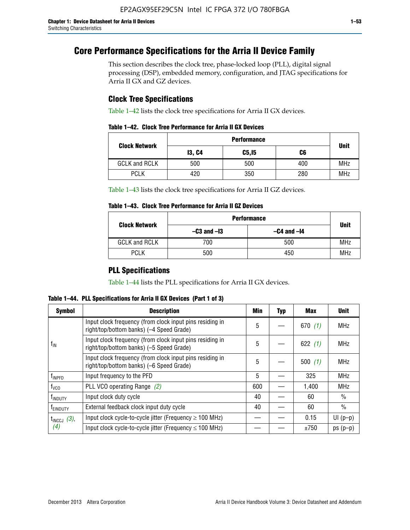# **Core Performance Specifications for the Arria II Device Family**

This section describes the clock tree, phase-locked loop (PLL), digital signal processing (DSP), embedded memory, configuration, and JTAG specifications for Arria II GX and GZ devices.

## **Clock Tree Specifications**

Table 1–42 lists the clock tree specifications for Arria II GX devices.

|                      | <b>Performance</b> |        |     |             |  |  |  |
|----------------------|--------------------|--------|-----|-------------|--|--|--|
| <b>Clock Network</b> | <b>13, C4</b>      | C5, I5 | C6  | <b>Unit</b> |  |  |  |
| <b>GCLK and RCLK</b> | 500                | 500    | 400 | <b>MHz</b>  |  |  |  |
| <b>PCLK</b>          | 420                | 350    | 280 | <b>MHz</b>  |  |  |  |

Table 1–43 lists the clock tree specifications for Arria II GZ devices.

### **Table 1–43. Clock Tree Performance for Arria II GZ Devices**

| <b>Clock Network</b> | <b>Performance</b> |                 |             |  |  |  |  |
|----------------------|--------------------|-----------------|-------------|--|--|--|--|
|                      | $-C3$ and $-I3$    | $-C4$ and $-I4$ | <b>Unit</b> |  |  |  |  |
| <b>GCLK and RCLK</b> | 700                | 500             | <b>MHz</b>  |  |  |  |  |
| <b>PCLK</b>          | 500                | 450             | <b>MHz</b>  |  |  |  |  |

## **PLL Specifications**

Table 1–44 lists the PLL specifications for Arria II GX devices.

**Table 1–44. PLL Specifications for Arria II GX Devices (Part 1 of 3)**

| <b>Symbol</b>           | <b>Description</b>                                                                                   | Min | <b>Typ</b> | Max       | <b>Unit</b>   |
|-------------------------|------------------------------------------------------------------------------------------------------|-----|------------|-----------|---------------|
|                         | Input clock frequency (from clock input pins residing in<br>right/top/bottom banks) (-4 Speed Grade) | 5   |            | 670(1)    | <b>MHz</b>    |
| $f_{\text{IN}}$         | Input clock frequency (from clock input pins residing in<br>right/top/bottom banks) (-5 Speed Grade) | 5   |            | 622 $(1)$ | <b>MHz</b>    |
|                         | Input clock frequency (from clock input pins residing in<br>right/top/bottom banks) (-6 Speed Grade) | 5   |            | 500(1)    | <b>MHz</b>    |
| f <sub>INPFD</sub>      | Input frequency to the PFD                                                                           | 5   |            | 325       | <b>MHz</b>    |
| $f_{\rm VCO}$           | PLL VCO operating Range (2)                                                                          | 600 |            | 1,400     | <b>MHz</b>    |
| <sup>t</sup> INDUTY     | Input clock duty cycle                                                                               | 40  |            | 60        | $\frac{0}{0}$ |
| f <sub>EINDUTY</sub>    | External feedback clock input duty cycle                                                             | 40  |            | 60        | $\frac{0}{0}$ |
| $t_{\text{INCCJ}}$ (3), | Input clock cycle-to-cycle jitter (Frequency $\geq$ 100 MHz)                                         |     |            | 0.15      | $UI(p-p)$     |
| (4)                     | Input clock cycle-to-cycle jitter (Frequency $\leq 100$ MHz)                                         |     |            | ±750      | $ps(p-p)$     |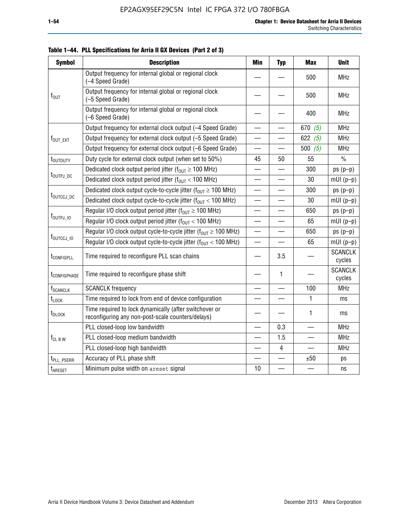| <b>Symbol</b>               | <b>Description</b>                                                                                          | <b>Min</b>               | <b>Typ</b>               | <b>Max</b> | <b>Unit</b>              |
|-----------------------------|-------------------------------------------------------------------------------------------------------------|--------------------------|--------------------------|------------|--------------------------|
|                             | Output frequency for internal global or regional clock<br>(-4 Speed Grade)                                  |                          |                          | 500        | <b>MHz</b>               |
| $f_{\text{OUT}}$            | Output frequency for internal global or regional clock<br>(-5 Speed Grade)                                  |                          |                          | 500        | <b>MHz</b>               |
|                             | Output frequency for internal global or regional clock<br>(-6 Speed Grade)                                  |                          |                          | 400        | <b>MHz</b>               |
|                             | Output frequency for external clock output (-4 Speed Grade)                                                 | $\overline{\phantom{0}}$ |                          | 670 $(5)$  | <b>MHz</b>               |
| $f_{\text{OUT\_EXT}}$       | Output frequency for external clock output (-5 Speed Grade)                                                 |                          |                          | 622 $(5)$  | <b>MHz</b>               |
|                             | Output frequency for external clock output (-6 Speed Grade)                                                 | $\overline{\phantom{0}}$ |                          | 500 $(5)$  | <b>MHz</b>               |
| t <sub>outduty</sub>        | Duty cycle for external clock output (when set to 50%)                                                      | 45                       | 50                       | 55         | $\frac{0}{0}$            |
|                             | Dedicated clock output period jitter ( $f_{OIII} \ge 100$ MHz)                                              |                          |                          | 300        | $ps(p-p)$                |
| t <sub>outpj_dc</sub>       | Dedicated clock output period jitter ( $f_{OUT}$ < 100 MHz)                                                 |                          |                          | 30         | $mUI(p-p)$               |
|                             | Dedicated clock output cycle-to-cycle jitter ( $f_{OIIT} \ge 100$ MHz)                                      | $\overline{\phantom{0}}$ |                          | 300        | $ps(p-p)$                |
| t <sub>outccj_pc</sub>      | Dedicated clock output cycle-to-cycle jitter ( $f_{OUT}$ < 100 MHz)                                         | $\overline{\phantom{0}}$ |                          | 30         | $mUI(p-p)$               |
|                             | Regular I/O clock output period jitter ( $f_{OUT} \ge 100$ MHz)                                             |                          |                          | 650        | $ps(p-p)$                |
| f <sub>outpj_io</sub>       | Regular I/O clock output period jitter ( $f_{OUT}$ < 100 MHz)                                               | $\overline{\phantom{0}}$ | $\overline{\phantom{a}}$ | 65         | $mUI(p-p)$               |
|                             | Regular I/O clock output cycle-to-cycle jitter ( $f_{OUT} \ge 100$ MHz)                                     |                          |                          | 650        | $ps(p-p)$                |
| f <sub>outccj_io</sub>      | Regular I/O clock output cycle-to-cycle jitter $(f_{OIII} < 100 \text{ MHz})$                               |                          |                          | 65         | $mUI(p-p)$               |
| t <sub>configpll</sub>      | Time required to reconfigure PLL scan chains                                                                |                          | 3.5                      |            | <b>SCANCLK</b><br>cycles |
| t <sub>configphase</sub>    | Time required to reconfigure phase shift                                                                    |                          | 1                        |            | <b>SCANCLK</b><br>cycles |
| <b>f</b> <sub>SCANCLK</sub> | <b>SCANCLK</b> frequency                                                                                    |                          |                          | 100        | <b>MHz</b>               |
| $t_{\text{LOCK}}$           | Time required to lock from end of device configuration                                                      |                          |                          | 1          | ms                       |
| t <sub>DLOCK</sub>          | Time required to lock dynamically (after switchover or<br>reconfiguring any non-post-scale counters/delays) |                          |                          | 1          | ms                       |
|                             | PLL closed-loop low bandwidth                                                                               |                          | 0.3                      |            | <b>MHz</b>               |
| $f_{CL~B~W}$                | PLL closed-loop medium bandwidth                                                                            |                          | 1.5                      |            | <b>MHz</b>               |
|                             | PLL closed-loop high bandwidth                                                                              |                          | 4                        |            | <b>MHz</b>               |
| t <sub>PLL_PSERR</sub>      | Accuracy of PLL phase shift                                                                                 |                          |                          | ±50        | ps                       |
| t <sub>ARESET</sub>         | Minimum pulse width on areset signal                                                                        | 10                       |                          |            | ns                       |

**Table 1–44. PLL Specifications for Arria II GX Devices (Part 2 of 3)**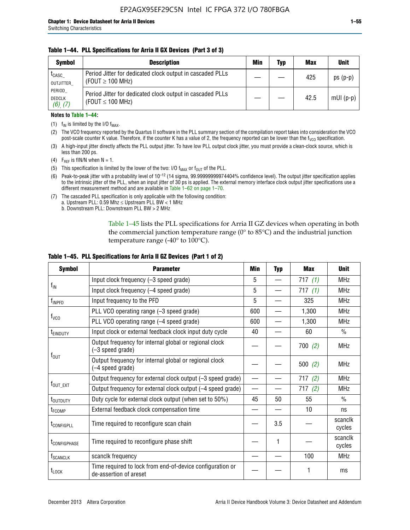### **Table 1–44. PLL Specifications for Arria II GX Devices (Part 3 of 3)**

| <b>Symbol</b>                            | <b>Description</b>                                                                 | Min | Typ | <b>Max</b> | <b>Unit</b> |
|------------------------------------------|------------------------------------------------------------------------------------|-----|-----|------------|-------------|
| t <sub>CASC</sub><br>OUTJITTER           | Period Jitter for dedicated clock output in cascaded PLLs<br>(FOUT $\geq$ 100 MHz) |     |     | 425        | $ps(p-p)$   |
| PERIOD<br><b>DEDCLK</b><br>$(6)$ , $(7)$ | Period Jitter for dedicated clock output in cascaded PLLs<br>(FOUT $\leq$ 100 MHz) |     |     | 42.5       | $mUI(p-p)$  |

#### **Notes to Table 1–44:**

- (1)  $f_{IN}$  is limited by the I/O  $f_{MAX}$ .
- (2) The VCO frequency reported by the Quartus II software in the PLL summary section of the compilation report takes into consideration the VCO post-scale counter K value. Therefore, if the counter K has a value of 2, the frequency reported can be lower than the f<sub>VCO</sub> specification.
- (3) A high-input jitter directly affects the PLL output jitter. To have low PLL output clock jitter, you must provide a clean-clock source, which is less than 200 ps.
- (4) F<sub>REF</sub> is fIN/N when N = 1.
- (5) This specification is limited by the lower of the two: I/O  $f_{MAX}$  or  $f_{OUT}$  of the PLL.
- (6) Peak-to-peak jitter with a probability level of 10–12 (14 sigma, 99.99999999974404% confidence level). The output jitter specification applies to the intrinsic jitter of the PLL, when an input jitter of 30 ps is applied. The external memory interface clock output jitter specifications use a different measurement method and are available in Table 1–62 on page 1–70.
- (7) The cascaded PLL specification is only applicable with the following condition: a. Upstream PLL:  $0.59$  Mhz  $\leq$  Upstream PLL BW  $<$  1 MHz
	- b. Downstream PLL: Downstream PLL BW > 2 MHz

Table 1–45 lists the PLL specifications for Arria II GZ devices when operating in both the commercial junction temperature range (0° to 85°C) and the industrial junction temperature range (-40 $\degree$  to 100 $\degree$ C).

| <b>Symbol</b>              | <b>Parameter</b>                                                                    | Min                      | <b>Typ</b> | <b>Max</b> | <b>Unit</b>       |
|----------------------------|-------------------------------------------------------------------------------------|--------------------------|------------|------------|-------------------|
|                            | Input clock frequency (-3 speed grade)                                              | 5                        |            | 717(1)     | <b>MHz</b>        |
| $f_{\text{IN}}$            | Input clock frequency (-4 speed grade)                                              |                          |            | 717(1)     | <b>MHz</b>        |
| $f_{\mathsf{INPPD}}$       | Input frequency to the PFD                                                          | 5                        |            | 325        | <b>MHz</b>        |
|                            | PLL VCO operating range (-3 speed grade)                                            | 600                      |            | 1,300      | <b>MHz</b>        |
| $f_{\rm VCO}$              | PLL VCO operating range (-4 speed grade)                                            | 600                      |            | 1,300      | <b>MHz</b>        |
| <b>TEINDUTY</b>            | Input clock or external feedback clock input duty cycle                             | 40                       |            | 60         | $\frac{0}{0}$     |
|                            | Output frequency for internal global or regional clock<br>(-3 speed grade)          |                          |            | 700(2)     | <b>MHz</b>        |
| $f_{\text{OUT}}$           | Output frequency for internal global or regional clock<br>(-4 speed grade)          |                          |            | 500(2)     | <b>MHz</b>        |
|                            | Output frequency for external clock output (-3 speed grade)                         | $\overline{\phantom{0}}$ |            | 717(2)     | <b>MHz</b>        |
| $f_{\text{OUT\_EXT}}$      | Output frequency for external clock output (-4 speed grade)                         | $\overline{\phantom{0}}$ |            | 717(2)     | <b>MHz</b>        |
| t <sub>outduty</sub>       | Duty cycle for external clock output (when set to 50%)                              | 45                       | 50         | 55         | $\frac{0}{0}$     |
| t <sub>FCOMP</sub>         | External feedback clock compensation time                                           |                          |            | 10         | ns                |
| t <sub>configpll</sub>     | Time required to reconfigure scan chain                                             |                          | 3.5        |            | scanclk<br>cycles |
| <b><i>LCONFIGPHASE</i></b> | Time required to reconfigure phase shift                                            |                          | 1          |            | scanclk<br>cycles |
| f <sub>SCANCLK</sub>       | scanclk frequency                                                                   |                          |            | 100        | <b>MHz</b>        |
| t <sub>LOCK</sub>          | Time required to lock from end-of-device configuration or<br>de-assertion of areset |                          |            |            | ms                |

### **Table 1–45. PLL Specifications for Arria II GZ Devices (Part 1 of 2)**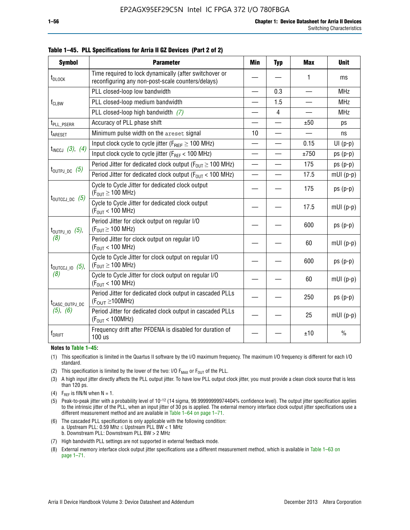| <b>Symbol</b>                | <b>Parameter</b>                                                                                            | <b>Min</b>               | <b>Typ</b>     | <b>Max</b> | <b>Unit</b>   |
|------------------------------|-------------------------------------------------------------------------------------------------------------|--------------------------|----------------|------------|---------------|
| t <sub>DLOCK</sub>           | Time required to lock dynamically (after switchover or<br>reconfiguring any non-post-scale counters/delays) |                          |                | 1          | ms            |
|                              | PLL closed-loop low bandwidth                                                                               | $\overline{\phantom{0}}$ | 0.3            |            | <b>MHz</b>    |
| $f_{CLBW}$                   | PLL closed-loop medium bandwidth                                                                            |                          | 1.5            | —          | <b>MHz</b>    |
|                              | PLL closed-loop high bandwidth (7)                                                                          |                          | $\overline{4}$ |            | <b>MHz</b>    |
| t <sub>PLL</sub> PSERR       | Accuracy of PLL phase shift                                                                                 |                          |                | ±50        | ps            |
| t <sub>ARESET</sub>          | Minimum pulse width on the areset signal                                                                    | 10                       |                |            | ns            |
|                              | Input clock cycle to cycle jitter ( $F_{REF} \geq 100$ MHz)                                                 |                          |                | 0.15       | $UI(p-p)$     |
| $t_{INCCJ}$ (3), (4)         | Input clock cycle to cycle jitter (FREF < 100 MHz)                                                          |                          |                | ±750       | $ps(p-p)$     |
|                              | Period Jitter for dedicated clock output ( $F_{OIII} \ge 100$ MHz)                                          | $\overline{\phantom{0}}$ |                | 175        | $ps(p-p)$     |
| $t_{\text{OUTPJ\_DC}}$ (5)   | Period Jitter for dedicated clock output ( $F_{OUT}$ < 100 MHz)                                             |                          |                | 17.5       | $mUI(p-p)$    |
|                              | Cycle to Cycle Jitter for dedicated clock output<br>$(F_{OUT} \ge 100$ MHz)                                 |                          |                | 175        | $ps(p-p)$     |
| $t_{\text{OUTCCJ\_DC}}$ (5)  | Cycle to Cycle Jitter for dedicated clock output<br>$(F_{OUT} < 100$ MHz)                                   |                          |                | 17.5       | $mUI(p-p)$    |
| $t_{\text{OUTPJ\_IO}}$ (5),  | Period Jitter for clock output on regular I/O<br>$(F_{OUT} \ge 100$ MHz)                                    |                          |                | 600        | $ps(p-p)$     |
| (8)                          | Period Jitter for clock output on regular I/O<br>$(F_{OUT}$ < 100 MHz)                                      |                          |                | 60         | $mUI(p-p)$    |
| $t_{\text{OUTCCJ\_IO}}$ (5), | Cycle to Cycle Jitter for clock output on regular I/O<br>$(F_{OUT} \ge 100$ MHz)                            |                          |                | 600        | $ps(p-p)$     |
| (8)                          | Cycle to Cycle Jitter for clock output on regular I/O<br>$(F_{OUT} < 100$ MHz)                              |                          |                | 60         | $mUI(p-p)$    |
| t <sub>CASC_OUTPJ_DC</sub>   | Period Jitter for dedicated clock output in cascaded PLLs<br>$(F_{\text{OUT}} \ge 100 \text{MHz})$          |                          |                | 250        | $ps(p-p)$     |
| (5), (6)                     | Period Jitter for dedicated clock output in cascaded PLLs<br>(F <sub>OUT</sub> < 100MHz)                    |                          |                | 25         | $mUI(p-p)$    |
| f <sub>DRIFT</sub>           | Frequency drift after PFDENA is disabled for duration of<br>100 us                                          |                          |                | ±10        | $\frac{0}{0}$ |

**Table 1–45. PLL Specifications for Arria II GZ Devices (Part 2 of 2)**

#### **Notes to Table 1–45:**

- (1) This specification is limited in the Quartus II software by the I/O maximum frequency. The maximum I/O frequency is different for each I/O standard.
- (2) This specification is limited by the lower of the two: I/O  $F_{MAX}$  or  $F_{OUT}$  of the PLL.
- (3) A high input jitter directly affects the PLL output jitter. To have low PLL output clock jitter, you must provide a clean clock source that is less than 120 ps.
- (4) F<sub>REF</sub> is fIN/N when  $N = 1$ .
- (5) Peak-to-peak jitter with a probability level of 10–12 (14 sigma, 99.99999999974404% confidence level). The output jitter specification applies to the intrinsic jitter of the PLL, when an input jitter of 30 ps is applied. The external memory interface clock output jitter specifications use a different measurement method and are available in Table 1–64 on page 1–71.
- (6) The cascaded PLL specification is only applicable with the following condition: a. Upstream PLL: 0.59 Mhz  $\leq$  Upstream PLL BW  $<$  1 MHz b. Downstream PLL: Downstream PLL BW > 2 MHz
- (7) High bandwidth PLL settings are not supported in external feedback mode.
- (8) External memory interface clock output jitter specifications use a different measurement method, which is available in Table 1–63 on page 1–71.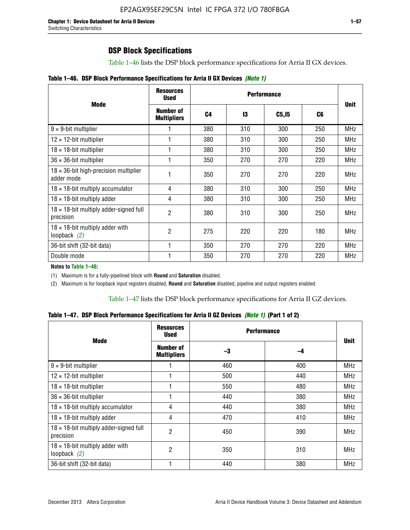## **DSP Block Specifications**

Table 1–46 lists the DSP block performance specifications for Arria II GX devices.

|  |  | Table 1-46. DSP Block Performance Specifications for Arria II GX Devices (Note 1) |  |  |  |  |  |
|--|--|-----------------------------------------------------------------------------------|--|--|--|--|--|
|--|--|-----------------------------------------------------------------------------------|--|--|--|--|--|

|                                                             | <b>Resources</b><br><b>Used</b>        |     |     |        |     |             |
|-------------------------------------------------------------|----------------------------------------|-----|-----|--------|-----|-------------|
| <b>Mode</b>                                                 | <b>Number of</b><br><b>Multipliers</b> | C4  | 13  | C5, I5 | C6  | <b>Unit</b> |
| $9 \times 9$ -bit multiplier                                |                                        | 380 | 310 | 300    | 250 | <b>MHz</b>  |
| $12 \times 12$ -bit multiplier                              |                                        | 380 | 310 | 300    | 250 | <b>MHz</b>  |
| $18 \times 18$ -bit multiplier                              |                                        | 380 | 310 | 300    | 250 | MHz         |
| $36 \times 36$ -bit multiplier                              |                                        | 350 | 270 | 270    | 220 | <b>MHz</b>  |
| $18 \times 36$ -bit high-precision multiplier<br>adder mode |                                        | 350 | 270 | 270    | 220 | <b>MHz</b>  |
| $18 \times 18$ -bit multiply accumulator                    | 4                                      | 380 | 310 | 300    | 250 | <b>MHz</b>  |
| $18 \times 18$ -bit multiply adder                          | 4                                      | 380 | 310 | 300    | 250 | <b>MHz</b>  |
| $18 \times 18$ -bit multiply adder-signed full<br>precision | $\overline{2}$                         | 380 | 310 | 300    | 250 | <b>MHz</b>  |
| $18 \times 18$ -bit multiply adder with<br>loopback $(2)$   | $\mathfrak{p}$                         | 275 | 220 | 220    | 180 | <b>MHz</b>  |
| 36-bit shift (32-bit data)                                  |                                        | 350 | 270 | 270    | 220 | <b>MHz</b>  |
| Double mode                                                 |                                        | 350 | 270 | 270    | 220 | <b>MHz</b>  |

**Notes to Table 1–46:**

(1) Maximum is for a fully-pipelined block with **Round** and **Saturation** disabled.

(2) Maximum is for loopback input registers disabled, **Round** and **Saturation** disabled, pipeline and output registers enabled.

Table 1–47 lists the DSP block performance specifications for Arria II GZ devices.

**Table 1–47. DSP Block Performance Specifications for Arria II GZ Devices** *(Note 1)* **(Part 1 of 2)**

| <b>Mode</b>                                                 | <b>Resources</b><br>Used        |     | <b>Performance</b> |             |  |
|-------------------------------------------------------------|---------------------------------|-----|--------------------|-------------|--|
|                                                             | Number of<br><b>Multipliers</b> | -3  | -4                 | <b>Unit</b> |  |
| $9 \times 9$ -bit multiplier                                |                                 | 460 | 400                | <b>MHz</b>  |  |
| $12 \times 12$ -bit multiplier                              |                                 | 500 | 440                | <b>MHz</b>  |  |
| $18 \times 18$ -bit multiplier                              |                                 | 550 | 480                | <b>MHz</b>  |  |
| $36 \times 36$ -bit multiplier                              |                                 | 440 | 380                | <b>MHz</b>  |  |
| $18 \times 18$ -bit multiply accumulator                    | 4                               | 440 | 380                | MHz         |  |
| $18 \times 18$ -bit multiply adder                          | 4                               | 470 | 410                | MHz         |  |
| $18 \times 18$ -bit multiply adder-signed full<br>precision | 2                               | 450 | 390                | <b>MHz</b>  |  |
| $18 \times 18$ -bit multiply adder with<br>loopback $(2)$   | 2                               | 350 | 310                | <b>MHz</b>  |  |
| 36-bit shift (32-bit data)                                  |                                 | 440 | 380                | <b>MHz</b>  |  |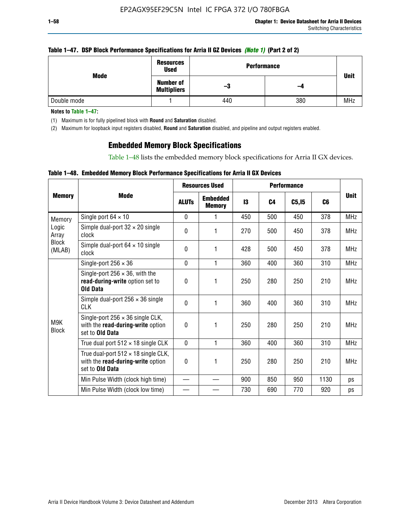|  | Table 1–47. DSP Block Performance Specifications for Arria II GZ Devices (Note 1) (Part 2 of 2) |  |
|--|-------------------------------------------------------------------------------------------------|--|
|  |                                                                                                 |  |

| Mode        | Resources<br><b>Used</b>               | <b>Performance</b> |     | <b>Unit</b> |
|-------------|----------------------------------------|--------------------|-----|-------------|
|             | <b>Number of</b><br><b>Multipliers</b> | -3                 | -4  |             |
| Double mode |                                        | 440                | 380 | <b>MHz</b>  |

**Notes to Table 1–47:**

(1) Maximum is for fully pipelined block with **Round** and **Saturation** disabled.

(2) Maximum for loopback input registers disabled, **Round** and **Saturation** disabled, and pipeline and output registers enabled.

## **Embedded Memory Block Specifications**

Table 1–48 lists the embedded memory block specifications for Arria II GX devices.

|  |  | Table 1–48. Embedded Memory Block Performance Specifications for Arria II GX Devices |  |  |
|--|--|--------------------------------------------------------------------------------------|--|--|
|--|--|--------------------------------------------------------------------------------------|--|--|

|                        |                                                                                                        | <b>Resources Used</b> |                                  | <b>Performance</b> |                |        |                |             |
|------------------------|--------------------------------------------------------------------------------------------------------|-----------------------|----------------------------------|--------------------|----------------|--------|----------------|-------------|
| <b>Memory</b>          | Mode                                                                                                   | <b>ALUTs</b>          | <b>Embedded</b><br><b>Memory</b> | 13                 | C <sub>4</sub> | C5, I5 | C <sub>6</sub> | <b>Unit</b> |
| Memory                 | Single port $64 \times 10$                                                                             | $\Omega$              |                                  | 450                | 500            | 450    | 378            | <b>MHz</b>  |
| Logic<br>Array         | Simple dual-port $32 \times 20$ single<br>clock                                                        | $\Omega$              | 1                                | 270                | 500            | 450    | 378            | <b>MHz</b>  |
| <b>Block</b><br>(MLAB) | Simple dual-port $64 \times 10$ single<br>clock                                                        | $\theta$              | 1                                | 428                | 500            | 450    | 378            | <b>MHz</b>  |
|                        | Single-port $256 \times 36$                                                                            | $\mathbf{0}$          | 1                                | 360                | 400            | 360    | 310            | <b>MHz</b>  |
|                        | Single-port $256 \times 36$ , with the<br>read-during-write option set to<br><b>Old Data</b>           | $\Omega$              | 1                                | 250                | 280            | 250    | 210            | <b>MHz</b>  |
|                        | Simple dual-port $256 \times 36$ single<br><b>CLK</b>                                                  | $\Omega$              | 1                                | 360                | 400            | 360    | 310            | <b>MHz</b>  |
| M9K<br><b>Block</b>    | Single-port $256 \times 36$ single CLK,<br>with the read-during-write option<br>set to <b>Old Data</b> | $\theta$              | 1                                | 250                | 280            | 250    | 210            | <b>MHz</b>  |
|                        | True dual port $512 \times 18$ single CLK                                                              | $\Omega$              | 1                                | 360                | 400            | 360    | 310            | <b>MHz</b>  |
|                        | True dual-port $512 \times 18$ single CLK,<br>with the read-during-write option<br>set to Old Data     | 0                     | 1                                | 250                | 280            | 250    | 210            | <b>MHz</b>  |
|                        | Min Pulse Width (clock high time)                                                                      |                       |                                  | 900                | 850            | 950    | 1130           | ps          |
|                        | Min Pulse Width (clock low time)                                                                       |                       |                                  | 730                | 690            | 770    | 920            | ps          |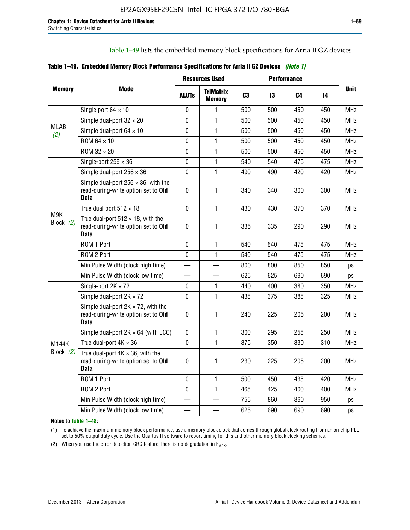Table 1–49 lists the embedded memory block specifications for Arria II GZ devices.

|  |  | Table 1–49. Embedded Memory Block Performance Specifications for Arria II GZ Devices (Note 1) |  |  |  |
|--|--|-----------------------------------------------------------------------------------------------|--|--|--|
|--|--|-----------------------------------------------------------------------------------------------|--|--|--|

|                    |                                                                                                   |              | <b>Resources Used</b>             |                |     | <b>Performance</b> |     |             |
|--------------------|---------------------------------------------------------------------------------------------------|--------------|-----------------------------------|----------------|-----|--------------------|-----|-------------|
| <b>Memory</b>      | Mode                                                                                              | <b>ALUTs</b> | <b>TriMatrix</b><br><b>Memory</b> | C <sub>3</sub> | 13  | C4                 | 14  | <b>Unit</b> |
|                    | Single port $64 \times 10$                                                                        | $\mathbf 0$  | 1                                 | 500            | 500 | 450                | 450 | <b>MHz</b>  |
|                    | Simple dual-port $32 \times 20$                                                                   | $\mathbf 0$  | $\mathbf{1}$                      | 500            | 500 | 450                | 450 | <b>MHz</b>  |
| <b>MLAB</b><br>(2) | Simple dual-port $64 \times 10$                                                                   | 0            | 1                                 | 500            | 500 | 450                | 450 | <b>MHz</b>  |
|                    | ROM 64 × 10                                                                                       | 0            | 1                                 | 500            | 500 | 450                | 450 | <b>MHz</b>  |
|                    | ROM $32 \times 20$                                                                                | 0            | $\mathbf{1}$                      | 500            | 500 | 450                | 450 | <b>MHz</b>  |
|                    | Single-port $256 \times 36$                                                                       | $\mathbf 0$  | $\mathbf{1}$                      | 540            | 540 | 475                | 475 | <b>MHz</b>  |
|                    | Simple dual-port $256 \times 36$                                                                  | $\mathbf 0$  | $\mathbf{1}$                      | 490            | 490 | 420                | 420 | <b>MHz</b>  |
|                    | Simple dual-port $256 \times 36$ , with the<br>read-during-write option set to Old<br><b>Data</b> | $\pmb{0}$    | 1                                 | 340            | 340 | 300                | 300 | <b>MHz</b>  |
|                    | True dual port $512 \times 18$                                                                    | $\mathbf 0$  | 1                                 | 430            | 430 | 370                | 370 | <b>MHz</b>  |
| M9K<br>Block $(2)$ | True dual-port $512 \times 18$ , with the<br>read-during-write option set to Old<br>Data          | $\mathbf 0$  | 1                                 | 335            | 335 | 290                | 290 | <b>MHz</b>  |
|                    | ROM 1 Port                                                                                        | $\mathbf 0$  | 1                                 | 540            | 540 | 475                | 475 | <b>MHz</b>  |
|                    | ROM 2 Port                                                                                        | $\mathbf 0$  | 1                                 | 540            | 540 | 475                | 475 | <b>MHz</b>  |
|                    | Min Pulse Width (clock high time)                                                                 |              |                                   | 800            | 800 | 850                | 850 | ps          |
|                    | Min Pulse Width (clock low time)                                                                  |              |                                   | 625            | 625 | 690                | 690 | ps          |
|                    | Single-port $2K \times 72$                                                                        | 0            | 1                                 | 440            | 400 | 380                | 350 | <b>MHz</b>  |
|                    | Simple dual-port $2K \times 72$                                                                   | 0            | $\mathbf{1}$                      | 435            | 375 | 385                | 325 | <b>MHz</b>  |
|                    | Simple dual-port $2K \times 72$ , with the<br>read-during-write option set to Old<br><b>Data</b>  | 0            | 1.                                | 240            | 225 | 205                | 200 | <b>MHz</b>  |
|                    | Simple dual-port $2K \times 64$ (with ECC)                                                        | $\mathbf 0$  | 1                                 | 300            | 295 | 255                | 250 | <b>MHz</b>  |
| <b>M144K</b>       | True dual-port $4K \times 36$                                                                     | $\mathbf{0}$ | 1                                 | 375            | 350 | 330                | 310 | <b>MHz</b>  |
| Block $(2)$        | True dual-port $4K \times 36$ , with the<br>read-during-write option set to Old<br><b>Data</b>    | 0            | 1.                                | 230            | 225 | 205                | 200 | <b>MHz</b>  |
|                    | ROM 1 Port                                                                                        | $\mathbf 0$  | 1                                 | 500            | 450 | 435                | 420 | <b>MHz</b>  |
|                    | ROM 2 Port                                                                                        | 0            | $\mathbf{1}$                      | 465            | 425 | 400                | 400 | <b>MHz</b>  |
|                    | Min Pulse Width (clock high time)                                                                 |              |                                   | 755            | 860 | 860                | 950 | ps          |
|                    | Min Pulse Width (clock low time)                                                                  |              |                                   | 625            | 690 | 690                | 690 | ps          |

**Notes to Table 1–48:**

(1) To achieve the maximum memory block performance, use a memory block clock that comes through global clock routing from an on-chip PLL set to 50% output duty cycle. Use the Quartus II software to report timing for this and other memory block clocking schemes.

(2) When you use the error detection CRC feature, there is no degradation in  $F_{MAX}$ .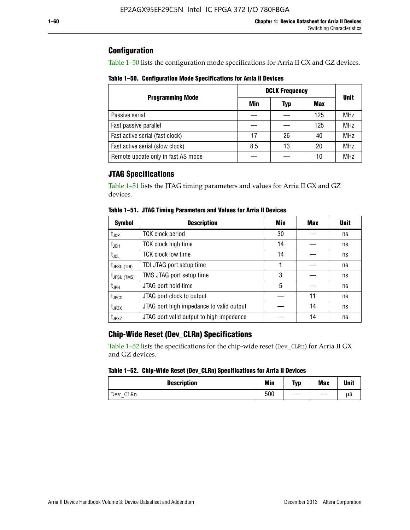## **Configuration**

Table 1–50 lists the configuration mode specifications for Arria II GX and GZ devices.

**Table 1–50. Configuration Mode Specifications for Arria II Devices**

|                                    | <b>DCLK Frequency</b> | <b>Unit</b> |     |            |  |
|------------------------------------|-----------------------|-------------|-----|------------|--|
| <b>Programming Mode</b>            | Min                   | Typ         | Max |            |  |
| Passive serial                     |                       |             | 125 | <b>MHz</b> |  |
| Fast passive parallel              |                       |             | 125 | <b>MHz</b> |  |
| Fast active serial (fast clock)    | 17                    | 26          | 40  | <b>MHz</b> |  |
| Fast active serial (slow clock)    | 8.5                   | 13          | 20  | <b>MHz</b> |  |
| Remote update only in fast AS mode |                       |             | 10  | <b>MHz</b> |  |

## **JTAG Specifications**

Table 1–51 lists the JTAG timing parameters and values for Arria II GX and GZ devices.

| <b>Symbol</b>     | <b>Description</b>                       | Min | Max | <b>Unit</b> |
|-------------------|------------------------------------------|-----|-----|-------------|
| $t_{\rm JCP}$     | <b>TCK clock period</b>                  | 30  |     | ns          |
| t <sub>JCH</sub>  | TCK clock high time                      | 14  |     | ns          |
| $t_{\sf JCL}$     | <b>TCK clock low time</b>                | 14  |     | ns          |
| $t_{JPSU(TDI)}$   | TDI JTAG port setup time                 |     |     | ns          |
| $t_{JPSU\,(TMS)}$ | TMS JTAG port setup time                 | 3   |     | ns          |
| $t_{JPH}$         | JTAG port hold time                      | 5   |     | ns          |
| t <sub>JPCO</sub> | JTAG port clock to output                |     | 11  | ns          |
| $t_{JPZX}$        | JTAG port high impedance to valid output |     | 14  | ns          |
| t <sub>JPXZ</sub> | JTAG port valid output to high impedance |     | 14  | ns          |

**Table 1–51. JTAG Timing Parameters and Values for Arria II Devices**

## **Chip-Wide Reset (Dev\_CLRn) Specifications**

Table 1–52 lists the specifications for the chip-wide reset (Dev\_CLRn) for Arria II GX and GZ devices.

### **Table 1–52. Chip-Wide Reset (Dev\_CLRn) Specifications for Arria II Devices**

| <b>Description</b> | <b>Min</b> | Typ | <b>Max</b> | <b>Unit</b> |
|--------------------|------------|-----|------------|-------------|
| CLRn<br>Dev<br>$-$ | 500        |     |            | μS          |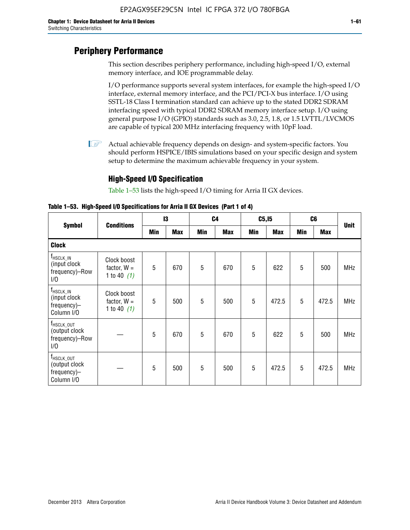# **Periphery Performance**

This section describes periphery performance, including high-speed I/O, external memory interface, and IOE programmable delay.

I/O performance supports several system interfaces, for example the high-speed I/O interface, external memory interface, and the PCI/PCI-X bus interface. I/O using SSTL-18 Class I termination standard can achieve up to the stated DDR2 SDRAM interfacing speed with typical DDR2 SDRAM memory interface setup. I/O using general purpose I/O (GPIO) standards such as 3.0, 2.5, 1.8, or 1.5 LVTTL/LVCMOS are capable of typical 200 MHz interfacing frequency with 10pF load.

 $\mathbb{I}$  Actual achievable frequency depends on design- and system-specific factors. You should perform HSPICE/IBIS simulations based on your specific design and system setup to determine the maximum achievable frequency in your system.

## **High-Speed I/O Specification**

Table 1–53 lists the high-speed I/O timing for Arria II GX devices.

**Table 1–53. High-Speed I/O Specifications for Arria II GX Devices (Part 1 of 4)**

|                                                                      |                                               | 13  |            |            | C <sub>4</sub> |            | C5, I5     | C <sub>6</sub> |            |             |
|----------------------------------------------------------------------|-----------------------------------------------|-----|------------|------------|----------------|------------|------------|----------------|------------|-------------|
| <b>Symbol</b>                                                        | <b>Conditions</b>                             | Min | <b>Max</b> | <b>Min</b> | <b>Max</b>     | <b>Min</b> | <b>Max</b> | Min            | <b>Max</b> | <b>Unit</b> |
| <b>Clock</b>                                                         |                                               |     |            |            |                |            |            |                |            |             |
| $f_{HSCLK\_IN}$<br>(input clock<br>frequency)-Row<br>1/0             | Clock boost<br>factor, $W =$<br>1 to 40 $(1)$ | 5   | 670        | 5          | 670            | 5          | 622        | 5              | 500        | <b>MHz</b>  |
| $f_{HSCLK\_IN}$<br>(input clock<br>frequency)-<br>Column I/O         | Clock boost<br>factor, $W =$<br>1 to 40 $(1)$ | 5   | 500        | 5          | 500            | 5          | 472.5      | 5              | 472.5      | <b>MHz</b>  |
| T <sub>HSCLK_OUT</sub><br>(output clock<br>frequency)-Row<br>1/0     |                                               | 5   | 670        | 5          | 670            | 5          | 622        | 5              | 500        | <b>MHz</b>  |
| f <sub>HSCLK_OUT</sub><br>(output clock<br>frequency)-<br>Column I/O |                                               | 5   | 500        | 5          | 500            | 5          | 472.5      | 5              | 472.5      | <b>MHz</b>  |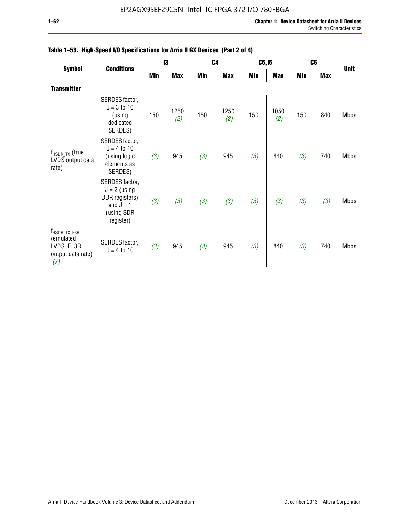|                                                                                | <b>Conditions</b>                                                                            |     | 13          |     | C <sub>4</sub> | C5, I5 |             | C <sub>6</sub> |            |             |
|--------------------------------------------------------------------------------|----------------------------------------------------------------------------------------------|-----|-------------|-----|----------------|--------|-------------|----------------|------------|-------------|
| <b>Symbol</b>                                                                  |                                                                                              | Min | <b>Max</b>  | Min | Max            | Min    | <b>Max</b>  | <b>Min</b>     | <b>Max</b> | <b>Unit</b> |
| <b>Transmitter</b>                                                             |                                                                                              |     |             |     |                |        |             |                |            |             |
| $f_{HSDR_TX}$ (true<br>LVDS output data<br>rate)                               | SERDES factor,<br>$J = 3$ to 10<br>(using<br>dedicated<br>SERDES)                            | 150 | 1250<br>(2) | 150 | 1250<br>(2)    | 150    | 1050<br>(2) | 150            | 840        | <b>Mbps</b> |
|                                                                                | SERDES factor,<br>$J = 4$ to 10<br>(using logic<br>elements as<br>SERDES)                    | (3) | 945         | (3) | 945            | (3)    | 840         | (3)            | 740        | <b>Mbps</b> |
|                                                                                | SERDES factor,<br>$J = 2$ (using<br>DDR registers)<br>and $J = 1$<br>(using SDR<br>register) | (3) | (3)         | (3) | (3)            | (3)    | (3)         | (3)            | (3)        | <b>Mbps</b> |
| f <sub>HSDR_TX_E3R</sub><br>(emulated<br>LVDS_E_3R<br>output data rate)<br>(7) | SERDES factor,<br>$J = 4$ to 10                                                              | (3) | 945         | (3) | 945            | (3)    | 840         | (3)            | 740        | <b>Mbps</b> |

|  |  | Table 1–53. High-Speed I/O Specifications for Arria II GX Devices (Part 2 of 4) |  |  |
|--|--|---------------------------------------------------------------------------------|--|--|
|--|--|---------------------------------------------------------------------------------|--|--|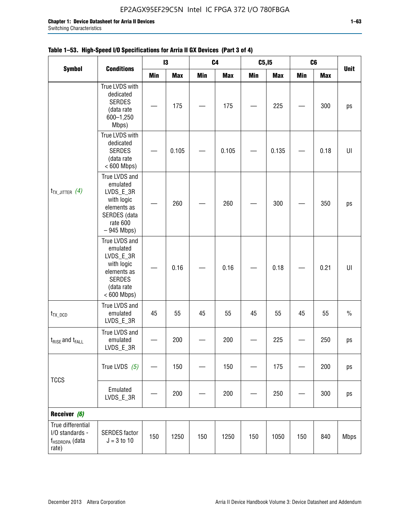|                                                                             |                                                                                                                     |     | 13         | C <sub>4</sub> |            | C5, I5 |            | C <sub>6</sub> |            |             |
|-----------------------------------------------------------------------------|---------------------------------------------------------------------------------------------------------------------|-----|------------|----------------|------------|--------|------------|----------------|------------|-------------|
| <b>Symbol</b>                                                               | <b>Conditions</b>                                                                                                   | Min | <b>Max</b> | <b>Min</b>     | <b>Max</b> | Min    | <b>Max</b> | <b>Min</b>     | <b>Max</b> | <b>Unit</b> |
|                                                                             | True LVDS with<br>dedicated<br><b>SERDES</b><br>(data rate<br>600-1,250<br>Mbps)                                    |     | 175        |                | 175        |        | 225        |                | 300        | ps          |
| $t_{TX\_JITTER}$ (4)                                                        | True LVDS with<br>dedicated<br><b>SERDES</b><br>(data rate<br>$< 600$ Mbps)                                         |     | 0.105      |                | 0.105      |        | 0.135      |                | 0.18       | U           |
|                                                                             | True LVDS and<br>emulated<br>LVDS_E_3R<br>with logic<br>elements as<br>SERDES (data<br>rate 600<br>$-945$ Mbps)     |     | 260        |                | 260        |        | 300        |                | 350        | ps          |
|                                                                             | True LVDS and<br>emulated<br>LVDS_E_3R<br>with logic<br>elements as<br><b>SERDES</b><br>(data rate<br>$< 600$ Mbps) |     | 0.16       |                | 0.16       |        | 0.18       |                | 0.21       | U           |
| $t_{TX\_DCD}$                                                               | True LVDS and<br>emulated<br>LVDS_E_3R                                                                              | 45  | 55         | 45             | 55         | 45     | 55         | 45             | 55         | $\%$        |
| $t_{\text{RISE}}$ and $t_{\text{FALL}}$                                     | True LVDS and<br>emulated<br>$LVDS_E_3R$                                                                            |     | 200        |                | 200        |        | 225        |                | 250        | ps          |
|                                                                             | True LVDS $(5)$                                                                                                     |     | 150        |                | 150        |        | 175        |                | 200        | ps          |
| <b>TCCS</b>                                                                 | Emulated<br>LVDS_E_3R                                                                                               |     | 200        |                | 200        |        | 250        |                | 300        | ps          |
| Receiver (6)                                                                |                                                                                                                     |     |            |                |            |        |            |                |            |             |
| True differential<br>I/O standards -<br>f <sub>HSDRDPA</sub> (data<br>rate) | <b>SERDES</b> factor<br>$J = 3$ to 10                                                                               | 150 | 1250       | 150            | 1250       | 150    | 1050       | 150            | 840        | <b>Mbps</b> |

## **Table 1–53. High-Speed I/O Specifications for Arria II GX Devices (Part 3 of 4)**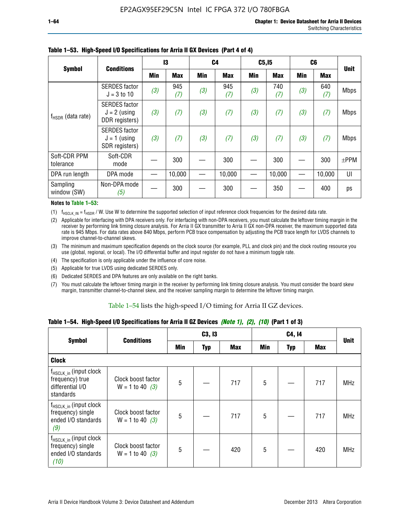| -64<br>× |  |  |
|----------|--|--|
|          |  |  |

|                           | <b>Conditions</b>                                        | 13  |            | C <sub>4</sub> |            | C5, I5 |            | C6         |            | <b>Unit</b> |
|---------------------------|----------------------------------------------------------|-----|------------|----------------|------------|--------|------------|------------|------------|-------------|
| <b>Symbol</b>             |                                                          | Min | <b>Max</b> | Min            | <b>Max</b> | Min    | <b>Max</b> | <b>Min</b> | <b>Max</b> |             |
| $f_{HSDR}$ (data rate)    | <b>SERDES</b> factor<br>$J = 3$ to 10                    | (3) | 945<br>(7) | (3)            | 945<br>(7) | (3)    | 740<br>(7) | (3)        | 640<br>(7) | <b>Mbps</b> |
|                           | <b>SERDES</b> factor<br>$J = 2$ (using<br>DDR registers) | (3) | (7)        | (3)            | (7)        | (3)    | (7)        | (3)        | (7)        | <b>Mbps</b> |
|                           | <b>SERDES</b> factor<br>$J = 1$ (using<br>SDR registers) | (3) | (7)        | (3)            | (7)        | (3)    | (7)        | (3)        | (7)        | <b>Mbps</b> |
| Soft-CDR PPM<br>tolerance | Soft-CDR<br>mode                                         |     | 300        |                | 300        |        | 300        |            | 300        | $±$ PPM     |
| DPA run length            | DPA mode                                                 |     | 10,000     |                | 10,000     |        | 10,000     |            | 10,000     | UI          |
| Sampling<br>window (SW)   | Non-DPA mode<br>(5)                                      |     | 300        |                | 300        |        | 350        |            | 400        | ps          |

### **Table 1–53. High-Speed I/O Specifications for Arria II GX Devices (Part 4 of 4)**

#### **Notes to Table 1–53:**

(1)  $f_{HSCLK\_IN} = f_{HSDR}$  / W. Use W to determine the supported selection of input reference clock frequencies for the desired data rate.

(2) Applicable for interfacing with DPA receivers only. For interfacing with non-DPA receivers, you must calculate the leftover timing margin in the receiver by performing link timing closure analysis. For Arria II GX transmitter to Arria II GX non-DPA receiver, the maximum supported data rate is 945 Mbps. For data rates above 840 Mbps, perform PCB trace compensation by adjusting the PCB trace length for LVDS channels to improve channel-to-channel skews.

- (3) The minimum and maximum specification depends on the clock source (for example, PLL and clock pin) and the clock routing resource you use (global, regional, or local). The I/O differential buffer and input register do not have a minimum toggle rate.
- (4) The specification is only applicable under the influence of core noise.
- (5) Applicable for true LVDS using dedicated SERDES only.
- (6) Dedicated SERDES and DPA features are only available on the right banks.
- (7) You must calculate the leftover timing margin in the receiver by performing link timing closure analysis. You must consider the board skew margin, transmitter channel-to-channel skew, and the receiver sampling margin to determine the leftover timing margin.

### Table 1–54 lists the high-speed I/O timing for Arria II GZ devices.

### **Table 1–54. High-Speed I/O Specifications for Arria II GZ Devices** *(Note 1), (2), (10)* **(Part 1 of 3)**

|                                                                                 | <b>Conditions</b>                       |     | C3, I3     |            |     | C4, 14     |            |             |
|---------------------------------------------------------------------------------|-----------------------------------------|-----|------------|------------|-----|------------|------------|-------------|
| <b>Symbol</b>                                                                   |                                         | Min | <b>Typ</b> | <b>Max</b> | Min | <b>Typ</b> | <b>Max</b> | <b>Unit</b> |
| <b>Clock</b>                                                                    |                                         |     |            |            |     |            |            |             |
| $f_{HSCLK_in}$ (input clock<br>frequency) true<br>differential I/O<br>standards | Clock boost factor<br>$W = 1$ to 40 (3) | 5   |            | 717        | 5   |            | 717        | <b>MHz</b>  |
| $f_{HSCLK_in}$ (input clock<br>frequency) single<br>ended I/O standards<br>(9)  | Clock boost factor<br>$W = 1$ to 40 (3) | 5   |            | 717        | 5   |            | 717        | <b>MHz</b>  |
| $f_{HSCLK_in}$ (input clock<br>frequency) single<br>ended I/O standards<br>(10) | Clock boost factor<br>$W = 1$ to 40 (3) | 5   |            | 420        | 5   |            | 420        | <b>MHz</b>  |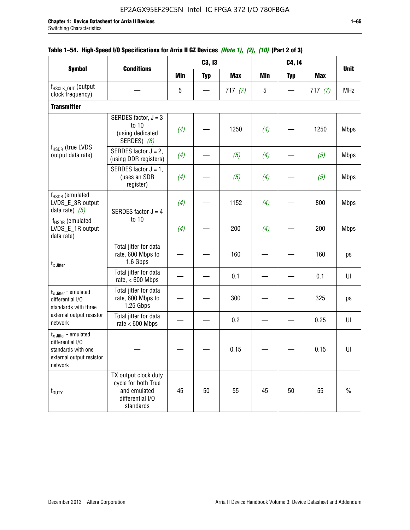|                                                                                                          |                                                                                              |            | C3, I3     | $\frac{1}{2}$ |            | C4, 14     |            | <b>Unit</b> |
|----------------------------------------------------------------------------------------------------------|----------------------------------------------------------------------------------------------|------------|------------|---------------|------------|------------|------------|-------------|
| <b>Symbol</b>                                                                                            | <b>Conditions</b>                                                                            | <b>Min</b> | <b>Typ</b> | <b>Max</b>    | <b>Min</b> | <b>Typ</b> | <b>Max</b> |             |
| f <sub>HSCLK_OUT</sub> (output<br>clock frequency)                                                       |                                                                                              | 5          |            | 717(7)        | 5          |            | 717(7)     | <b>MHz</b>  |
| <b>Transmitter</b>                                                                                       |                                                                                              |            |            |               |            |            |            |             |
| $f_{\rm HSDR}$ (true LVDS<br>output data rate)                                                           | SERDES factor, $J = 3$<br>to 10<br>(using dedicated<br>SERDES) (8)                           | (4)        |            | 1250          | (4)        |            | 1250       | <b>Mbps</b> |
|                                                                                                          | SERDES factor $J = 2$ ,<br>(using DDR registers)                                             | (4)        |            | (5)           | (4)        |            | (5)        | <b>Mbps</b> |
|                                                                                                          | SERDES factor $J = 1$ ,<br>(uses an SDR<br>register)                                         | (4)        |            | (5)           | (4)        |            | (5)        | <b>Mbps</b> |
| f <sub>HSDR</sub> (emulated<br>LVDS_E_3R output<br>data rate) $(5)$                                      | SERDES factor $J = 4$                                                                        | (4)        |            | 1152          | (4)        |            | 800        | <b>Mbps</b> |
| $f_{\rm HSDR}$ (emulated<br>LVDS_E_1R output<br>data rate)                                               | to 10                                                                                        | (4)        |            | 200           | (4)        |            | 200        | <b>Mbps</b> |
| $t_x$ Jitter                                                                                             | Total jitter for data<br>rate, 600 Mbps to<br>1.6 Gbps                                       |            |            | 160           |            |            | 160        | ps          |
|                                                                                                          | Total jitter for data<br>rate, $< 600$ Mbps                                                  |            |            | 0.1           |            |            | 0.1        | UI          |
| $t_{x\text{-}Jitter}$ - emulated<br>differential I/O<br>standards with three                             | Total jitter for data<br>rate, 600 Mbps to<br>1.25 Gbps                                      |            |            | 300           |            |            | 325        | ps          |
| external output resistor<br>network                                                                      | Total jitter for data<br>rate $< 600$ Mbps                                                   |            |            | 0.2           |            |            | 0.25       | UI          |
| $t_x$ Jitter - emulated<br>differential I/O<br>standards with one<br>external output resistor<br>network |                                                                                              |            |            | 0.15          |            |            | 0.15       | UI          |
| t <sub>DUTY</sub>                                                                                        | TX output clock duty<br>cycle for both True<br>and emulated<br>differential I/O<br>standards | 45         | 50         | 55            | 45         | 50         | 55         | $\%$        |

## **Table 1–54. High-Speed I/O Specifications for Arria II GZ Devices** *(Note 1), (2), (10)* **(Part 2 of 3)**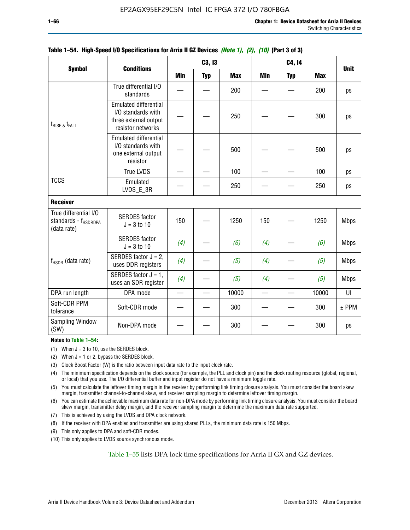|                                                                          | <b>Conditions</b>                                                                                | C3, I3                   |            |            |          |            |            |             |
|--------------------------------------------------------------------------|--------------------------------------------------------------------------------------------------|--------------------------|------------|------------|----------|------------|------------|-------------|
| <b>Symbol</b>                                                            |                                                                                                  | <b>Min</b>               | <b>Typ</b> | <b>Max</b> | Min      | <b>Typ</b> | <b>Max</b> | <b>Unit</b> |
|                                                                          | True differential I/O<br>standards                                                               |                          |            | 200        |          |            | 200        | ps          |
| $t_{\text{RISE 8}}t_{\text{FALL}}$                                       | <b>Emulated differential</b><br>I/O standards with<br>three external output<br>resistor networks |                          |            | 250        |          |            | 300        | ps          |
|                                                                          | <b>Emulated differential</b><br>I/O standards with<br>one external output<br>resistor            |                          |            | 500        |          |            | 500        | ps          |
|                                                                          | <b>True LVDS</b>                                                                                 |                          |            | 100        |          |            | 100        | ps          |
| <b>TCCS</b>                                                              | Emulated<br>LVDS E 3R                                                                            |                          |            | 250        |          |            | 250        | ps          |
| <b>Receiver</b>                                                          |                                                                                                  |                          |            |            |          |            |            |             |
| True differential I/O<br>standards - f <sub>HSDRDPA</sub><br>(data rate) | <b>SERDES</b> factor<br>$J = 3$ to 10                                                            | 150                      |            | 1250       | 150      |            | 1250       | <b>Mbps</b> |
|                                                                          | <b>SERDES</b> factor<br>$J = 3$ to 10                                                            | (4)                      |            | (6)        | (4)      |            | (6)        | <b>Mbps</b> |
| $f_{HSDR}$ (data rate)                                                   | SERDES factor $J = 2$ ,<br>uses DDR registers                                                    | (4)                      |            | (5)        | (4)      |            | (5)        | <b>Mbps</b> |
|                                                                          | SERDES factor $J = 1$ ,<br>uses an SDR register                                                  | (4)                      |            | (5)        | (4)      |            | (5)        | <b>Mbps</b> |
| DPA run length                                                           | DPA mode                                                                                         | $\overline{\phantom{0}}$ |            | 10000      | $\equiv$ |            | 10000      | UI          |
| Soft-CDR PPM<br>tolerance                                                | Soft-CDR mode                                                                                    |                          |            | 300        |          |            | 300        | $±$ PPM     |
| Sampling Window<br>(SW)                                                  | Non-DPA mode                                                                                     |                          |            | 300        |          |            | 300        | ps          |

### **Table 1–54. High-Speed I/O Specifications for Arria II GZ Devices** *(Note 1), (2), (10)* **(Part 3 of 3)**

#### **Notes to Table 1–54:**

(1) When  $J = 3$  to 10, use the SERDES block.

- (2) When  $J = 1$  or 2, bypass the SERDES block.
- (3) Clock Boost Factor (W) is the ratio between input data rate to the input clock rate.
- (4) The minimum specification depends on the clock source (for example, the PLL and clock pin) and the clock routing resource (global, regional, or local) that you use. The I/O differential buffer and input register do not have a minimum toggle rate.
- (5) You must calculate the leftover timing margin in the receiver by performing link timing closure analysis. You must consider the board skew margin, transmitter channel-to-channel skew, and receiver sampling margin to determine leftover timing margin.
- (6) You can estimate the achievable maximum data rate for non-DPA mode by performing link timing closure analysis. You must consider the board skew margin, transmitter delay margin, and the receiver sampling margin to determine the maximum data rate supported.
- (7) This is achieved by using the LVDS and DPA clock network.
- (8) If the receiver with DPA enabled and transmitter are using shared PLLs, the minimum data rate is 150 Mbps.
- (9) This only applies to DPA and soft-CDR modes.
- (10) This only applies to LVDS source synchronous mode.

Table 1–55 lists DPA lock time specifications for Arria II GX and GZ devices.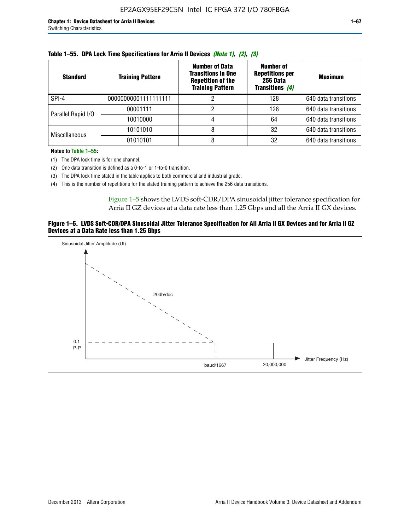| <b>Standard</b>      | <b>Training Pattern</b> | <b>Number of Data</b><br><b>Transitions in One</b><br><b>Repetition of the</b><br><b>Training Pattern</b> | Number of<br><b>Repetitions per</b><br>256 Data<br>Transitions (4) | <b>Maximum</b>       |
|----------------------|-------------------------|-----------------------------------------------------------------------------------------------------------|--------------------------------------------------------------------|----------------------|
| SPI-4                | 00000000001111111111    |                                                                                                           | 128                                                                | 640 data transitions |
| Parallel Rapid I/O   | 00001111                |                                                                                                           | 128                                                                | 640 data transitions |
|                      | 10010000                |                                                                                                           | 64                                                                 | 640 data transitions |
|                      | 10101010                |                                                                                                           | 32                                                                 | 640 data transitions |
| <b>Miscellaneous</b> | 01010101                | 8                                                                                                         | 32                                                                 | 640 data transitions |

|  |  |  | Table 1–55. DPA Lock Time Specifications for Arria II Devices (Note 1), (2), (3) |  |  |  |
|--|--|--|----------------------------------------------------------------------------------|--|--|--|
|--|--|--|----------------------------------------------------------------------------------|--|--|--|

**Notes to Table 1–55:**

(1) The DPA lock time is for one channel.

(2) One data transition is defined as a 0-to-1 or 1-to-0 transition.

(3) The DPA lock time stated in the table applies to both commercial and industrial grade.

(4) This is the number of repetitions for the stated training pattern to achieve the 256 data transitions.

Figure 1–5 shows the LVDS soft-CDR/DPA sinusoidal jitter tolerance specification for Arria II GZ devices at a data rate less than 1.25 Gbps and all the Arria II GX devices.

### **Figure 1–5. LVDS Soft-CDR/DPA Sinusoidal Jitter Tolerance Specification for All Arria II GX Devices and for Arria II GZ Devices at a Data Rate less than 1.25 Gbps**

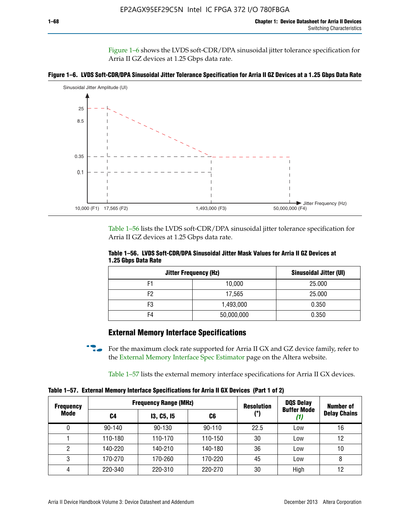Figure 1–6 shows the LVDS soft-CDR/DPA sinusoidal jitter tolerance specification for Arria II GZ devices at 1.25 Gbps data rate.





Table 1–56 lists the LVDS soft-CDR/DPA sinusoidal jitter tolerance specification for Arria II GZ devices at 1.25 Gbps data rate.

|                     | Table 1–56. LVDS Soft-CDR/DPA Sinusoidal Jitter Mask Values for Arria II GZ Devices at |  |  |  |
|---------------------|----------------------------------------------------------------------------------------|--|--|--|
| 1.25 Gbps Data Rate |                                                                                        |  |  |  |

| <b>Jitter Frequency (Hz)</b> | Sinusoidal Jitter (UI) |        |
|------------------------------|------------------------|--------|
| F1                           | 10,000                 | 25.000 |
| F <sub>2</sub>               | 17,565                 | 25.000 |
| F3                           | 1,493,000              | 0.350  |
| F4                           | 50,000,000             | 0.350  |

## **External Memory Interface Specifications**

For the maximum clock rate supported for Arria II GX and GZ device family, refer to the [External Memory Interface Spec Estimator](http://www.altera.com/technology/memory/estimator/mem-emif-index.html) page on the Altera website.

Table 1–57 lists the external memory interface specifications for Arria II GX devices.

**Table 1–57. External Memory Interface Specifications for Arria II GX Devices (Part 1 of 2)**

| <b>Frequency</b> |            | <b>Frequency Range (MHz)</b> |            | <b>Resolution</b> | <b>DQS Delay</b>   | <b>Number of</b>    |
|------------------|------------|------------------------------|------------|-------------------|--------------------|---------------------|
| Mode             | C4         | <b>13, C5, 15</b>            | C6         | (°)               | <b>Buffer Mode</b> | <b>Delay Chains</b> |
| 0                | $90 - 140$ | 90-130                       | $90 - 110$ | 22.5              | Low                | 16                  |
|                  | 110-180    | 110-170                      | 110-150    | 30                | Low                | 12                  |
| 2                | 140-220    | 140-210                      | 140-180    | 36                | Low                | 10                  |
| 3                | 170-270    | 170-260                      | 170-220    | 45                | Low                | 8                   |
| 4                | 220-340    | 220-310                      | 220-270    | 30                | High               | 12                  |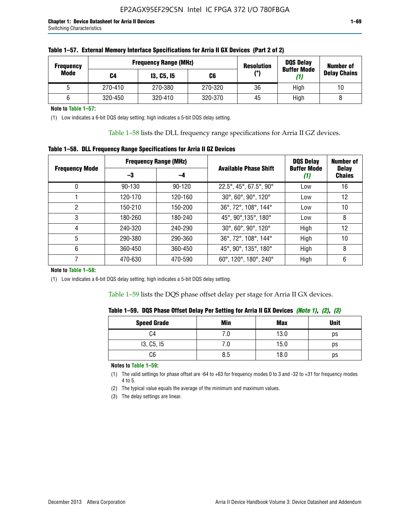| <b>Frequency</b> |         | <b>Frequency Range (MHz)</b> | <b>Resolution</b><br><b>Buffer Mode</b> |     | <b>DQS Delay</b> | <b>Number of</b>    |  |
|------------------|---------|------------------------------|-----------------------------------------|-----|------------------|---------------------|--|
| Mode             | C4      | <b>13, C5, 15</b>            | C6                                      | (°) |                  | <b>Delay Chains</b> |  |
|                  | 270-410 | 270-380                      | 270-320                                 | 36  | High             | 10                  |  |
|                  | 320-450 | 320-410                      | 320-370                                 | 45  | High             |                     |  |

| Table 1–57. External Memory Interface Specifications for Arria II GX Devices (Part 2 of 2) |
|--------------------------------------------------------------------------------------------|
|--------------------------------------------------------------------------------------------|

**Note to Table 1–57:**

(1) Low indicates a 6-bit DQS delay setting; high indicates a 5-bit DQS delay setting.

Table 1–58 lists the DLL frequency range specifications for Arria II GZ devices.

### **Table 1–58. DLL Frequency Range Specifications for Arria II GZ Devices**

|                       |            | <b>Frequency Range (MHz)</b> |                              | <b>DOS Delay</b>          | <b>Number of</b>              |
|-----------------------|------------|------------------------------|------------------------------|---------------------------|-------------------------------|
| <b>Frequency Mode</b> | -3         | -4                           | <b>Available Phase Shift</b> | <b>Buffer Mode</b><br>(1) | <b>Delay</b><br><b>Chains</b> |
| 0                     | $90 - 130$ | $90 - 120$                   | 22.5°, 45°, 67.5°, 90°       | Low                       | 16                            |
|                       | 120-170    | 120-160                      | 30°, 60°, 90°, 120°          | Low                       | 12                            |
| 2                     | 150-210    | 150-200                      | 36°, 72°, 108°, 144°         | Low                       | 10                            |
| 3                     | 180-260    | 180-240                      | 45°, 90°, 135°, 180°         | Low                       | 8                             |
| 4                     | 240-320    | 240-290                      | 30°, 60°, 90°, 120°          | High                      | 12                            |
| 5                     | 290-380    | 290-360                      | 36°, 72°, 108°, 144°         | High                      | 10                            |
| 6                     | 360-450    | 360-450                      | 45°, 90°, 135°, 180°         | High                      | 8                             |
|                       | 470-630    | 470-590                      | 60°, 120°, 180°, 240°        | High                      | 6                             |

#### **Note to Table 1–58:**

(1) Low indicates a 6-bit DQS delay setting; high indicates a 5-bit DQS delay setting.

Table 1–59 lists the DQS phase offset delay per stage for Arria II GX devices.

|  | Table 1–59.  DQS Phase Offset Delay Per Setting for Arria II GX Devices <i>(Note 1), (2), (3)</i> |  |  |
|--|---------------------------------------------------------------------------------------------------|--|--|
|  |                                                                                                   |  |  |

| <b>Speed Grade</b> | Min  | <b>Max</b> | <b>Unit</b> |
|--------------------|------|------------|-------------|
| C4                 | ن. ا | 13.0       | ps          |
| 13, C5, I5         | 7.U  | 15.0       | ps          |
| C6                 | 8.5  | 18.0       | ps          |

**Notes to Table 1–59:**

(1) The valid settings for phase offset are -64 to +63 for frequency modes 0 to 3 and -32 to +31 for frequency modes 4 to 5.

(2) The typical value equals the average of the minimum and maximum values.

(3) The delay settings are linear.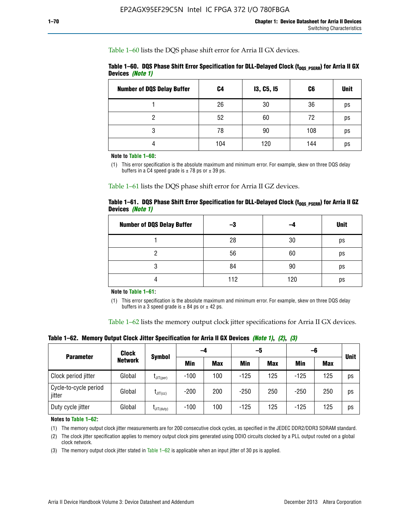Table 1–60 lists the DQS phase shift error for Arria II GX devices.

|                  | Table 1–60. DQS Phase Shift Error Specification for DLL-Delayed Clock ( $t_{\text{DOS PSERR}}$ ) for Arria II GX |  |
|------------------|------------------------------------------------------------------------------------------------------------------|--|
| Devices (Note 1) |                                                                                                                  |  |

| <b>Number of DQS Delay Buffer</b> | C4  | <b>13, C5, 15</b> | C6  | <b>Unit</b> |
|-----------------------------------|-----|-------------------|-----|-------------|
|                                   | 26  | 30                | 36  | ps          |
| າ                                 | 52  | 60                | 72  | ps          |
| 3                                 | 78  | 90                | 108 | ps          |
|                                   | 104 | 120               | 144 | ps          |

**Note to Table 1–60:**

(1) This error specification is the absolute maximum and minimum error. For example, skew on three DQS delay buffers in a C4 speed grade is  $\pm$  78 ps or  $\pm$  39 ps.

Table 1–61 lists the DQS phase shift error for Arria II GZ devices.

|                         |  | Table 1–61.DQS Phase Shift Error Specification for DLL-Delayed Clock (t <sub>oos PsERR</sub> ) for Arria II GZ |
|-------------------------|--|----------------------------------------------------------------------------------------------------------------|
| Devices <i>(Note 1)</i> |  |                                                                                                                |

| <b>Number of DQS Delay Buffer</b> | -3  |     | <b>Unit</b> |
|-----------------------------------|-----|-----|-------------|
|                                   | 28  | 30  | ps          |
|                                   | 56  | 60  | ps          |
| O                                 | 84  | 90  | ps          |
|                                   | 112 | 120 | ps          |

**Note to Table 1–61:**

(1) This error specification is the absolute maximum and minimum error. For example, skew on three DQS delay buffers in a 3 speed grade is  $\pm$  84 ps or  $\pm$  42 ps.

Table 1–62 lists the memory output clock jitter specifications for Arria II GX devices.

**Table 1–62. Memory Output Clock Jitter Specification for Arria II GX Devices** *(Note 1)***,** *(2)***,** *(3)*

| <b>Parameter</b>                | Clock          |                  | -4     |            | -5         |            | -6         |            | <b>Unit</b> |
|---------------------------------|----------------|------------------|--------|------------|------------|------------|------------|------------|-------------|
|                                 | <b>Network</b> | Symbol           | Min    | <b>Max</b> | <b>Min</b> | <b>Max</b> | <b>Min</b> | <b>Max</b> |             |
| Clock period jitter             | Global         | $L$ JIT(per)     | $-100$ | 100        | $-125$     | 125        | $-125$     | 125        | ps          |
| Cycle-to-cycle period<br>jitter | Global         | $L$ JIT $(cc)$   | $-200$ | 200        | $-250$     | 250        | $-250$     | 250        | ps          |
| Duty cycle jitter               | Global         | $L$ JIT $(duty)$ | $-100$ | 100        | $-125$     | 125        | $-125$     | 125        | ps          |

**Notes to Table 1–62:**

(1) The memory output clock jitter measurements are for 200 consecutive clock cycles, as specified in the JEDEC DDR2/DDR3 SDRAM standard.

(2) The clock jitter specification applies to memory output clock pins generated using DDIO circuits clocked by a PLL output routed on a global clock network.

(3) The memory output clock jitter stated in Table  $1-62$  is applicable when an input jitter of 30 ps is applied.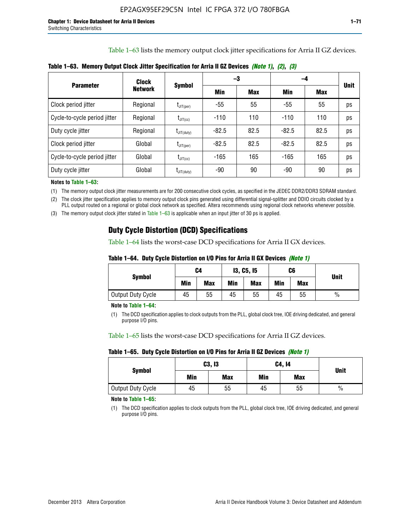Table 1–63 lists the memory output clock jitter specifications for Arria II GZ devices.

| <b>Parameter</b>             | <b>Clock</b><br><b>Network</b> | <b>Symbol</b>                              |         | -3         | -4      |            |             |
|------------------------------|--------------------------------|--------------------------------------------|---------|------------|---------|------------|-------------|
|                              |                                |                                            | Min     | <b>Max</b> | Min     | <b>Max</b> | <b>Unit</b> |
| Clock period jitter          | Regional                       | $t_{\text{JIT(per)}}$                      | -55     | 55         | $-55$   | 55         | ps          |
| Cycle-to-cycle period jitter | Regional                       | $t_{\text{JIT(cc)}}$                       | $-110$  | 110        | $-110$  | 110        | ps          |
| Duty cycle jitter            | Regional                       | $t_{\text{JIT(duty)}}$                     | $-82.5$ | 82.5       | $-82.5$ | 82.5       | ps          |
| Clock period jitter          | Global                         | $I_{JIT(per)}$                             | $-82.5$ | 82.5       | $-82.5$ | 82.5       | ps          |
| Cycle-to-cycle period jitter | Global                         | $t_{\text{JIT(cc)}}$                       | $-165$  | 165        | -165    | 165        | ps          |
| Duty cycle jitter            | Global                         | $\mathsf{t}_{\mathsf{JIT}(\mathsf{duty})}$ | -90     | 90         | -90     | 90         | ps          |

**Table 1–63. Memory Output Clock Jitter Specification for Arria II GZ Devices** *(Note 1)***,** *(2)***,** *(3)*

**Notes to Table 1–63:**

(1) The memory output clock jitter measurements are for 200 consecutive clock cycles, as specified in the JEDEC DDR2/DDR3 SDRAM standard.

(2) The clock jitter specification applies to memory output clock pins generated using differential signal-splitter and DDIO circuits clocked by a PLL output routed on a regional or global clock network as specified. Altera recommends using regional clock networks whenever possible.

(3) The memory output clock jitter stated in Table 1–63 is applicable when an input jitter of 30 ps is applied.

## **Duty Cycle Distortion (DCD) Specifications**

Table 1–64 lists the worst-case DCD specifications for Arria II GX devices.

| Table 1–64.  Duty Cycle Distortion on I/O Pins for Arria II GX Devices <i>(Note 1)</i> |  |  |
|----------------------------------------------------------------------------------------|--|--|
|----------------------------------------------------------------------------------------|--|--|

| <b>Symbol</b>     | C4  |            | <b>13, C5, 15</b> |            | C6  |            |               |
|-------------------|-----|------------|-------------------|------------|-----|------------|---------------|
|                   | Min | <b>Max</b> | Min               | <b>Max</b> | Min | <b>Max</b> | <b>Unit</b>   |
| Output Duty Cycle | 45  | 55         | 45                | 55         | 45  | 55         | $\frac{0}{0}$ |

**Note to Table 1–64:**

(1) The DCD specification applies to clock outputs from the PLL, global clock tree, IOE driving dedicated, and general purpose I/O pins.

Table 1–65 lists the worst-case DCD specifications for Arria II GZ devices.

**Table 1–65. Duty Cycle Distortion on I/O Pins for Arria II GZ Devices** *(Note 1)*

|                   |     | C3, I3     | C4, 14 | <b>Unit</b> |      |  |
|-------------------|-----|------------|--------|-------------|------|--|
| <b>Symbol</b>     | Min | <b>Max</b> | Min    | <b>Max</b>  |      |  |
| Output Duty Cycle | 45  | 55         | 45     | 55          | $\%$ |  |

**Note to Table 1–65:**

(1) The DCD specification applies to clock outputs from the PLL, global clock tree, IOE driving dedicated, and general purpose I/O pins.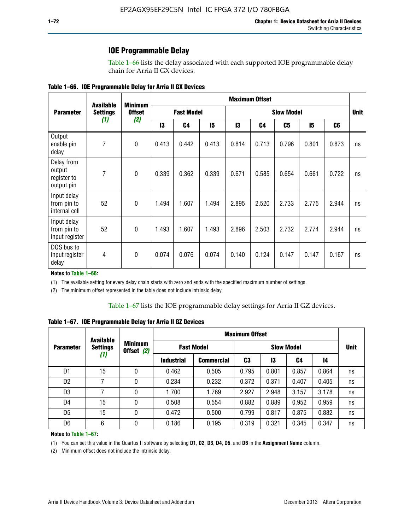### **IOE Programmable Delay**

Table 1–66 lists the delay associated with each supported IOE programmable delay chain for Arria II GX devices.

| Table 1–66. IOE Programmable Delay for Arria II GX Devices |
|------------------------------------------------------------|
|------------------------------------------------------------|

|                                                   | <b>Available</b> | <b>Minimum</b><br><b>Offset</b> | <b>Maximum Offset</b> |                |                   |       |       |       |       |                |    |
|---------------------------------------------------|------------------|---------------------------------|-----------------------|----------------|-------------------|-------|-------|-------|-------|----------------|----|
| <b>Parameter</b>                                  | <b>Settings</b>  |                                 | <b>Fast Model</b>     |                | <b>Slow Model</b> |       |       |       |       | <b>Unit</b>    |    |
|                                                   | (1)              | (2)                             | 13                    | C <sub>4</sub> | 15                | 13    | C4    | C5    | 15    | C <sub>6</sub> |    |
| Output<br>enable pin<br>delay                     | 7                | $\pmb{0}$                       | 0.413                 | 0.442          | 0.413             | 0.814 | 0.713 | 0.796 | 0.801 | 0.873          | ns |
| Delay from<br>output<br>register to<br>output pin | 7                | $\mathbf 0$                     | 0.339                 | 0.362          | 0.339             | 0.671 | 0.585 | 0.654 | 0.661 | 0.722          | ns |
| Input delay<br>from pin to<br>internal cell       | 52               | $\mathbf{0}$                    | 1.494                 | 1.607          | 1.494             | 2.895 | 2.520 | 2.733 | 2.775 | 2.944          | ns |
| Input delay<br>from pin to<br>input register      | 52               | $\mathbf{0}$                    | 1.493                 | 1.607          | 1.493             | 2.896 | 2.503 | 2.732 | 2.774 | 2.944          | ns |
| DQS bus to<br>input register<br>delay             | 4                | $\mathbf 0$                     | 0.074                 | 0.076          | 0.074             | 0.140 | 0.124 | 0.147 | 0.147 | 0.167          | ns |

**Notes to Table 1–66:**

(1) The available setting for every delay chain starts with zero and ends with the specified maximum number of settings.

(2) The minimum offset represented in the table does not include intrinsic delay.

**Table 1–67. IOE Programmable Delay for Arria II GZ Devices**

|                  | <b>Available</b><br><b>Settings</b><br>(1) |   | <b>Maximum Offset</b>        |                   |                   |       |       |       |             |
|------------------|--------------------------------------------|---|------------------------------|-------------------|-------------------|-------|-------|-------|-------------|
| <b>Parameter</b> |                                            |   | <b>Minimum</b><br>Offset (2) | <b>Fast Model</b> | <b>Slow Model</b> |       |       |       | <b>Unit</b> |
|                  |                                            |   | <b>Industrial</b>            | <b>Commercial</b> | C3                | 13    | C4    | 14    |             |
| D1               | 15                                         | 0 | 0.462                        | 0.505             | 0.795             | 0.801 | 0.857 | 0.864 | ns          |
| D <sub>2</sub>   | 7                                          | 0 | 0.234                        | 0.232             | 0.372             | 0.371 | 0.407 | 0.405 | ns          |
| D <sub>3</sub>   | 7                                          | 0 | 1.700                        | 1.769             | 2.927             | 2.948 | 3.157 | 3.178 | ns          |
| D4               | 15                                         | 0 | 0.508                        | 0.554             | 0.882             | 0.889 | 0.952 | 0.959 | ns          |
| D <sub>5</sub>   | 15                                         | 0 | 0.472                        | 0.500             | 0.799             | 0.817 | 0.875 | 0.882 | ns          |
| D <sub>6</sub>   | 6                                          | 0 | 0.186                        | 0.195             | 0.319             | 0.321 | 0.345 | 0.347 | ns          |

#### **Notes to Table 1–67:**

(1) You can set this value in the Quartus II software by selecting **D1**, **D2**, **D3**, **D4**, **D5**, and **D6** in the **Assignment Name** column.

(2) Minimum offset does not include the intrinsic delay.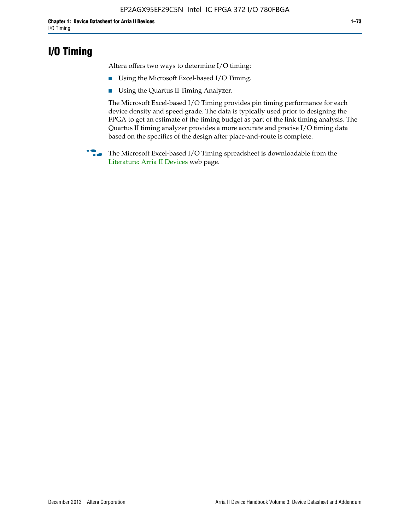### **I/O Timing**

Altera offers two ways to determine I/O timing:

- Using the Microsoft Excel-based I/O Timing.
- Using the Quartus II Timing Analyzer.

The Microsoft Excel-based I/O Timing provides pin timing performance for each device density and speed grade. The data is typically used prior to designing the FPGA to get an estimate of the timing budget as part of the link timing analysis. The Quartus II timing analyzer provides a more accurate and precise I/O timing data based on the specifics of the design after place-and-route is complete.

**f The Microsoft Excel-based I/O Timing spreadsheet is downloadable from the** [Literature: Arria II Devices](http://www.altera.com/literature/lit-arria-ii-gx.jsp) web page.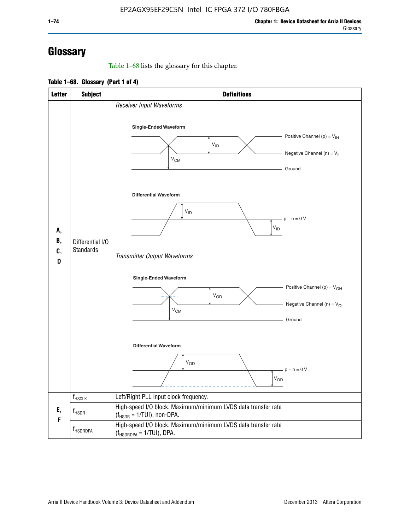# **Glossary**

Table 1–68 lists the glossary for this chapter.

**Table 1–68. Glossary (Part 1 of 4)**

| <b>Letter</b>       | <b>Subject</b>                       | <b>Definitions</b>                                                                                                                                                      |
|---------------------|--------------------------------------|-------------------------------------------------------------------------------------------------------------------------------------------------------------------------|
|                     |                                      | Receiver Input Waveforms<br>Single-Ended Waveform<br>Positive Channel (p) = $V_{\text{IH}}$<br>$V_{ID}$<br>Negative Channel (n) = $V_{IL}$                              |
|                     |                                      | $V_{CM}$<br>Ground<br><b>Differential Waveform</b>                                                                                                                      |
| А,<br>В,<br>C,<br>D | Differential I/O<br><b>Standards</b> | $V_{ID}$<br>$-p - n = 0 V$<br>$V_{ID}$                                                                                                                                  |
|                     |                                      | Transmitter Output Waveforms<br><b>Single-Ended Waveform</b><br>Positive Channel (p) = $V_{OH}$<br><b>V<sub>OD</sub></b><br>Negative Channel (n) = $V_{OL}$<br>$V_{CM}$ |
|                     |                                      | Ground<br><b>Differential Waveform</b><br>$V_{OD}$                                                                                                                      |
|                     |                                      | $p - n = 0 V$<br>$V_{OD}$                                                                                                                                               |
|                     | $f_{\rm HSCLK}$                      | Left/Right PLL input clock frequency.                                                                                                                                   |
| Ε,<br>F             | $f_{\rm HSDR}$                       | High-speed I/O block: Maximum/minimum LVDS data transfer rate<br>$(f_{HSDR} = 1/TUI)$ , non-DPA.                                                                        |
|                     | f <sub>HSDRDPA</sub>                 | High-speed I/O block: Maximum/minimum LVDS data transfer rate<br>$(f_{HSDRDPA} = 1/TUI)$ , DPA.                                                                         |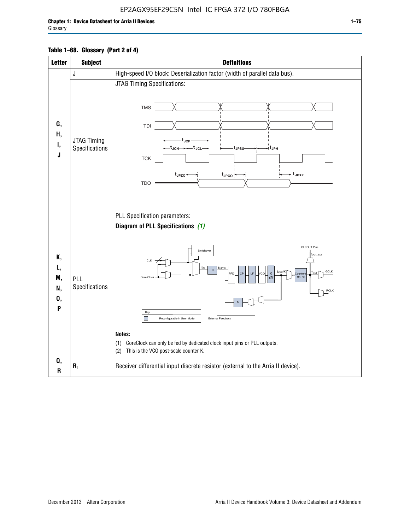### EP2AGX95EF29C5N Intel IC FPGA 372 I/O 780FBGA

Г

| <b>Letter</b>                   | <b>Subject</b>                       | <b>Definitions</b>                                                                                                                                                                                                                                                                                                                                                                                                                                                                 |
|---------------------------------|--------------------------------------|------------------------------------------------------------------------------------------------------------------------------------------------------------------------------------------------------------------------------------------------------------------------------------------------------------------------------------------------------------------------------------------------------------------------------------------------------------------------------------|
|                                 | J                                    | High-speed I/O block: Deserialization factor (width of parallel data bus).                                                                                                                                                                                                                                                                                                                                                                                                         |
| G,<br>Н,<br>Ι,<br>J             | <b>JTAG Timing</b><br>Specifications | JTAG Timing Specifications:<br><b>TMS</b><br>TDI<br>t <sub>JCP</sub><br>-t <sub>JCH</sub> → ← t <sub>JCL</sub><br>⇒ t <sub>JPH</sub><br>∙t <sub>JPSU</sub> .<br><b>TCK</b><br>⇒ t <sub>JPXZ</sub><br>t <sub>JPZX</sub><br>$t_{\text{JPCO}}$<br><b>TDO</b>                                                                                                                                                                                                                          |
| Κ,<br>L,<br>M,<br>N,<br>0,<br>P | PLL<br>Specifications                | PLL Specification parameters:<br>Diagram of PLL Specifications (1)<br>CLKOUT Pins<br>Switchover<br>fouт_exт<br><b>CLK</b><br>TINPFD<br>N<br>f <sub>vco</sub> /K<br><b>GCLK</b><br>CP<br>LE<br>κ<br>PFD<br>vca<br>ounter<br>CO.C9<br>Core Clock<br>(2)<br><b>RCLK</b><br>M<br>Key<br>П<br>External Feedback<br>Reconfigurable in User Mode<br>Notes:<br>(1) CoreClock can only be fed by dedicated clock input pins or PLL outputs.<br>This is the VCO post-scale counter K.<br>(2) |
| Q,<br>R                         | $R_L$                                | Receiver differential input discrete resistor (external to the Arria II device).                                                                                                                                                                                                                                                                                                                                                                                                   |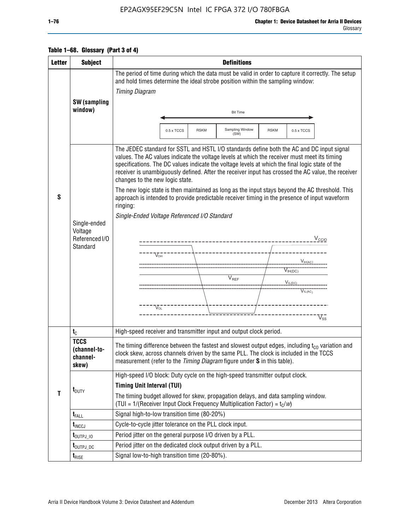### EP2AGX95EF29C5N Intel IC FPGA 372 I/O 780FBGA

| <b>Letter</b> | <b>Subject</b>                                                                                                                                                                                                                                                                                                                                                                                                                                                                                                                                                                                                                                                                                                                                                                                                                                                                                        | <b>Definitions</b>                                                                                                                                                                                                                                                       |  |  |  |  |  |  |
|---------------|-------------------------------------------------------------------------------------------------------------------------------------------------------------------------------------------------------------------------------------------------------------------------------------------------------------------------------------------------------------------------------------------------------------------------------------------------------------------------------------------------------------------------------------------------------------------------------------------------------------------------------------------------------------------------------------------------------------------------------------------------------------------------------------------------------------------------------------------------------------------------------------------------------|--------------------------------------------------------------------------------------------------------------------------------------------------------------------------------------------------------------------------------------------------------------------------|--|--|--|--|--|--|
|               |                                                                                                                                                                                                                                                                                                                                                                                                                                                                                                                                                                                                                                                                                                                                                                                                                                                                                                       | The period of time during which the data must be valid in order to capture it correctly. The setup<br>and hold times determine the ideal strobe position within the sampling window:<br><b>Timing Diagram</b>                                                            |  |  |  |  |  |  |
|               | <b>SW</b> (sampling<br>window)                                                                                                                                                                                                                                                                                                                                                                                                                                                                                                                                                                                                                                                                                                                                                                                                                                                                        | <b>Bit Time</b>                                                                                                                                                                                                                                                          |  |  |  |  |  |  |
|               |                                                                                                                                                                                                                                                                                                                                                                                                                                                                                                                                                                                                                                                                                                                                                                                                                                                                                                       | Sampling Window<br>$0.5 \times TCCS$<br><b>RSKM</b><br><b>RSKM</b><br>0.5 x TCCS<br>(SW)                                                                                                                                                                                 |  |  |  |  |  |  |
| S             | The JEDEC standard for SSTL and HSTL I/O standards define both the AC and DC input signal<br>values. The AC values indicate the voltage levels at which the receiver must meet its timing<br>specifications. The DC values indicate the voltage levels at which the final logic state of the<br>receiver is unambiguously defined. After the receiver input has crossed the AC value, the receiver<br>changes to the new logic state.<br>The new logic state is then maintained as long as the input stays beyond the AC threshold. This<br>approach is intended to provide predictable receiver timing in the presence of input waveform<br>ringing:<br>Single-Ended Voltage Referenced I/O Standard<br>Single-ended<br>Voltage<br>Referenced I/O<br>$V_{\text{CCIO}}$<br>_______________<br>Standard<br>$V_{OH}$<br>$V_{IH(AC)}$<br>$V_{IH(DC)}$<br>$\bar{V}_{REF}$<br>$V_{IL(DC)}$<br>$V_{IL(AC)}$ |                                                                                                                                                                                                                                                                          |  |  |  |  |  |  |
|               |                                                                                                                                                                                                                                                                                                                                                                                                                                                                                                                                                                                                                                                                                                                                                                                                                                                                                                       | $\rm V_{OL}$<br>$V_{ss}$                                                                                                                                                                                                                                                 |  |  |  |  |  |  |
|               | $t_{\rm C}$                                                                                                                                                                                                                                                                                                                                                                                                                                                                                                                                                                                                                                                                                                                                                                                                                                                                                           | High-speed receiver and transmitter input and output clock period.                                                                                                                                                                                                       |  |  |  |  |  |  |
|               | <b>TCCS</b><br>(channel-to-<br>channel-<br>skew)                                                                                                                                                                                                                                                                                                                                                                                                                                                                                                                                                                                                                                                                                                                                                                                                                                                      | The timing difference between the fastest and slowest output edges, including $t_{c0}$ variation and<br>clock skew, across channels driven by the same PLL. The clock is included in the TCCS<br>measurement (refer to the Timing Diagram figure under S in this table). |  |  |  |  |  |  |
| T             | $t_{\text{DUTY}}$                                                                                                                                                                                                                                                                                                                                                                                                                                                                                                                                                                                                                                                                                                                                                                                                                                                                                     | High-speed I/O block: Duty cycle on the high-speed transmitter output clock.<br><b>Timing Unit Interval (TUI)</b><br>The timing budget allowed for skew, propagation delays, and data sampling window.                                                                   |  |  |  |  |  |  |
|               |                                                                                                                                                                                                                                                                                                                                                                                                                                                                                                                                                                                                                                                                                                                                                                                                                                                                                                       | (TUI = $1/($ Receiver Input Clock Frequency Multiplication Factor) = $t_c/w$ )                                                                                                                                                                                           |  |  |  |  |  |  |
|               | $t_{\text{FALL}}$                                                                                                                                                                                                                                                                                                                                                                                                                                                                                                                                                                                                                                                                                                                                                                                                                                                                                     | Signal high-to-low transition time (80-20%)                                                                                                                                                                                                                              |  |  |  |  |  |  |
|               | $t_{\text{INCCJ}}$                                                                                                                                                                                                                                                                                                                                                                                                                                                                                                                                                                                                                                                                                                                                                                                                                                                                                    | Cycle-to-cycle jitter tolerance on the PLL clock input.                                                                                                                                                                                                                  |  |  |  |  |  |  |
|               | $t_{\text{OUTPJ\_10}}$                                                                                                                                                                                                                                                                                                                                                                                                                                                                                                                                                                                                                                                                                                                                                                                                                                                                                | Period jitter on the general purpose I/O driven by a PLL.                                                                                                                                                                                                                |  |  |  |  |  |  |
|               | t <sub>outpj_dc</sub>                                                                                                                                                                                                                                                                                                                                                                                                                                                                                                                                                                                                                                                                                                                                                                                                                                                                                 | Period jitter on the dedicated clock output driven by a PLL.                                                                                                                                                                                                             |  |  |  |  |  |  |
|               | $t_{RISE}$                                                                                                                                                                                                                                                                                                                                                                                                                                                                                                                                                                                                                                                                                                                                                                                                                                                                                            | Signal low-to-high transition time (20-80%).                                                                                                                                                                                                                             |  |  |  |  |  |  |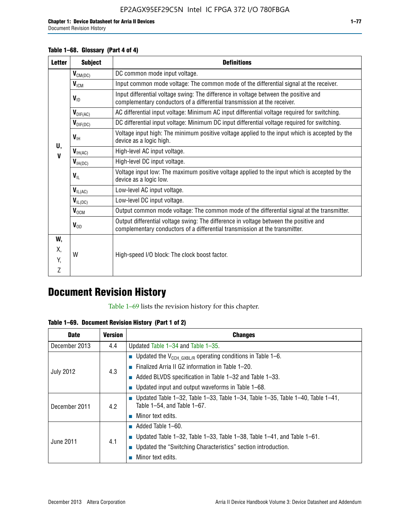Document Revision History

#### **Table 1–68. Glossary (Part 4 of 4)**

| <b>Letter</b> | <b>Subject</b>              | <b>Definitions</b>                                                                                                                                                   |
|---------------|-----------------------------|----------------------------------------------------------------------------------------------------------------------------------------------------------------------|
|               | $V_{CM(DC)}$                | DC common mode input voltage.                                                                                                                                        |
|               | $V_{ICM}$                   | Input common mode voltage: The common mode of the differential signal at the receiver.                                                                               |
|               | $V_{ID}$                    | Input differential voltage swing: The difference in voltage between the positive and<br>complementary conductors of a differential transmission at the receiver.     |
|               | $V_{\text{DIF(AC)}}$        | AC differential input voltage: Minimum AC input differential voltage required for switching.                                                                         |
|               | $V_{\text{DIF(DC)}}$        | DC differential input voltage: Minimum DC input differential voltage required for switching.                                                                         |
| U,            | $V_{\text{H}}$              | Voltage input high: The minimum positive voltage applied to the input which is accepted by the<br>device as a logic high.                                            |
| V             | $V_{H(AC)}$                 | High-level AC input voltage.                                                                                                                                         |
|               | $V_{H(DC)}$                 | High-level DC input voltage.                                                                                                                                         |
|               | $\bm{\mathsf{V}}_\text{IL}$ | Voltage input low: The maximum positive voltage applied to the input which is accepted by the<br>device as a logic low.                                              |
|               | $V_{IL(AC)}$                | Low-level AC input voltage.                                                                                                                                          |
|               | $V_{IL(DC)}$                | Low-level DC input voltage.                                                                                                                                          |
|               | $V_{\text{OCM}}$            | Output common mode voltage: The common mode of the differential signal at the transmitter.                                                                           |
|               | $V_{OD}$                    | Output differential voltage swing: The difference in voltage between the positive and<br>complementary conductors of a differential transmission at the transmitter. |
| W,            |                             |                                                                                                                                                                      |
| Х,            | W                           | High-speed I/O block: The clock boost factor.                                                                                                                        |
| Y.            |                             |                                                                                                                                                                      |
| Z             |                             |                                                                                                                                                                      |

## **Document Revision History**

Table 1–69 lists the revision history for this chapter.

**Table 1–69. Document Revision History (Part 1 of 2)**

| <b>Date</b>      | <b>Version</b> | <b>Changes</b>                                                                                                        |
|------------------|----------------|-----------------------------------------------------------------------------------------------------------------------|
| December 2013    | 4.4            | Updated Table $1-34$ and Table $1-35$ .                                                                               |
|                  |                | <b>U</b> Updated the $V_{\text{CCH GXBL/R}}$ operating conditions in Table 1–6.                                       |
|                  | 4.3            | $\blacksquare$ Finalized Arria II GZ information in Table 1–20.                                                       |
| <b>July 2012</b> |                | $\blacksquare$ Added BLVDS specification in Table 1-32 and Table 1-33.                                                |
|                  |                | <b>Updated input and output waveforms in Table 1–68.</b>                                                              |
| December 2011    | 4.2            | <b>Updated Table 1–32, Table 1–33, Table 1–34, Table 1–35, Table 1–40, Table 1–41,</b><br>Table 1-54, and Table 1-67. |
|                  |                | Minor text edits.                                                                                                     |
|                  |                | $\blacksquare$ Added Table 1–60.                                                                                      |
| June 2011        | 4.1            | <b>Updated Table 1–32, Table 1–33, Table 1–38, Table 1–41, and Table 1–61.</b>                                        |
|                  |                | ■ Updated the "Switching Characteristics" section introduction.                                                       |
|                  |                | Minor text edits.                                                                                                     |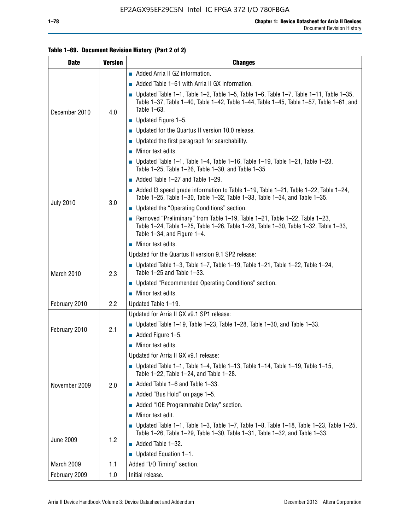#### **Table 1–69. Document Revision History (Part 2 of 2)**

| <b>Date</b>      | <b>Version</b> | <b>Changes</b>                                                                                                                                                                                                  |
|------------------|----------------|-----------------------------------------------------------------------------------------------------------------------------------------------------------------------------------------------------------------|
|                  |                | Added Arria II GZ information.                                                                                                                                                                                  |
|                  |                | Added Table 1–61 with Arria II GX information.                                                                                                                                                                  |
| December 2010    | 4.0            | $\blacksquare$ Updated Table 1-1, Table 1-2, Table 1-5, Table 1-6, Table 1-7, Table 1-11, Table 1-35,<br>Table 1-37, Table 1-40, Table 1-42, Table 1-44, Table 1-45, Table 1-57, Table 1-61, and<br>Table 1-63. |
|                  |                | $\blacksquare$ Updated Figure 1-5.                                                                                                                                                                              |
|                  |                | Updated for the Quartus II version 10.0 release.                                                                                                                                                                |
|                  |                | $\blacksquare$ Updated the first paragraph for searchability.                                                                                                                                                   |
|                  |                | $\blacksquare$ Minor text edits.                                                                                                                                                                                |
|                  |                | Updated Table 1-1, Table 1-4, Table 1-16, Table 1-19, Table 1-21, Table 1-23,<br>Table 1-25, Table 1-26, Table 1-30, and Table 1-35                                                                             |
|                  |                | $\blacksquare$ Added Table 1-27 and Table 1-29.                                                                                                                                                                 |
|                  |                | Added 13 speed grade information to Table 1-19, Table 1-21, Table 1-22, Table 1-24,<br>Table 1-25, Table 1-30, Table 1-32, Table 1-33, Table 1-34, and Table 1-35.                                              |
| <b>July 2010</b> | 3.0            | Updated the "Operating Conditions" section.                                                                                                                                                                     |
|                  |                | Removed "Preliminary" from Table 1-19, Table 1-21, Table 1-22, Table 1-23,<br>Table 1-24, Table 1-25, Table 1-26, Table 1-28, Table 1-30, Table 1-32, Table 1-33,<br>Table 1-34, and Figure 1-4.                |
|                  |                | $\blacksquare$ Minor text edits.                                                                                                                                                                                |
|                  | 2.3            | Updated for the Quartus II version 9.1 SP2 release:                                                                                                                                                             |
| March 2010       |                | $\blacksquare$ Updated Table 1-3, Table 1-7, Table 1-19, Table 1-21, Table 1-22, Table 1-24,<br>Table 1-25 and Table 1-33.                                                                                      |
|                  |                | • Updated "Recommended Operating Conditions" section.                                                                                                                                                           |
|                  |                | $\blacksquare$ Minor text edits.                                                                                                                                                                                |
| February 2010    | 2.2            | Updated Table 1-19.                                                                                                                                                                                             |
|                  | 2.1            | Updated for Arria II GX v9.1 SP1 release:                                                                                                                                                                       |
| February 2010    |                | Updated Table 1-19, Table 1-23, Table 1-28, Table 1-30, and Table 1-33.                                                                                                                                         |
|                  |                | $\blacksquare$ Added Figure 1-5.                                                                                                                                                                                |
|                  |                | Minor text edits.                                                                                                                                                                                               |
|                  |                | Updated for Arria II GX v9.1 release:                                                                                                                                                                           |
|                  |                | Updated Table 1–1, Table 1–4, Table 1–13, Table 1–14, Table 1–19, Table 1–15,<br>Table 1-22, Table 1-24, and Table 1-28.                                                                                        |
| November 2009    | 2.0            | $\blacksquare$ Added Table 1-6 and Table 1-33.                                                                                                                                                                  |
|                  |                | Added "Bus Hold" on page 1-5.                                                                                                                                                                                   |
|                  |                | Added "IOE Programmable Delay" section.                                                                                                                                                                         |
|                  |                | Minor text edit.                                                                                                                                                                                                |
|                  |                | <b>Updated Table 1–1, Table 1–3, Table 1–7, Table 1–8, Table 1–18, Table 1–23, Table 1–25,</b><br>Table 1-26, Table 1-29, Table 1-30, Table 1-31, Table 1-32, and Table 1-33.                                   |
| <b>June 2009</b> | 1.2            | $\blacksquare$ Added Table 1-32.                                                                                                                                                                                |
|                  |                | $\blacksquare$ Updated Equation 1-1.                                                                                                                                                                            |
| March 2009       | 1.1            | Added "I/O Timing" section.                                                                                                                                                                                     |
| February 2009    | 1.0            | Initial release.                                                                                                                                                                                                |